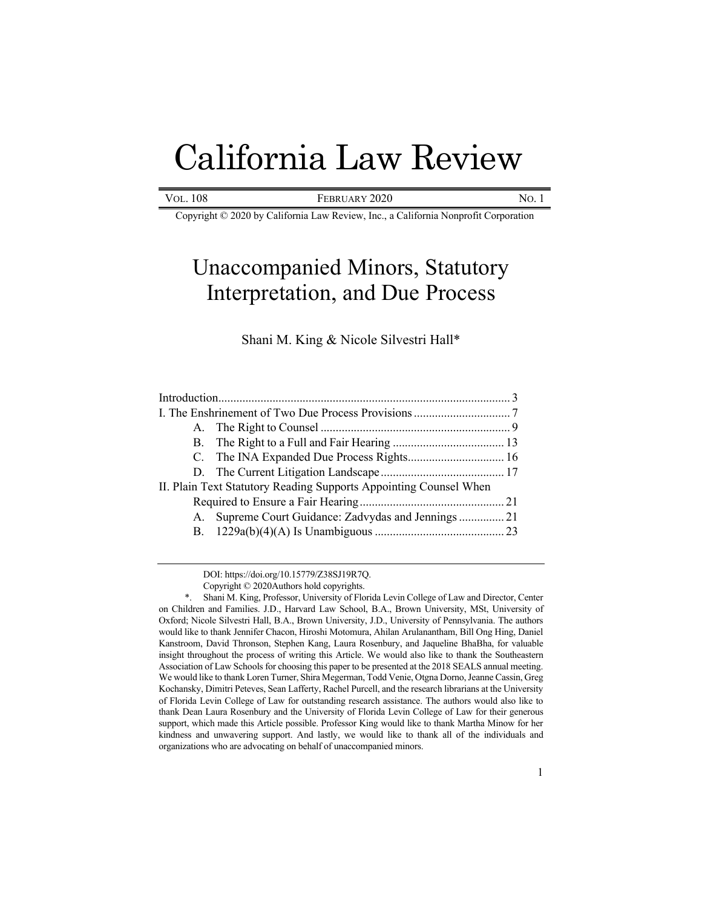# California Law Review

| VOL. 108 | FEBRUARY 2020 | No. |
|----------|---------------|-----|
|----------|---------------|-----|

Copyright © 2020 by California Law Review, Inc., a California Nonprofit Corporation

# Unaccompanied Minors, Statutory Interpretation, and Due Process

# Shani M. King & Nicole Silvestri Hall\*

| II. Plain Text Statutory Reading Supports Appointing Counsel When |  |
|-------------------------------------------------------------------|--|
|                                                                   |  |
| A. Supreme Court Guidance: Zadvydas and Jennings  21              |  |
|                                                                   |  |
|                                                                   |  |

DOI: https://doi.org/10.15779/Z38SJ19R7Q.

Copyright © 2020Authors hold copyrights.

Shani M. King, Professor, University of Florida Levin College of Law and Director, Center on Children and Families. J.D., Harvard Law School, B.A., Brown University, MSt, University of Oxford; Nicole Silvestri Hall, B.A., Brown University, J.D., University of Pennsylvania. The authors would like to thank Jennifer Chacon, Hiroshi Motomura, Ahilan Arulanantham, Bill Ong Hing, Daniel Kanstroom, David Thronson, Stephen Kang, Laura Rosenbury, and Jaqueline BhaBha, for valuable insight throughout the process of writing this Article. We would also like to thank the Southeastern Association of Law Schools for choosing this paper to be presented at the 2018 SEALS annual meeting. We would like to thank Loren Turner, Shira Megerman, Todd Venie, Otgna Dorno, Jeanne Cassin, Greg Kochansky, Dimitri Peteves, Sean Lafferty, Rachel Purcell, and the research librarians at the University of Florida Levin College of Law for outstanding research assistance. The authors would also like to thank Dean Laura Rosenbury and the University of Florida Levin College of Law for their generous support, which made this Article possible. Professor King would like to thank Martha Minow for her kindness and unwavering support. And lastly, we would like to thank all of the individuals and organizations who are advocating on behalf of unaccompanied minors.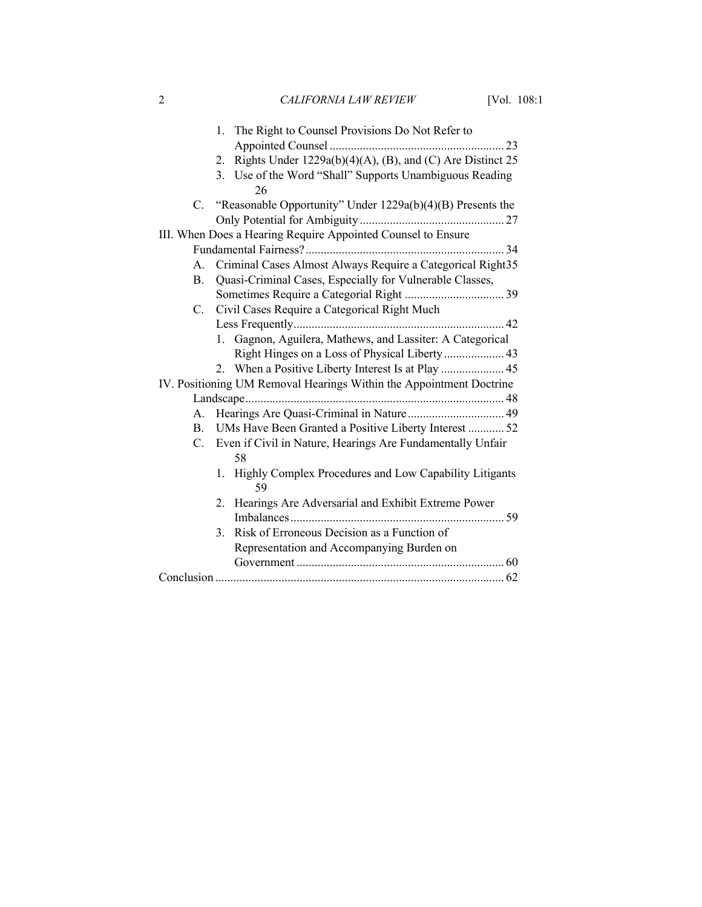2 *CALIFORNIA LAW REVIEW* [Vol. 108:1

|    | 1. The Right to Counsel Provisions Do Not Refer to                  |  |
|----|---------------------------------------------------------------------|--|
|    |                                                                     |  |
|    | Rights Under 1229a(b)(4)(A), (B), and (C) Are Distinct 25<br>2.     |  |
|    | 3. Use of the Word "Shall" Supports Unambiguous Reading             |  |
|    | 26                                                                  |  |
|    | C. "Reasonable Opportunity" Under 1229a(b)(4)(B) Presents the       |  |
|    |                                                                     |  |
|    | III. When Does a Hearing Require Appointed Counsel to Ensure        |  |
|    |                                                                     |  |
| A. | Criminal Cases Almost Always Require a Categorical Right35          |  |
| B. | Quasi-Criminal Cases, Especially for Vulnerable Classes,            |  |
|    |                                                                     |  |
| C. | Civil Cases Require a Categorical Right Much                        |  |
|    |                                                                     |  |
|    | 1. Gagnon, Aguilera, Mathews, and Lassiter: A Categorical           |  |
|    |                                                                     |  |
|    |                                                                     |  |
|    | IV. Positioning UM Removal Hearings Within the Appointment Doctrine |  |
|    |                                                                     |  |
| А. |                                                                     |  |
| B. | UMs Have Been Granted a Positive Liberty Interest  52               |  |
|    | C. Even if Civil in Nature, Hearings Are Fundamentally Unfair       |  |
|    | 58                                                                  |  |
|    | 1. Highly Complex Procedures and Low Capability Litigants<br>59     |  |
|    | 2. Hearings Are Adversarial and Exhibit Extreme Power               |  |
|    |                                                                     |  |
|    | 3. Risk of Erroneous Decision as a Function of                      |  |
|    | Representation and Accompanying Burden on                           |  |
|    |                                                                     |  |
|    |                                                                     |  |
|    |                                                                     |  |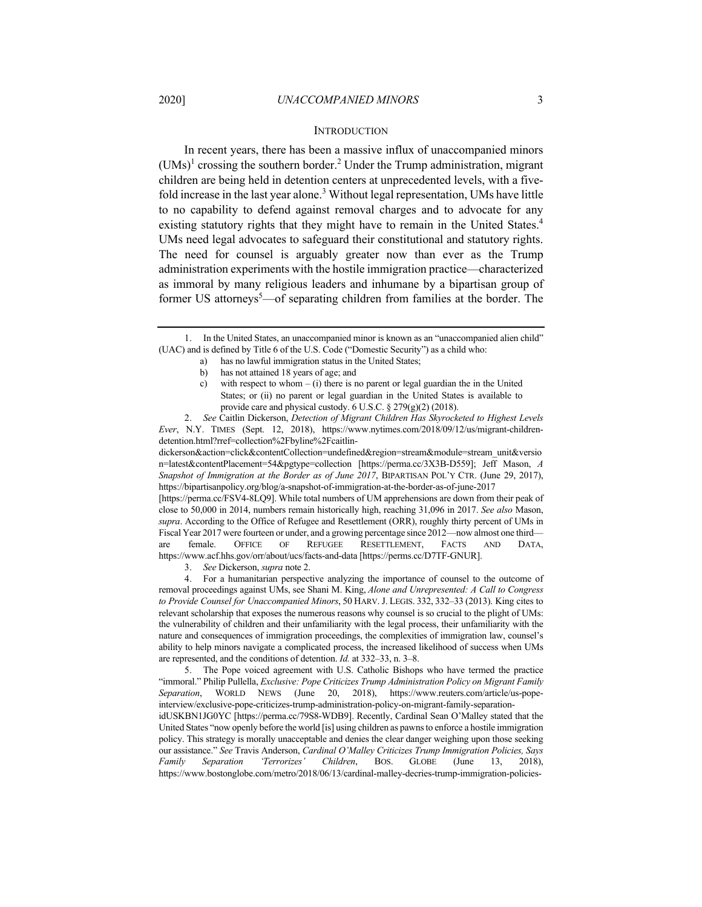#### **INTRODUCTION**

In recent years, there has been a massive influx of unaccompanied minors  $(UMs)^1$  crossing the southern border.<sup>2</sup> Under the Trump administration, migrant children are being held in detention centers at unprecedented levels, with a fivefold increase in the last year alone.<sup>3</sup> Without legal representation, UMs have little to no capability to defend against removal charges and to advocate for any existing statutory rights that they might have to remain in the United States.<sup>4</sup> UMs need legal advocates to safeguard their constitutional and statutory rights. The need for counsel is arguably greater now than ever as the Trump administration experiments with the hostile immigration practice—characterized as immoral by many religious leaders and inhumane by a bipartisan group of former US attorneys<sup>5</sup>—of separating children from families at the border. The

- a) has no lawful immigration status in the United States;
- b) has not attained 18 years of age; and
- c) with respect to whom  $-$  (i) there is no parent or legal guardian the in the United States; or (ii) no parent or legal guardian in the United States is available to provide care and physical custody. 6 U.S.C. § 279(g)(2) (2018).

2. *See* Caitlin Dickerson, *Detection of Migrant Children Has Skyrocketed to Highest Levels Ever*, N.Y. TIMES (Sept. 12, 2018), https://www.nytimes.com/2018/09/12/us/migrant-childrendetention.html?rref=collection%2Fbyline%2Fcaitlin-

dickerson&action=click&contentCollection=undefined&region=stream&module=stream\_unit&versio n=latest&contentPlacement=54&pgtype=collection [https://perma.cc/3X3B-D559]; Jeff Mason, *A Snapshot of Immigration at the Border as of June 2017*, BIPARTISAN POL'Y CTR. (June 29, 2017), https://bipartisanpolicy.org/blog/a-snapshot-of-immigration-at-the-border-as-of-june-2017

[https://perma.cc/FSV4-8LQ9]. While total numbers of UM apprehensions are down from their peak of close to 50,000 in 2014, numbers remain historically high, reaching 31,096 in 2017. *See also* Mason, *supra*. According to the Office of Refugee and Resettlement (ORR), roughly thirty percent of UMs in Fiscal Year 2017 were fourteen or under, and a growing percentage since 2012—now almost one third are female. OFFICE OF REFUGEE RESETTLEMENT, FACTS AND DATA, https://www.acf.hhs.gov/orr/about/ucs/facts-and-data [https://perms.cc/D7TF-GNUR].

3. *See* Dickerson, *supra* note 2.

4. For a humanitarian perspective analyzing the importance of counsel to the outcome of removal proceedings against UMs, see Shani M. King, *Alone and Unrepresented: A Call to Congress to Provide Counsel for Unaccompanied Minors*, 50 HARV. J. LEGIS. 332, 332–33 (2013). King cites to relevant scholarship that exposes the numerous reasons why counsel is so crucial to the plight of UMs: the vulnerability of children and their unfamiliarity with the legal process, their unfamiliarity with the nature and consequences of immigration proceedings, the complexities of immigration law, counsel's ability to help minors navigate a complicated process, the increased likelihood of success when UMs are represented, and the conditions of detention. *Id.* at 332–33, n. 3–8.

5. The Pope voiced agreement with U.S. Catholic Bishops who have termed the practice "immoral." Philip Pullella, *Exclusive: Pope Criticizes Trump Administration Policy on Migrant Family Separation*, WORLD NEWS (June 20, 2018), https://www.reuters.com/article/us-popeinterview/exclusive-pope-criticizes-trump-administration-policy-on-migrant-family-separationidUSKBN1JG0YC [https://perma.cc/79S8-WDB9]. Recently, Cardinal Sean O'Malley stated that the United States "now openly before the world [is] using children as pawns to enforce a hostile immigration policy. This strategy is morally unacceptable and denies the clear danger weighing upon those seeking our assistance." *See* Travis Anderson, *Cardinal O'Malley Criticizes Trump Immigration Policies, Says Family Separation 'Terrorizes' Children*, BOS. GLOBE (June 13, 2018), https://www.bostonglobe.com/metro/2018/06/13/cardinal-malley-decries-trump-immigration-policies-

<sup>1.</sup> In the United States, an unaccompanied minor is known as an "unaccompanied alien child" (UAC) and is defined by Title 6 of the U.S. Code ("Domestic Security") as a child who: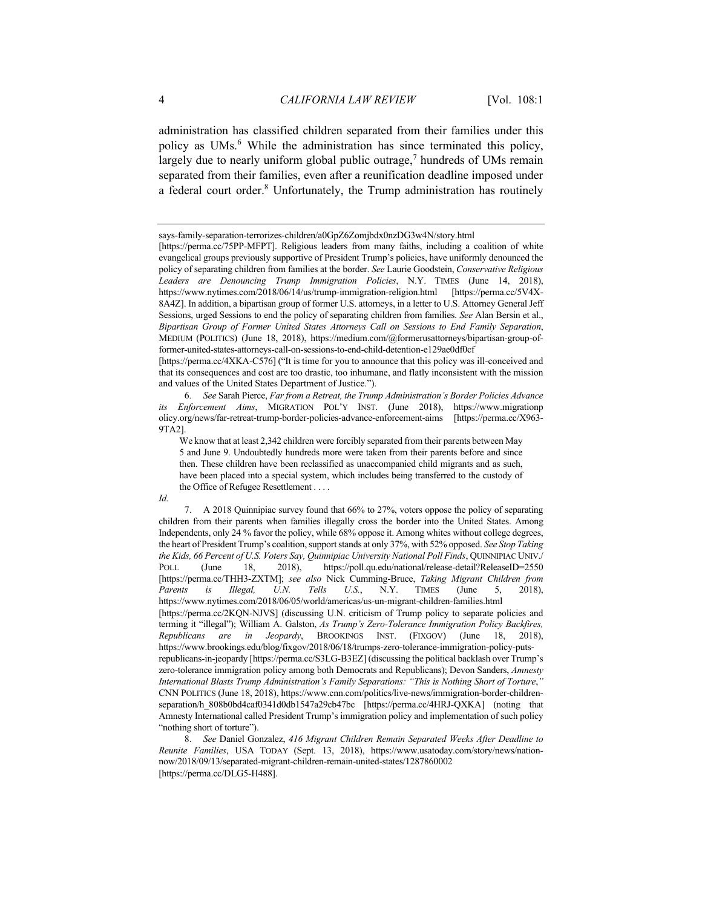administration has classified children separated from their families under this policy as UMs. $<sup>6</sup>$  While the administration has since terminated this policy,</sup> largely due to nearly uniform global public outrage,<sup>7</sup> hundreds of UMs remain separated from their families, even after a reunification deadline imposed under a federal court order.<sup>8</sup> Unfortunately, the Trump administration has routinely

[https://perma.cc/4XKA-C576] ("It is time for you to announce that this policy was ill-conceived and that its consequences and cost are too drastic, too inhumane, and flatly inconsistent with the mission and values of the United States Department of Justice.").

6*. See* Sarah Pierce, *Far from a Retreat, the Trump Administration's Border Policies Advance its Enforcement Aims*, MIGRATION POL'Y INST. (June 2018), https://www.migrationp olicy.org/news/far-retreat-trump-border-policies-advance-enforcement-aims [https://perma.cc/X963- 9TA2].

*Id.*

says-family-separation-terrorizes-children/a0GpZ6Zomjbdx0nzDG3w4N/story.html

<sup>[</sup>https://perma.cc/75PP-MFPT]. Religious leaders from many faiths, including a coalition of white evangelical groups previously supportive of President Trump's policies, have uniformly denounced the policy of separating children from families at the border. *See* Laurie Goodstein, *Conservative Religious Leaders are Denouncing Trump Immigration Policies*, N.Y. TIMES (June 14, 2018), https://www.nytimes.com/2018/06/14/us/trump-immigration-religion.html [https://perma.cc/5V4X-8A4Z]. In addition, a bipartisan group of former U.S. attorneys, in a letter to U.S. Attorney General Jeff Sessions, urged Sessions to end the policy of separating children from families. *See* Alan Bersin et al., *Bipartisan Group of Former United States Attorneys Call on Sessions to End Family Separation*, MEDIUM (POLITICS) (June 18, 2018), https://medium.com/@formerusattorneys/bipartisan-group-offormer-united-states-attorneys-call-on-sessions-to-end-child-detention-e129ae0df0cf

We know that at least 2,342 children were forcibly separated from their parents between May 5 and June 9. Undoubtedly hundreds more were taken from their parents before and since then. These children have been reclassified as unaccompanied child migrants and as such, have been placed into a special system, which includes being transferred to the custody of the Office of Refugee Resettlement . . . .

<sup>7.</sup> A 2018 Quinnipiac survey found that 66% to 27%, voters oppose the policy of separating children from their parents when families illegally cross the border into the United States. Among Independents, only 24 % favor the policy, while 68% oppose it. Among whites without college degrees, the heart of President Trump's coalition, support stands at only 37%, with 52% opposed. *See Stop Taking the Kids, 66 Percent of U.S. Voters Say, Quinnipiac University National Poll Finds*, QUINNIPIAC UNIV./ POLL (June 18, 2018), https://poll.qu.edu/national/release-detail?ReleaseID=2550 [https://perma.cc/THH3-ZXTM]; *see also* Nick Cumming-Bruce, *Taking Migrant Children from Parents is Illegal, U.N. Tells U.S.*, N.Y. TIMES (June 5, 2018), https://www.nytimes.com/2018/06/05/world/americas/us-un-migrant-children-families.html [https://perma.cc/2KQN-NJVS] (discussing U.N. criticism of Trump policy to separate policies and terming it "illegal"); William A. Galston, *As Trump's Zero-Tolerance Immigration Policy Backfires, Republicans are in Jeopardy*, BROOKINGS INST. (FIXGOV) (June 18, 2018), https://www.brookings.edu/blog/fixgov/2018/06/18/trumps-zero-tolerance-immigration-policy-putsrepublicans-in-jeopardy [https://perma.cc/S3LG-B3EZ] (discussing the political backlash over Trump's zero-tolerance immigration policy among both Democrats and Republicans); Devon Sanders, *Amnesty International Blasts Trump Administration's Family Separations: "This is Nothing Short of Torture*,*"* CNN POLITICS (June 18, 2018), https://www.cnn.com/politics/live-news/immigration-border-childrenseparation/h 808b0bd4caf0341d0db1547a29cb47bc [https://perma.cc/4HRJ-QXKA] (noting that Amnesty International called President Trump's immigration policy and implementation of such policy "nothing short of torture").

<sup>8.</sup> *See* Daniel Gonzalez, *416 Migrant Children Remain Separated Weeks After Deadline to Reunite Families*, USA TODAY (Sept. 13, 2018), https://www.usatoday.com/story/news/nationnow/2018/09/13/separated-migrant-children-remain-united-states/1287860002 [https://perma.cc/DLG5-H488].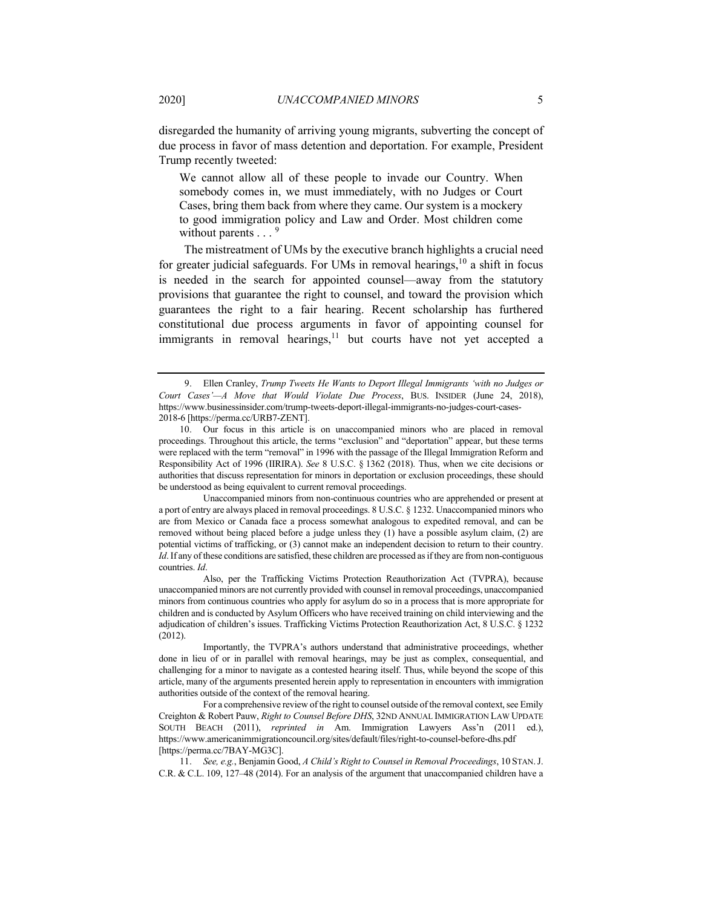disregarded the humanity of arriving young migrants, subverting the concept of due process in favor of mass detention and deportation. For example, President Trump recently tweeted:

We cannot allow all of these people to invade our Country. When somebody comes in, we must immediately, with no Judges or Court Cases, bring them back from where they came. Our system is a mockery to good immigration policy and Law and Order. Most children come without parents  $\ldots$ <sup>9</sup>

The mistreatment of UMs by the executive branch highlights a crucial need for greater judicial safeguards. For UMs in removal hearings,  $10$  a shift in focus is needed in the search for appointed counsel—away from the statutory provisions that guarantee the right to counsel, and toward the provision which guarantees the right to a fair hearing. Recent scholarship has furthered constitutional due process arguments in favor of appointing counsel for immigrants in removal hearings, $11$  but courts have not yet accepted a

Unaccompanied minors from non-continuous countries who are apprehended or present at a port of entry are always placed in removal proceedings. 8 U.S.C. § 1232. Unaccompanied minors who are from Mexico or Canada face a process somewhat analogous to expedited removal, and can be removed without being placed before a judge unless they (1) have a possible asylum claim, (2) are potential victims of trafficking, or (3) cannot make an independent decision to return to their country. *Id*. If any of these conditions are satisfied, these children are processed as if they are from non-contiguous countries. *Id*.

Also, per the Trafficking Victims Protection Reauthorization Act (TVPRA), because unaccompanied minors are not currently provided with counsel in removal proceedings, unaccompanied minors from continuous countries who apply for asylum do so in a process that is more appropriate for children and is conducted by Asylum Officers who have received training on child interviewing and the adjudication of children's issues. Trafficking Victims Protection Reauthorization Act, 8 U.S.C. § 1232 (2012).

Importantly, the TVPRA's authors understand that administrative proceedings, whether done in lieu of or in parallel with removal hearings, may be just as complex, consequential, and challenging for a minor to navigate as a contested hearing itself. Thus, while beyond the scope of this article, many of the arguments presented herein apply to representation in encounters with immigration authorities outside of the context of the removal hearing.

For a comprehensive review of the right to counsel outside of the removal context, see Emily Creighton & Robert Pauw, *Right to Counsel Before DHS*, 32ND ANNUAL IMMIGRATION LAW UPDATE SOUTH BEACH (2011), *reprinted in* Am. Immigration Lawyers Ass'n (2011 ed.), https://www.americanimmigrationcouncil.org/sites/default/files/right-to-counsel-before-dhs.pdf [https://perma.cc/7BAY-MG3C].

11. *See, e.g.*, Benjamin Good, *A Child's Right to Counsel in Removal Proceedings*, 10 STAN.J. C.R. & C.L. 109, 127–48 (2014). For an analysis of the argument that unaccompanied children have a

<sup>9.</sup> Ellen Cranley, *Trump Tweets He Wants to Deport Illegal Immigrants 'with no Judges or Court Cases'—A Move that Would Violate Due Process*, BUS. INSIDER (June 24, 2018), https://www.businessinsider.com/trump-tweets-deport-illegal-immigrants-no-judges-court-cases-2018-6 [https://perma.cc/URB7-ZENT].

<sup>10.</sup> Our focus in this article is on unaccompanied minors who are placed in removal proceedings. Throughout this article, the terms "exclusion" and "deportation" appear, but these terms were replaced with the term "removal" in 1996 with the passage of the Illegal Immigration Reform and Responsibility Act of 1996 (IIRIRA). *See* 8 U.S.C. § 1362 (2018). Thus, when we cite decisions or authorities that discuss representation for minors in deportation or exclusion proceedings, these should be understood as being equivalent to current removal proceedings.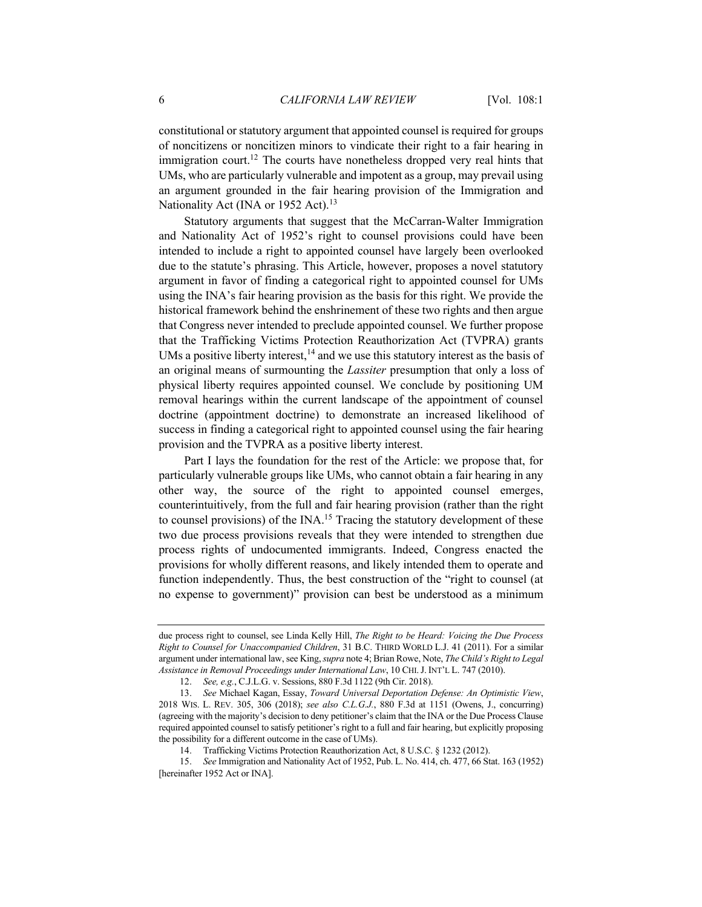constitutional or statutory argument that appointed counsel is required for groups of noncitizens or noncitizen minors to vindicate their right to a fair hearing in immigration court.<sup>12</sup> The courts have nonetheless dropped very real hints that UMs, who are particularly vulnerable and impotent as a group, may prevail using an argument grounded in the fair hearing provision of the Immigration and Nationality Act (INA or 1952 Act).<sup>13</sup>

Statutory arguments that suggest that the McCarran-Walter Immigration and Nationality Act of 1952's right to counsel provisions could have been intended to include a right to appointed counsel have largely been overlooked due to the statute's phrasing. This Article, however, proposes a novel statutory argument in favor of finding a categorical right to appointed counsel for UMs using the INA's fair hearing provision as the basis for this right. We provide the historical framework behind the enshrinement of these two rights and then argue that Congress never intended to preclude appointed counsel. We further propose that the Trafficking Victims Protection Reauthorization Act (TVPRA) grants UMs a positive liberty interest,  $14$  and we use this statutory interest as the basis of an original means of surmounting the *Lassiter* presumption that only a loss of physical liberty requires appointed counsel. We conclude by positioning UM removal hearings within the current landscape of the appointment of counsel doctrine (appointment doctrine) to demonstrate an increased likelihood of success in finding a categorical right to appointed counsel using the fair hearing provision and the TVPRA as a positive liberty interest.

Part I lays the foundation for the rest of the Article: we propose that, for particularly vulnerable groups like UMs, who cannot obtain a fair hearing in any other way, the source of the right to appointed counsel emerges, counterintuitively, from the full and fair hearing provision (rather than the right to counsel provisions) of the INA.<sup>15</sup> Tracing the statutory development of these two due process provisions reveals that they were intended to strengthen due process rights of undocumented immigrants. Indeed, Congress enacted the provisions for wholly different reasons, and likely intended them to operate and function independently. Thus, the best construction of the "right to counsel (at no expense to government)" provision can best be understood as a minimum

due process right to counsel, see Linda Kelly Hill, *The Right to be Heard: Voicing the Due Process Right to Counsel for Unaccompanied Children*, 31 B.C. THIRD WORLD L.J. 41 (2011). For a similar argument under international law, see King, *supra* note 4; Brian Rowe, Note, *The Child's Right to Legal Assistance in Removal Proceedings under International Law*, 10 CHI.J. INT'L L. 747 (2010).

<sup>12.</sup> *See, e.g.*, C.J.L.G. v. Sessions, 880 F.3d 1122 (9th Cir. 2018).

<sup>13.</sup> *See* Michael Kagan, Essay, *Toward Universal Deportation Defense: An Optimistic View*, 2018 WIS. L. REV. 305, 306 (2018); *see also C.L.G.J.*, 880 F.3d at 1151 (Owens, J., concurring) (agreeing with the majority's decision to deny petitioner's claim that the INA or the Due Process Clause required appointed counsel to satisfy petitioner's right to a full and fair hearing, but explicitly proposing the possibility for a different outcome in the case of UMs).

<sup>14.</sup> Trafficking Victims Protection Reauthorization Act, 8 U.S.C. § 1232 (2012).

<sup>15.</sup> *See* Immigration and Nationality Act of 1952, Pub. L. No. 414, ch. 477, 66 Stat. 163 (1952) [hereinafter 1952 Act or INA].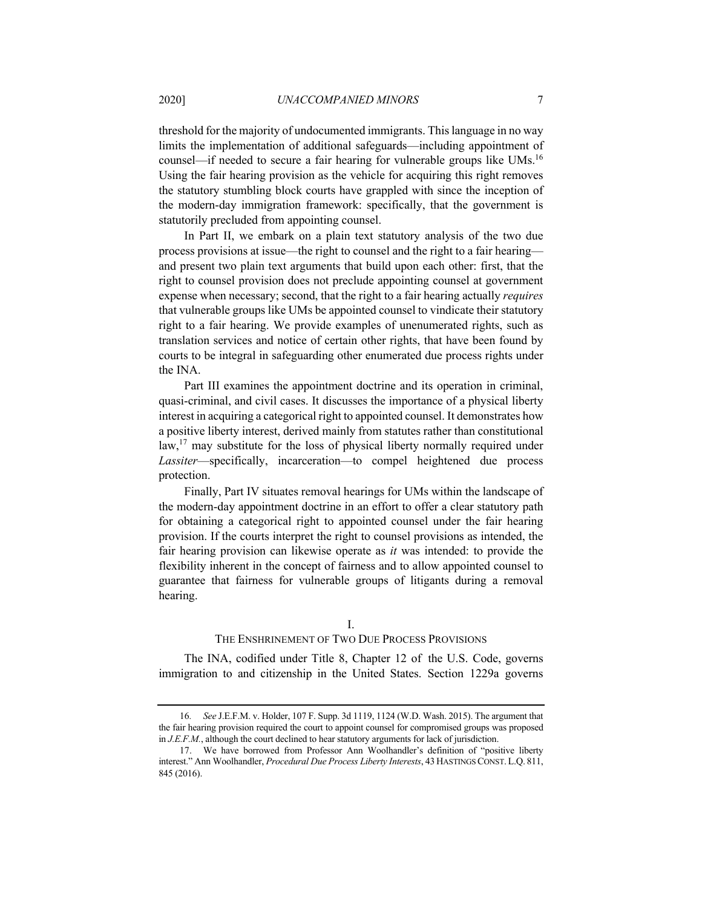threshold for the majority of undocumented immigrants. This language in no way limits the implementation of additional safeguards—including appointment of counsel—if needed to secure a fair hearing for vulnerable groups like  $UMs<sup>16</sup>$ Using the fair hearing provision as the vehicle for acquiring this right removes the statutory stumbling block courts have grappled with since the inception of the modern-day immigration framework: specifically, that the government is statutorily precluded from appointing counsel.

In Part II, we embark on a plain text statutory analysis of the two due process provisions at issue—the right to counsel and the right to a fair hearing and present two plain text arguments that build upon each other: first, that the right to counsel provision does not preclude appointing counsel at government expense when necessary; second, that the right to a fair hearing actually *requires* that vulnerable groups like UMs be appointed counsel to vindicate their statutory right to a fair hearing. We provide examples of unenumerated rights, such as translation services and notice of certain other rights, that have been found by courts to be integral in safeguarding other enumerated due process rights under the INA.

Part III examines the appointment doctrine and its operation in criminal, quasi-criminal, and civil cases. It discusses the importance of a physical liberty interest in acquiring a categorical right to appointed counsel. It demonstrates how a positive liberty interest, derived mainly from statutes rather than constitutional law,<sup>17</sup> may substitute for the loss of physical liberty normally required under *Lassiter*—specifically, incarceration—to compel heightened due process protection.

Finally, Part IV situates removal hearings for UMs within the landscape of the modern-day appointment doctrine in an effort to offer a clear statutory path for obtaining a categorical right to appointed counsel under the fair hearing provision. If the courts interpret the right to counsel provisions as intended, the fair hearing provision can likewise operate as *it* was intended: to provide the flexibility inherent in the concept of fairness and to allow appointed counsel to guarantee that fairness for vulnerable groups of litigants during a removal hearing.

#### I.

# THE ENSHRINEMENT OF TWO DUE PROCESS PROVISIONS

The INA, codified under Title 8, Chapter 12 of the U.S. Code, governs immigration to and citizenship in the United States. Section 1229a governs

<sup>16</sup>*. See* J.E.F.M. v. Holder, 107 F. Supp. 3d 1119, 1124 (W.D. Wash. 2015). The argument that the fair hearing provision required the court to appoint counsel for compromised groups was proposed in *J.E.F.M.*, although the court declined to hear statutory arguments for lack of jurisdiction.

<sup>17.</sup> We have borrowed from Professor Ann Woolhandler's definition of "positive liberty interest." Ann Woolhandler, *Procedural Due Process Liberty Interests*, 43 HASTINGS CONST. L.Q. 811, 845 (2016).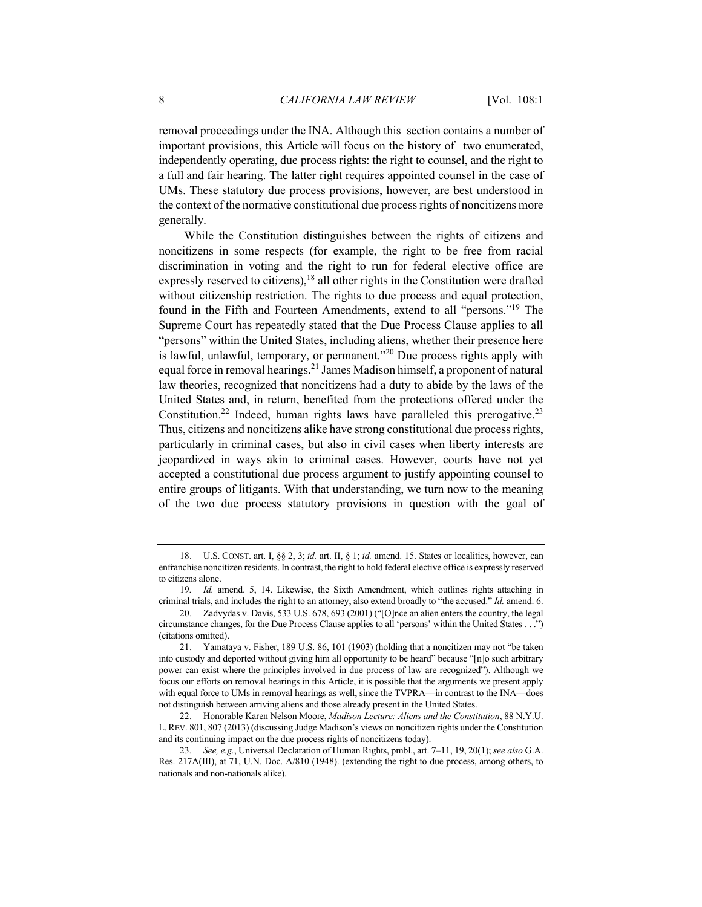removal proceedings under the INA. Although this section contains a number of important provisions, this Article will focus on the history of two enumerated, independently operating, due process rights: the right to counsel, and the right to a full and fair hearing. The latter right requires appointed counsel in the case of UMs. These statutory due process provisions, however, are best understood in the context of the normative constitutional due process rights of noncitizens more generally.

While the Constitution distinguishes between the rights of citizens and noncitizens in some respects (for example, the right to be free from racial discrimination in voting and the right to run for federal elective office are expressly reserved to citizens), $18$  all other rights in the Constitution were drafted without citizenship restriction. The rights to due process and equal protection, found in the Fifth and Fourteen Amendments, extend to all "persons."19 The Supreme Court has repeatedly stated that the Due Process Clause applies to all "persons" within the United States, including aliens, whether their presence here is lawful, unlawful, temporary, or permanent. $20$  Due process rights apply with equal force in removal hearings.<sup>21</sup> James Madison himself, a proponent of natural law theories, recognized that noncitizens had a duty to abide by the laws of the United States and, in return, benefited from the protections offered under the Constitution.<sup>22</sup> Indeed, human rights laws have paralleled this prerogative.<sup>23</sup> Thus, citizens and noncitizens alike have strong constitutional due process rights, particularly in criminal cases, but also in civil cases when liberty interests are jeopardized in ways akin to criminal cases. However, courts have not yet accepted a constitutional due process argument to justify appointing counsel to entire groups of litigants. With that understanding, we turn now to the meaning of the two due process statutory provisions in question with the goal of

<sup>18.</sup> U.S. CONST. art. I, §§ 2, 3; *id.* art. II, § 1; *id.* amend. 15. States or localities, however, can enfranchise noncitizen residents. In contrast, the right to hold federal elective office is expressly reserved to citizens alone.

<sup>19</sup>*. Id.* amend. 5, 14. Likewise, the Sixth Amendment, which outlines rights attaching in criminal trials, and includes the right to an attorney, also extend broadly to "the accused." *Id.* amend. 6.

<sup>20.</sup> Zadvydas v. Davis, 533 U.S. 678, 693 (2001) ("[O]nce an alien enters the country, the legal circumstance changes, for the Due Process Clause applies to all 'persons' within the United States . . .") (citations omitted).

<sup>21.</sup> Yamataya v. Fisher, 189 U.S. 86, 101 (1903) (holding that a noncitizen may not "be taken into custody and deported without giving him all opportunity to be heard" because "[n]o such arbitrary power can exist where the principles involved in due process of law are recognized"). Although we focus our efforts on removal hearings in this Article, it is possible that the arguments we present apply with equal force to UMs in removal hearings as well, since the TVPRA—in contrast to the INA—does not distinguish between arriving aliens and those already present in the United States.

<sup>22.</sup> Honorable Karen Nelson Moore, *Madison Lecture: Aliens and the Constitution*, 88 N.Y.U. L.REV. 801, 807 (2013) (discussing Judge Madison's views on noncitizen rights under the Constitution and its continuing impact on the due process rights of noncitizens today).

<sup>23</sup>*. See, e.g.*, Universal Declaration of Human Rights, pmbl., art. 7–11, 19, 20(1); *see also* G.A. Res. 217A(III), at 71, U.N. Doc. A/810 (1948). (extending the right to due process, among others, to nationals and non-nationals alike)*.*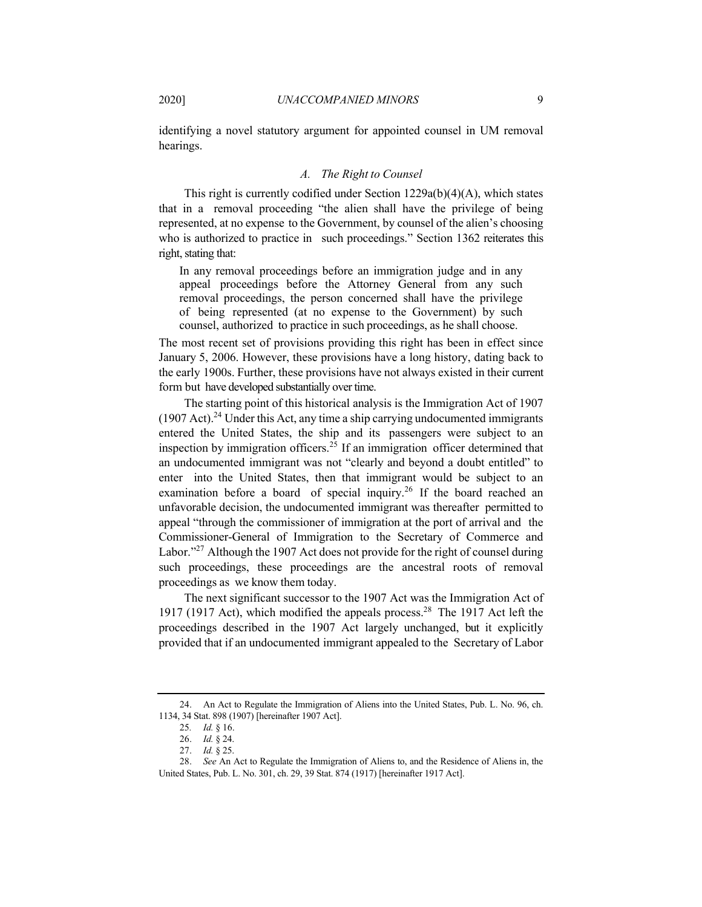identifying a novel statutory argument for appointed counsel in UM removal hearings.

### *A. The Right to Counsel*

This right is currently codified under Section 1229a(b)(4)(A), which states that in a removal proceeding "the alien shall have the privilege of being represented, at no expense to the Government, by counsel of the alien's choosing who is authorized to practice in such proceedings." Section 1362 reiterates this right, stating that:

In any removal proceedings before an immigration judge and in any appeal proceedings before the Attorney General from any such removal proceedings, the person concerned shall have the privilege of being represented (at no expense to the Government) by such counsel, authorized to practice in such proceedings, as he shall choose.

The most recent set of provisions providing this right has been in effect since January 5, 2006. However, these provisions have a long history, dating back to the early 1900s. Further, these provisions have not always existed in their current form but have developed substantially over time.

The starting point of this historical analysis is the Immigration Act of 1907  $(1907 \text{ Act})$ .<sup>24</sup> Under this Act, any time a ship carrying undocumented immigrants entered the United States, the ship and its passengers were subject to an inspection by immigration officers.<sup>25</sup> If an immigration officer determined that an undocumented immigrant was not "clearly and beyond a doubt entitled" to enter into the United States, then that immigrant would be subject to an examination before a board of special inquiry.<sup>26</sup> If the board reached an unfavorable decision, the undocumented immigrant was thereafter permitted to appeal "through the commissioner of immigration at the port of arrival and the Commissioner-General of Immigration to the Secretary of Commerce and Labor."<sup>27</sup> Although the 1907 Act does not provide for the right of counsel during such proceedings, these proceedings are the ancestral roots of removal proceedings as we know them today.

The next significant successor to the 1907 Act was the Immigration Act of 1917 (1917 Act), which modified the appeals process.<sup>28</sup> The 1917 Act left the proceedings described in the 1907 Act largely unchanged, but it explicitly provided that if an undocumented immigrant appealed to the Secretary of Labor

<sup>24.</sup> An Act to Regulate the Immigration of Aliens into the United States, Pub. L. No. 96, ch. 1134, 34 Stat. 898 (1907) [hereinafter 1907 Act].

<sup>25</sup>*. Id.* § 16.

<sup>26.</sup> *Id.* § 24.

<sup>27.</sup> *Id.* § 25.

<sup>28.</sup> *See* An Act to Regulate the Immigration of Aliens to, and the Residence of Aliens in, the United States, Pub. L. No. 301, ch. 29, 39 Stat. 874 (1917) [hereinafter 1917 Act].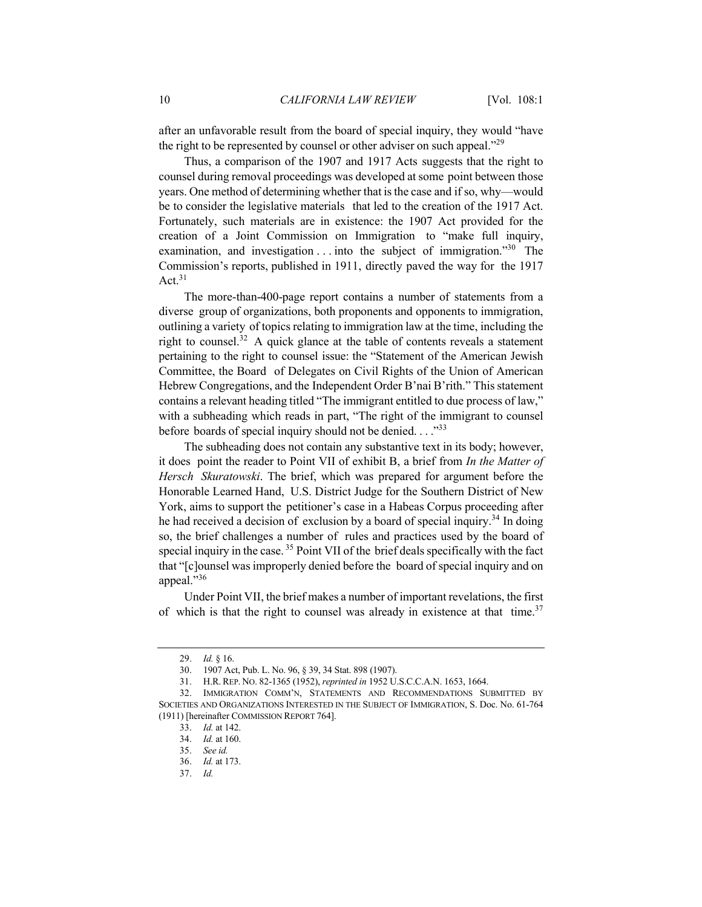after an unfavorable result from the board of special inquiry, they would "have the right to be represented by counsel or other adviser on such appeal."<sup>29</sup>

Thus, a comparison of the 1907 and 1917 Acts suggests that the right to counsel during removal proceedings was developed at some point between those years. One method of determining whether that is the case and if so, why—would be to consider the legislative materials that led to the creation of the 1917 Act. Fortunately, such materials are in existence: the 1907 Act provided for the creation of a Joint Commission on Immigration to "make full inquiry, examination, and investigation  $\dots$  into the subject of immigration.<sup>30</sup> The Commission's reports, published in 1911, directly paved the way for the 1917 Act. $31$ 

The more-than-400-page report contains a number of statements from a diverse group of organizations, both proponents and opponents to immigration, outlining a variety of topics relating to immigration law at the time, including the right to counsel.<sup>32</sup> A quick glance at the table of contents reveals a statement pertaining to the right to counsel issue: the "Statement of the American Jewish Committee, the Board of Delegates on Civil Rights of the Union of American Hebrew Congregations, and the Independent Order B'nai B'rith." This statement contains a relevant heading titled "The immigrant entitled to due process of law," with a subheading which reads in part, "The right of the immigrant to counsel before boards of special inquiry should not be denied...."<sup>33</sup>

The subheading does not contain any substantive text in its body; however, it does point the reader to Point VII of exhibit B, a brief from *In the Matter of Hersch Skuratowski*. The brief, which was prepared for argument before the Honorable Learned Hand, U.S. District Judge for the Southern District of New York, aims to support the petitioner's case in a Habeas Corpus proceeding after he had received a decision of exclusion by a board of special inquiry.<sup>34</sup> In doing so, the brief challenges a number of rules and practices used by the board of special inquiry in the case.  $35$  Point VII of the brief deals specifically with the fact that "[c]ounsel was improperly denied before the board of special inquiry and on appeal."36

Under Point VII, the brief makes a number of important revelations, the first of which is that the right to counsel was already in existence at that time.<sup>37</sup>

<sup>29.</sup> *Id.* § 16.

<sup>30.</sup> 1907 Act, Pub. L. No. 96, § 39, 34 Stat. 898 (1907).

<sup>31.</sup> H.R. REP. NO. 82-1365 (1952), *reprinted in* 1952 U.S.C.C.A.N. 1653, 1664.

<sup>32.</sup> IMMIGRATION COMM'N, STATEMENTS AND RECOMMENDATIONS SUBMITTED BY SOCIETIES AND ORGANIZATIONS INTERESTED IN THE SUBJECT OF IMMIGRATION, S. Doc. No. 61-764 (1911) [hereinafter COMMISSION REPORT 764].

<sup>33.</sup> *Id.* at 142.

<sup>34.</sup> *Id.* at 160.

<sup>35.</sup> *See id.*

<sup>36.</sup> *Id.* at 173.

<sup>37.</sup> *Id.*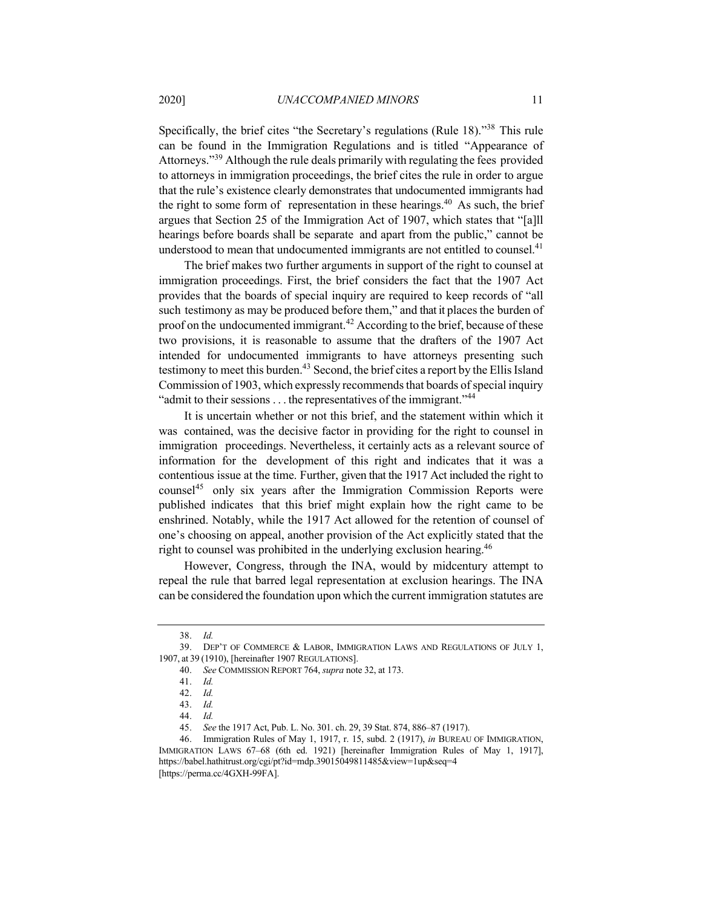Specifically, the brief cites "the Secretary's regulations (Rule 18)."<sup>38</sup> This rule can be found in the Immigration Regulations and is titled "Appearance of Attorneys."<sup>39</sup> Although the rule deals primarily with regulating the fees provided to attorneys in immigration proceedings, the brief cites the rule in order to argue that the rule's existence clearly demonstrates that undocumented immigrants had the right to some form of representation in these hearings.<sup>40</sup> As such, the brief argues that Section 25 of the Immigration Act of 1907, which states that "[a]ll hearings before boards shall be separate and apart from the public," cannot be understood to mean that undocumented immigrants are not entitled to counsel.<sup>41</sup>

The brief makes two further arguments in support of the right to counsel at immigration proceedings. First, the brief considers the fact that the 1907 Act provides that the boards of special inquiry are required to keep records of "all such testimony as may be produced before them," and that it places the burden of proof on the undocumented immigrant.<sup>42</sup> According to the brief, because of these two provisions, it is reasonable to assume that the drafters of the 1907 Act intended for undocumented immigrants to have attorneys presenting such testimony to meet this burden.<sup>43</sup> Second, the brief cites a report by the Ellis Island Commission of 1903, which expressly recommends that boards of special inquiry "admit to their sessions  $\dots$  the representatives of the immigrant."<sup>44</sup>

It is uncertain whether or not this brief, and the statement within which it was contained, was the decisive factor in providing for the right to counsel in immigration proceedings. Nevertheless, it certainly acts as a relevant source of information for the development of this right and indicates that it was a contentious issue at the time. Further, given that the 1917 Act included the right to counsel<sup>45</sup> only six years after the Immigration Commission Reports were published indicates that this brief might explain how the right came to be enshrined. Notably, while the 1917 Act allowed for the retention of counsel of one's choosing on appeal, another provision of the Act explicitly stated that the right to counsel was prohibited in the underlying exclusion hearing.<sup>46</sup>

However, Congress, through the INA, would by midcentury attempt to repeal the rule that barred legal representation at exclusion hearings. The INA can be considered the foundation upon which the current immigration statutes are

46. Immigration Rules of May 1, 1917, r. 15, subd. 2 (1917), *in* BUREAU OF IMMIGRATION, IMMIGRATION LAWS 67–68 (6th ed. 1921) [hereinafter Immigration Rules of May 1, 1917], https://babel.hathitrust.org/cgi/pt?id=mdp.39015049811485&view=1up&seq=4 [https://perma.cc/4GXH-99FA].

<sup>38.</sup> *Id.*

<sup>39.</sup> DEP'T OF COMMERCE & LABOR, IMMIGRATION LAWS AND REGULATIONS OF JULY 1, 1907, at 39 (1910), [hereinafter 1907 REGULATIONS].

<sup>40.</sup> *See* COMMISSION REPORT 764, *supra* note 32, at 173.

<sup>41.</sup> *Id.*

<sup>42.</sup> *Id.*

<sup>43.</sup> *Id.*

<sup>44.</sup> *Id.*

<sup>45.</sup> *See* the 1917 Act, Pub. L. No. 301. ch. 29, 39 Stat. 874, 886–87 (1917).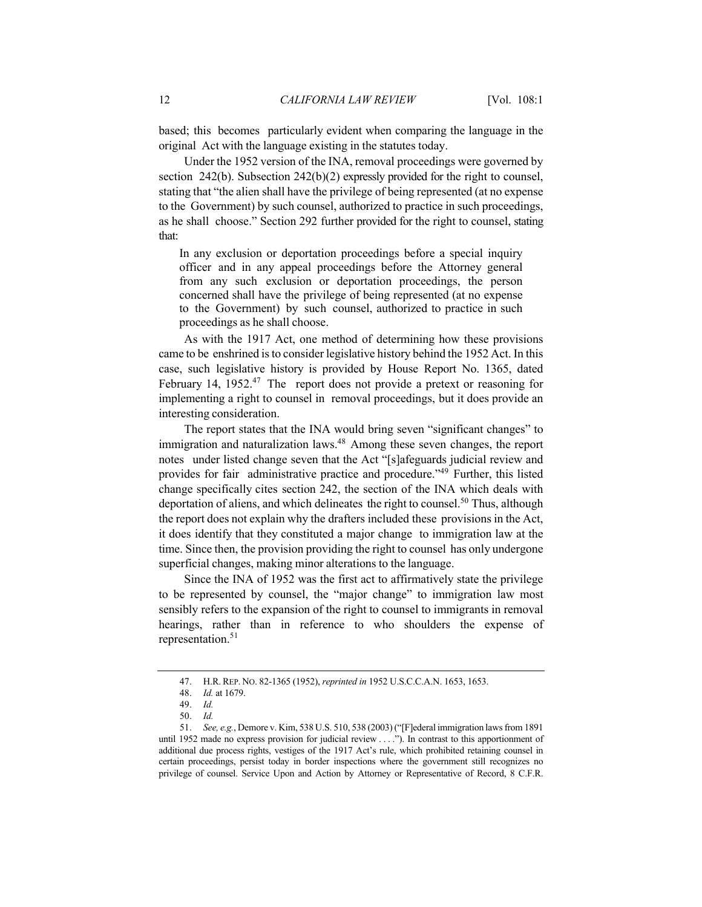based; this becomes particularly evident when comparing the language in the original Act with the language existing in the statutes today.

Under the 1952 version of the INA, removal proceedings were governed by section 242(b). Subsection 242(b)(2) expressly provided for the right to counsel, stating that "the alien shall have the privilege of being represented (at no expense to the Government) by such counsel, authorized to practice in such proceedings, as he shall choose." Section 292 further provided for the right to counsel, stating that:

In any exclusion or deportation proceedings before a special inquiry officer and in any appeal proceedings before the Attorney general from any such exclusion or deportation proceedings, the person concerned shall have the privilege of being represented (at no expense to the Government) by such counsel, authorized to practice in such proceedings as he shall choose.

As with the 1917 Act, one method of determining how these provisions came to be enshrined is to consider legislative history behind the 1952 Act. In this case, such legislative history is provided by House Report No. 1365, dated February 14, 1952.<sup>47</sup> The report does not provide a pretext or reasoning for implementing a right to counsel in removal proceedings, but it does provide an interesting consideration.

The report states that the INA would bring seven "significant changes" to immigration and naturalization laws.<sup>48</sup> Among these seven changes, the report notes under listed change seven that the Act "[s]afeguards judicial review and provides for fair administrative practice and procedure."49 Further, this listed change specifically cites section 242, the section of the INA which deals with deportation of aliens, and which delineates the right to counsel.<sup>50</sup> Thus, although the report does not explain why the drafters included these provisions in the Act, it does identify that they constituted a major change to immigration law at the time. Since then, the provision providing the right to counsel has only undergone superficial changes, making minor alterations to the language.

Since the INA of 1952 was the first act to affirmatively state the privilege to be represented by counsel, the "major change" to immigration law most sensibly refers to the expansion of the right to counsel to immigrants in removal hearings, rather than in reference to who shoulders the expense of representation.<sup>51</sup>

<sup>47.</sup> H.R. REP. NO. 82-1365 (1952), *reprinted in* 1952 U.S.C.C.A.N. 1653, 1653.

<sup>48.</sup> *Id.* at 1679.

<sup>49.</sup> *Id.*

<sup>50.</sup> *Id.*

<sup>51.</sup> *See, e.g.*, Demore v. Kim, 538 U.S. 510, 538 (2003) ("[F]ederal immigration laws from 1891 until 1952 made no express provision for judicial review . . . ."). In contrast to this apportionment of additional due process rights, vestiges of the 1917 Act's rule, which prohibited retaining counsel in certain proceedings, persist today in border inspections where the government still recognizes no privilege of counsel. Service Upon and Action by Attorney or Representative of Record, 8 C.F.R.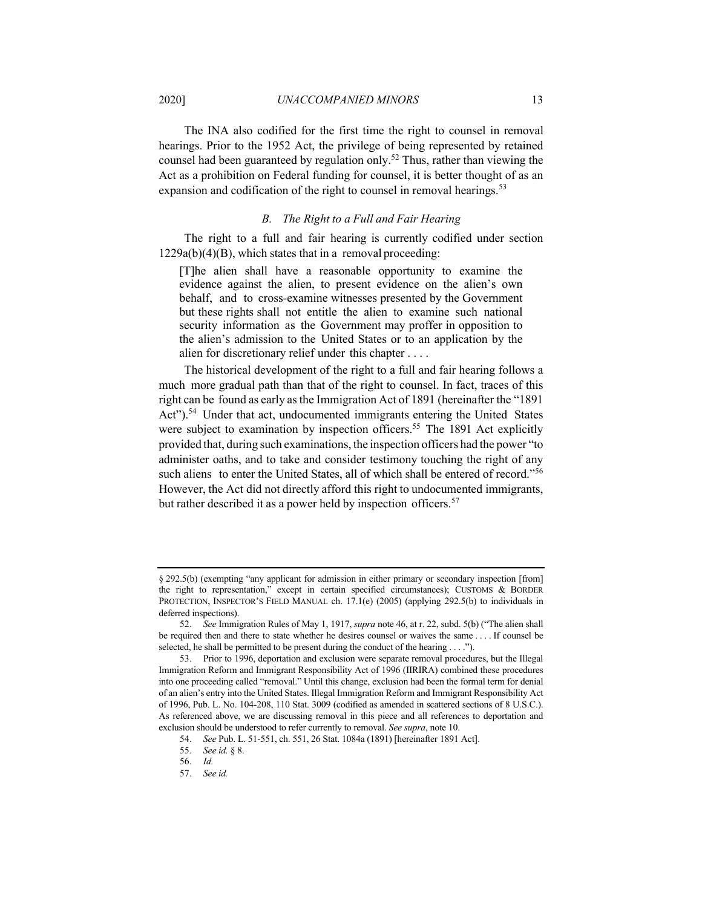The INA also codified for the first time the right to counsel in removal hearings. Prior to the 1952 Act, the privilege of being represented by retained counsel had been guaranteed by regulation only.<sup>52</sup> Thus, rather than viewing the Act as a prohibition on Federal funding for counsel, it is better thought of as an expansion and codification of the right to counsel in removal hearings.<sup>53</sup>

# *B. The Right to a Full and Fair Hearing*

The right to a full and fair hearing is currently codified under section  $1229a(b)(4)(B)$ , which states that in a removal proceeding:

[T]he alien shall have a reasonable opportunity to examine the evidence against the alien, to present evidence on the alien's own behalf, and to cross-examine witnesses presented by the Government but these rights shall not entitle the alien to examine such national security information as the Government may proffer in opposition to the alien's admission to the United States or to an application by the alien for discretionary relief under this chapter . . . .

The historical development of the right to a full and fair hearing follows a much more gradual path than that of the right to counsel. In fact, traces of this right can be found as early asthe Immigration Act of 1891 (hereinafter the "1891 Act").<sup>54</sup> Under that act, undocumented immigrants entering the United States were subject to examination by inspection officers.<sup>55</sup> The 1891 Act explicitly provided that, during such examinations, the inspection officers had the power "to administer oaths, and to take and consider testimony touching the right of any such aliens to enter the United States, all of which shall be entered of record."<sup>56</sup> However, the Act did not directly afford this right to undocumented immigrants, but rather described it as a power held by inspection officers.<sup>57</sup>

<sup>§</sup> 292.5(b) (exempting "any applicant for admission in either primary or secondary inspection [from] the right to representation," except in certain specified circumstances); CUSTOMS & BORDER PROTECTION, INSPECTOR'S FIELD MANUAL ch. 17.1(e) (2005) (applying 292.5(b) to individuals in deferred inspections).

<sup>52.</sup> *See* Immigration Rules of May 1, 1917, *supra* note 46, at r. 22, subd. 5(b) ("The alien shall be required then and there to state whether he desires counsel or waives the same . . . . If counsel be selected, he shall be permitted to be present during the conduct of the hearing . . . .").

<sup>53.</sup> Prior to 1996, deportation and exclusion were separate removal procedures, but the Illegal Immigration Reform and Immigrant Responsibility Act of 1996 (IIRIRA) combined these procedures into one proceeding called "removal." Until this change, exclusion had been the formal term for denial of an alien's entry into the United States. Illegal Immigration Reform and Immigrant Responsibility Act of 1996, Pub. L. No. 104-208, 110 Stat. 3009 (codified as amended in scattered sections of 8 U.S.C.). As referenced above, we are discussing removal in this piece and all references to deportation and exclusion should be understood to refer currently to removal. *See supra*, note 10.

<sup>54.</sup> *See* Pub. L. 51-551, ch. 551, 26 Stat. 1084a (1891) [hereinafter 1891 Act].

<sup>55</sup>*. See id.* § 8.

<sup>56.</sup> *Id.*

<sup>57.</sup> *See id.*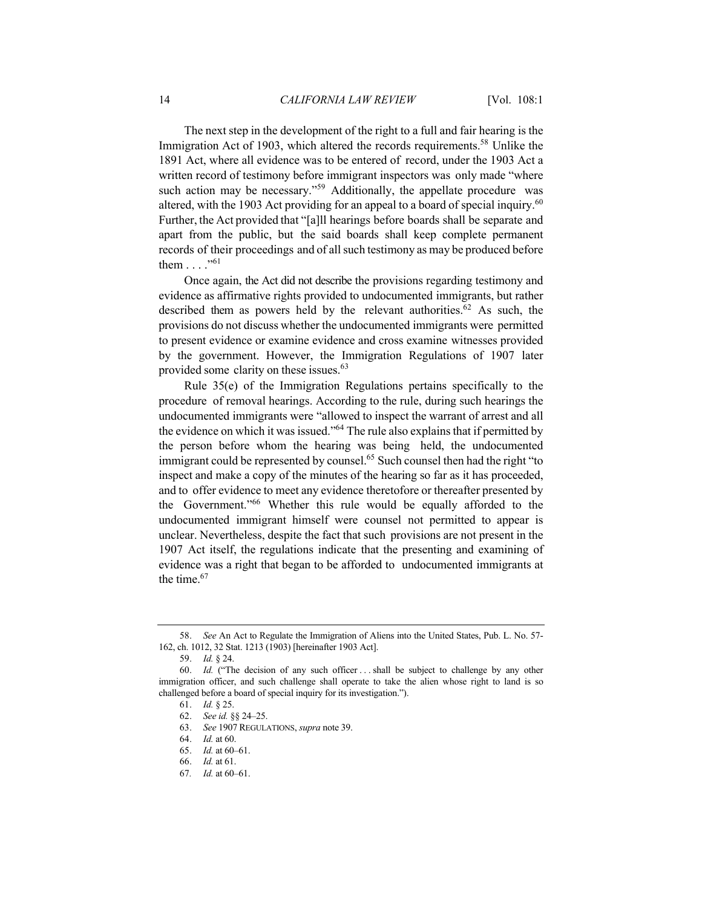The next step in the development of the right to a full and fair hearing is the Immigration Act of 1903, which altered the records requirements.<sup>58</sup> Unlike the 1891 Act, where all evidence was to be entered of record, under the 1903 Act a written record of testimony before immigrant inspectors was only made "where such action may be necessary."<sup>59</sup> Additionally, the appellate procedure was altered, with the 1903 Act providing for an appeal to a board of special inquiry.<sup>60</sup> Further, the Act provided that "[a]ll hearings before boards shall be separate and apart from the public, but the said boards shall keep complete permanent records of their proceedings and of all such testimony as may be produced before them  $\dots$ ."<sup>61</sup>

Once again, the Act did not describe the provisions regarding testimony and evidence as affirmative rights provided to undocumented immigrants, but rather described them as powers held by the relevant authorities.<sup>62</sup> As such, the provisions do not discuss whether the undocumented immigrants were permitted to present evidence or examine evidence and cross examine witnesses provided by the government. However, the Immigration Regulations of 1907 later provided some clarity on these issues.<sup>63</sup>

Rule 35(e) of the Immigration Regulations pertains specifically to the procedure of removal hearings. According to the rule, during such hearings the undocumented immigrants were "allowed to inspect the warrant of arrest and all the evidence on which it was issued."<sup>64</sup> The rule also explains that if permitted by the person before whom the hearing was being held, the undocumented immigrant could be represented by counsel.<sup>65</sup> Such counsel then had the right "to inspect and make a copy of the minutes of the hearing so far as it has proceeded, and to offer evidence to meet any evidence theretofore or thereafter presented by the Government."<sup>66</sup> Whether this rule would be equally afforded to the undocumented immigrant himself were counsel not permitted to appear is unclear. Nevertheless, despite the fact that such provisions are not present in the 1907 Act itself, the regulations indicate that the presenting and examining of evidence was a right that began to be afforded to undocumented immigrants at the time. $67$ 

<sup>58.</sup> *See* An Act to Regulate the Immigration of Aliens into the United States, Pub. L. No. 57- 162, ch. 1012, 32 Stat. 1213 (1903) [hereinafter 1903 Act].

<sup>59.</sup> *Id.* § 24.

<sup>60.</sup> *Id.* ("The decision of any such officer . . . shall be subject to challenge by any other immigration officer, and such challenge shall operate to take the alien whose right to land is so challenged before a board of special inquiry for its investigation.").

<sup>61.</sup> *Id.* § 25.

<sup>62.</sup> *See id.* §§ 24–25.

<sup>63.</sup> *See* 1907 REGULATIONS, *supra* note 39.

<sup>64.</sup> *Id.* at 60.

<sup>65.</sup> *Id.* at 60–61.

<sup>66.</sup> *Id.* at 61.

<sup>67</sup>*. Id.* at 60–61.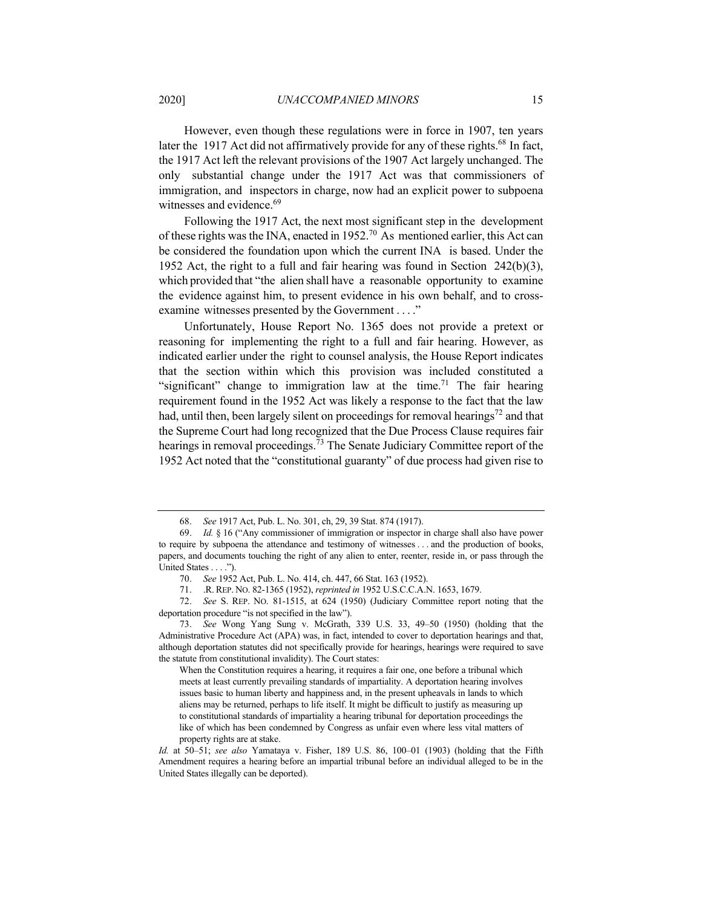However, even though these regulations were in force in 1907, ten years later the 1917 Act did not affirmatively provide for any of these rights.<sup>68</sup> In fact, the 1917 Act left the relevant provisions of the 1907 Act largely unchanged. The only substantial change under the 1917 Act was that commissioners of immigration, and inspectors in charge, now had an explicit power to subpoena witnesses and evidence.<sup>69</sup>

Following the 1917 Act, the next most significant step in the development of these rights was the INA, enacted in 1952.<sup>70</sup> As mentioned earlier, this Act can be considered the foundation upon which the current INA is based. Under the 1952 Act, the right to a full and fair hearing was found in Section 242(b)(3), which provided that "the alien shall have a reasonable opportunity to examine the evidence against him, to present evidence in his own behalf, and to crossexamine witnesses presented by the Government . . . ."

Unfortunately, House Report No. 1365 does not provide a pretext or reasoning for implementing the right to a full and fair hearing. However, as indicated earlier under the right to counsel analysis, the House Report indicates that the section within which this provision was included constituted a "significant" change to immigration law at the time.<sup>71</sup> The fair hearing requirement found in the 1952 Act was likely a response to the fact that the law had, until then, been largely silent on proceedings for removal hearings<sup>72</sup> and that the Supreme Court had long recognized that the Due Process Clause requires fair hearings in removal proceedings.<sup>73</sup> The Senate Judiciary Committee report of the 1952 Act noted that the "constitutional guaranty" of due process had given rise to

<sup>68.</sup> *See* 1917 Act, Pub. L. No. 301, ch, 29, 39 Stat. 874 (1917).

<sup>69.</sup> *Id.* § 16 ("Any commissioner of immigration or inspector in charge shall also have power to require by subpoena the attendance and testimony of witnesses . . . and the production of books, papers, and documents touching the right of any alien to enter, reenter, reside in, or pass through the United States . . . .").

<sup>70.</sup> *See* 1952 Act, Pub. L. No. 414, ch. 447, 66 Stat. 163 (1952).

<sup>71.</sup> .R. REP. NO. 82-1365 (1952), *reprinted in* 1952 U.S.C.C.A.N. 1653, 1679.

<sup>72.</sup> *See* S. REP. NO. 81-1515, at 624 (1950) (Judiciary Committee report noting that the deportation procedure "is not specified in the law").

<sup>73.</sup> *See* Wong Yang Sung v. McGrath, 339 U.S. 33, 49–50 (1950) (holding that the Administrative Procedure Act (APA) was, in fact, intended to cover to deportation hearings and that, although deportation statutes did not specifically provide for hearings, hearings were required to save the statute from constitutional invalidity). The Court states:

When the Constitution requires a hearing, it requires a fair one, one before a tribunal which meets at least currently prevailing standards of impartiality. A deportation hearing involves issues basic to human liberty and happiness and, in the present upheavals in lands to which aliens may be returned, perhaps to life itself. It might be difficult to justify as measuring up to constitutional standards of impartiality a hearing tribunal for deportation proceedings the like of which has been condemned by Congress as unfair even where less vital matters of property rights are at stake.

*Id.* at 50–51; *see also* Yamataya v. Fisher, 189 U.S. 86, 100–01 (1903) (holding that the Fifth Amendment requires a hearing before an impartial tribunal before an individual alleged to be in the United States illegally can be deported).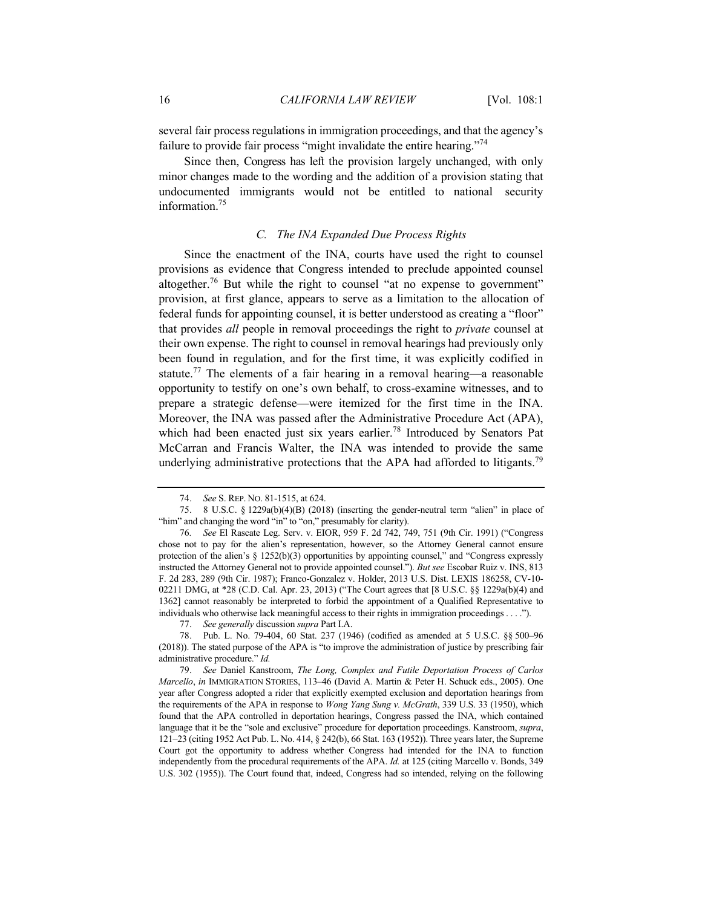several fair process regulations in immigration proceedings, and that the agency's failure to provide fair process "might invalidate the entire hearing."<sup>74</sup>

Since then, Congress has left the provision largely unchanged, with only minor changes made to the wording and the addition of a provision stating that undocumented immigrants would not be entitled to national security information.<sup>75</sup>

# *C. The INA Expanded Due Process Rights*

Since the enactment of the INA, courts have used the right to counsel provisions as evidence that Congress intended to preclude appointed counsel altogether.<sup>76</sup> But while the right to counsel "at no expense to government" provision, at first glance, appears to serve as a limitation to the allocation of federal funds for appointing counsel, it is better understood as creating a "floor" that provides *all* people in removal proceedings the right to *private* counsel at their own expense. The right to counsel in removal hearings had previously only been found in regulation, and for the first time, it was explicitly codified in statute.<sup>77</sup> The elements of a fair hearing in a removal hearing—a reasonable opportunity to testify on one's own behalf, to cross-examine witnesses, and to prepare a strategic defense—were itemized for the first time in the INA. Moreover, the INA was passed after the Administrative Procedure Act (APA), which had been enacted just six years earlier.<sup>78</sup> Introduced by Senators Pat McCarran and Francis Walter, the INA was intended to provide the same underlying administrative protections that the APA had afforded to litigants.<sup>79</sup>

<sup>74.</sup> *See* S. REP. NO. 81-1515, at 624.

<sup>75.</sup> 8 U.S.C. § 1229a(b)(4)(B) (2018) (inserting the gender-neutral term "alien" in place of "him" and changing the word "in" to "on," presumably for clarity).

<sup>76</sup>*. See* El Rascate Leg. Serv. v. EIOR, 959 F. 2d 742, 749, 751 (9th Cir. 1991) ("Congress chose not to pay for the alien's representation, however, so the Attorney General cannot ensure protection of the alien's § 1252(b)(3) opportunities by appointing counsel," and "Congress expressly instructed the Attorney General not to provide appointed counsel."). *But see* Escobar Ruiz v. INS, 813 F. 2d 283, 289 (9th Cir. 1987); Franco-Gonzalez v. Holder, 2013 U.S. Dist. LEXIS 186258, CV-10- 02211 DMG, at \*28 (C.D. Cal. Apr. 23, 2013) ("The Court agrees that [8 U.S.C. §§ 1229a(b)(4) and 1362] cannot reasonably be interpreted to forbid the appointment of a Qualified Representative to individuals who otherwise lack meaningful access to their rights in immigration proceedings . . . .").

<sup>77.</sup> *See generally* discussion *supra* Part I.A.

<sup>78.</sup> Pub. L. No. 79-404, 60 Stat. 237 (1946) (codified as amended at 5 U.S.C. §§ 500–96 (2018)). The stated purpose of the APA is "to improve the administration of justice by prescribing fair administrative procedure." *Id.*

<sup>79.</sup> *See* Daniel Kanstroom, *The Long, Complex and Futile Deportation Process of Carlos Marcello*, *in* IMMIGRATION STORIES, 113–46 (David A. Martin & Peter H. Schuck eds., 2005). One year after Congress adopted a rider that explicitly exempted exclusion and deportation hearings from the requirements of the APA in response to *Wong Yang Sung v. McGrath*, 339 U.S. 33 (1950), which found that the APA controlled in deportation hearings, Congress passed the INA, which contained language that it be the "sole and exclusive" procedure for deportation proceedings. Kanstroom, *supra*, 121–23 (citing 1952 Act Pub. L. No. 414, § 242(b), 66 Stat. 163 (1952)). Three years later, the Supreme Court got the opportunity to address whether Congress had intended for the INA to function independently from the procedural requirements of the APA. *Id.* at 125 (citing Marcello v. Bonds, 349 U.S. 302 (1955)). The Court found that, indeed, Congress had so intended, relying on the following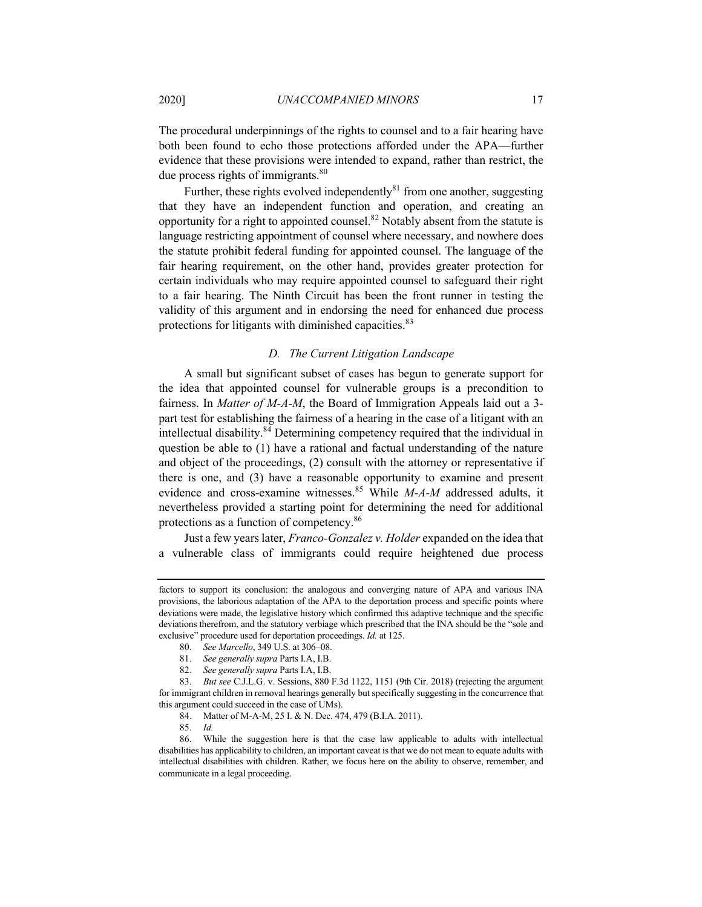The procedural underpinnings of the rights to counsel and to a fair hearing have both been found to echo those protections afforded under the APA—further evidence that these provisions were intended to expand, rather than restrict, the due process rights of immigrants. $80$ 

Further, these rights evolved independently $81$  from one another, suggesting that they have an independent function and operation, and creating an opportunity for a right to appointed counsel.<sup>82</sup> Notably absent from the statute is language restricting appointment of counsel where necessary, and nowhere does the statute prohibit federal funding for appointed counsel. The language of the fair hearing requirement, on the other hand, provides greater protection for certain individuals who may require appointed counsel to safeguard their right to a fair hearing. The Ninth Circuit has been the front runner in testing the validity of this argument and in endorsing the need for enhanced due process protections for litigants with diminished capacities.<sup>83</sup>

#### *D. The Current Litigation Landscape*

A small but significant subset of cases has begun to generate support for the idea that appointed counsel for vulnerable groups is a precondition to fairness. In *Matter of M-A-M*, the Board of Immigration Appeals laid out a 3 part test for establishing the fairness of a hearing in the case of a litigant with an intellectual disability.<sup>84</sup> Determining competency required that the individual in question be able to (1) have a rational and factual understanding of the nature and object of the proceedings, (2) consult with the attorney or representative if there is one, and (3) have a reasonable opportunity to examine and present evidence and cross-examine witnesses.<sup>85</sup> While *M-A-M* addressed adults, it nevertheless provided a starting point for determining the need for additional protections as a function of competency.86

Just a few years later, *Franco-Gonzalez v. Holder* expanded on the idea that a vulnerable class of immigrants could require heightened due process

factors to support its conclusion: the analogous and converging nature of APA and various INA provisions, the laborious adaptation of the APA to the deportation process and specific points where deviations were made, the legislative history which confirmed this adaptive technique and the specific deviations therefrom, and the statutory verbiage which prescribed that the INA should be the "sole and exclusive" procedure used for deportation proceedings. *Id.* at 125.

<sup>80.</sup> *See Marcello*, 349 U.S. at 306–08.

<sup>81.</sup> *See generally supra* Parts I.A, I.B.

<sup>82.</sup> *See generally supra* Parts I.A, I.B.

<sup>83.</sup> *But see* C.J.L.G. v. Sessions, 880 F.3d 1122, 1151 (9th Cir. 2018) (rejecting the argument for immigrant children in removal hearings generally but specifically suggesting in the concurrence that this argument could succeed in the case of UMs).

<sup>84.</sup> Matter of M-A-M, 25 I. & N. Dec. 474, 479 (B.I.A. 2011).

<sup>85.</sup> *Id.*

<sup>86.</sup> While the suggestion here is that the case law applicable to adults with intellectual disabilities has applicability to children, an important caveat is that we do not mean to equate adults with intellectual disabilities with children. Rather, we focus here on the ability to observe, remember, and communicate in a legal proceeding.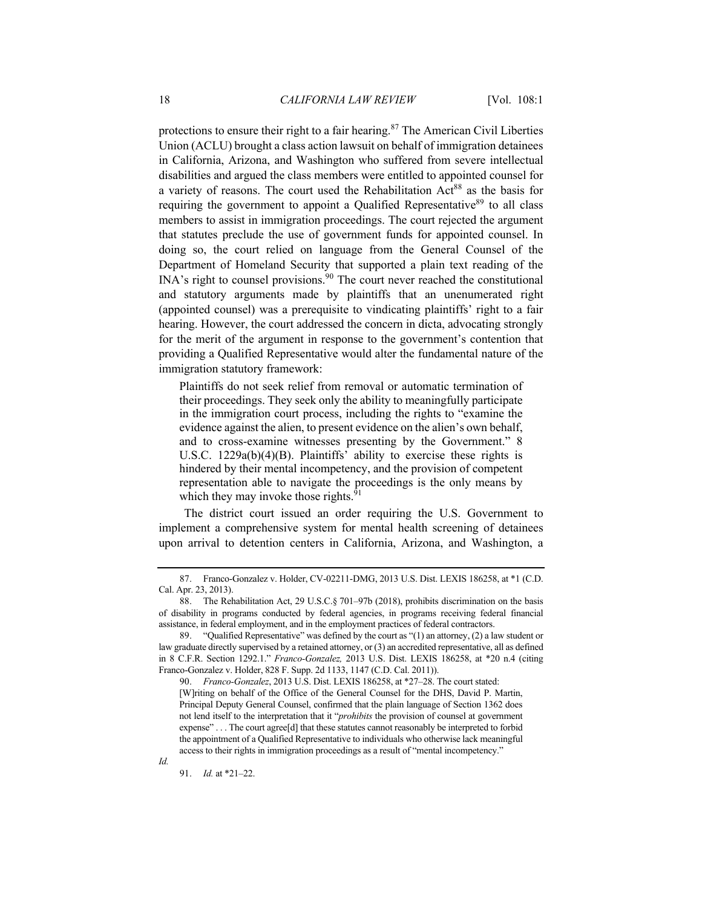protections to ensure their right to a fair hearing. $87$  The American Civil Liberties Union (ACLU) brought a class action lawsuit on behalf of immigration detainees in California, Arizona, and Washington who suffered from severe intellectual disabilities and argued the class members were entitled to appointed counsel for a variety of reasons. The court used the Rehabilitation  $Act^{88}$  as the basis for requiring the government to appoint a Qualified Representative<sup>89</sup> to all class members to assist in immigration proceedings. The court rejected the argument that statutes preclude the use of government funds for appointed counsel. In doing so, the court relied on language from the General Counsel of the Department of Homeland Security that supported a plain text reading of the INA's right to counsel provisions.<sup>90</sup> The court never reached the constitutional and statutory arguments made by plaintiffs that an unenumerated right (appointed counsel) was a prerequisite to vindicating plaintiffs' right to a fair hearing. However, the court addressed the concern in dicta, advocating strongly for the merit of the argument in response to the government's contention that providing a Qualified Representative would alter the fundamental nature of the immigration statutory framework:

Plaintiffs do not seek relief from removal or automatic termination of their proceedings. They seek only the ability to meaningfully participate in the immigration court process, including the rights to "examine the evidence against the alien, to present evidence on the alien's own behalf, and to cross-examine witnesses presenting by the Government." 8 U.S.C. 1229a(b)(4)(B). Plaintiffs' ability to exercise these rights is hindered by their mental incompetency, and the provision of competent representation able to navigate the proceedings is the only means by which they may invoke those rights. $91$ 

The district court issued an order requiring the U.S. Government to implement a comprehensive system for mental health screening of detainees upon arrival to detention centers in California, Arizona, and Washington, a

91. *Id.* at \*21–22.

*Id.*

<sup>87.</sup> Franco-Gonzalez v. Holder, CV-02211-DMG, 2013 U.S. Dist. LEXIS 186258, at \*1 (C.D. Cal. Apr. 23, 2013).

<sup>88.</sup> The Rehabilitation Act, 29 U.S.C.§ 701–97b (2018), prohibits discrimination on the basis of disability in programs conducted by federal agencies, in programs receiving federal financial assistance, in federal employment, and in the employment practices of federal contractors.

<sup>89.</sup> "Qualified Representative" was defined by the court as "(1) an attorney, (2) a law student or law graduate directly supervised by a retained attorney, or (3) an accredited representative, all as defined in 8 C.F.R. Section 1292.1." *Franco-Gonzalez,* 2013 U.S. Dist. LEXIS 186258, at \*20 n.4 (citing Franco-Gonzalez v. Holder, 828 F. Supp. 2d 1133, 1147 (C.D. Cal. 2011)).

<sup>90.</sup> *Franco-Gonzalez*, 2013 U.S. Dist. LEXIS 186258, at \*27–28. The court stated: [W]riting on behalf of the Office of the General Counsel for the DHS, David P. Martin, Principal Deputy General Counsel, confirmed that the plain language of Section 1362 does not lend itself to the interpretation that it "*prohibits* the provision of counsel at government expense" . . . The court agree[d] that these statutes cannot reasonably be interpreted to forbid the appointment of a Qualified Representative to individuals who otherwise lack meaningful access to their rights in immigration proceedings as a result of "mental incompetency."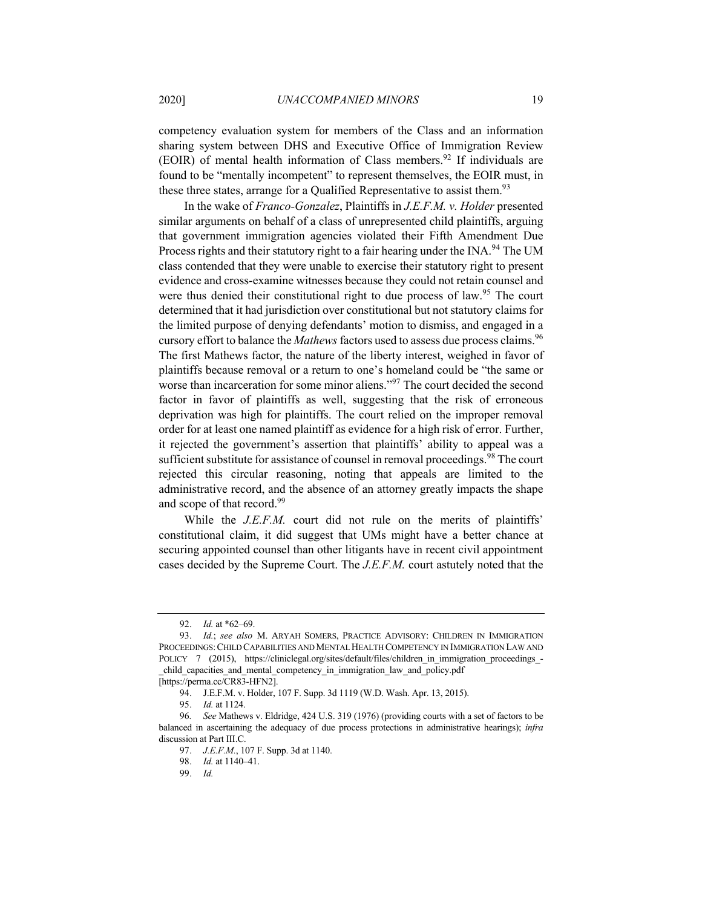competency evaluation system for members of the Class and an information sharing system between DHS and Executive Office of Immigration Review (EOIR) of mental health information of Class members.<sup>92</sup> If individuals are found to be "mentally incompetent" to represent themselves, the EOIR must, in these three states, arrange for a Qualified Representative to assist them.<sup>93</sup>

In the wake of *Franco-Gonzalez*, Plaintiffs in *J.E.F.M. v. Holder* presented similar arguments on behalf of a class of unrepresented child plaintiffs, arguing that government immigration agencies violated their Fifth Amendment Due Process rights and their statutory right to a fair hearing under the INA.<sup>94</sup> The UM class contended that they were unable to exercise their statutory right to present evidence and cross-examine witnesses because they could not retain counsel and were thus denied their constitutional right to due process of law.<sup>95</sup> The court determined that it had jurisdiction over constitutional but not statutory claims for the limited purpose of denying defendants' motion to dismiss, and engaged in a cursory effort to balance the *Mathews* factors used to assess due process claims.<sup>96</sup> The first Mathews factor, the nature of the liberty interest, weighed in favor of plaintiffs because removal or a return to one's homeland could be "the same or worse than incarceration for some minor aliens."<sup>97</sup> The court decided the second factor in favor of plaintiffs as well, suggesting that the risk of erroneous deprivation was high for plaintiffs. The court relied on the improper removal order for at least one named plaintiff as evidence for a high risk of error. Further, it rejected the government's assertion that plaintiffs' ability to appeal was a sufficient substitute for assistance of counsel in removal proceedings.<sup>98</sup> The court rejected this circular reasoning, noting that appeals are limited to the administrative record, and the absence of an attorney greatly impacts the shape and scope of that record.<sup>99</sup>

While the *J.E.F.M.* court did not rule on the merits of plaintiffs' constitutional claim, it did suggest that UMs might have a better chance at securing appointed counsel than other litigants have in recent civil appointment cases decided by the Supreme Court. The *J.E.F.M.* court astutely noted that the

<sup>92.</sup> *Id.* at \*62–69.

<sup>93.</sup> *Id.*; *see also* M. ARYAH SOMERS, PRACTICE ADVISORY: CHILDREN IN IMMIGRATION PROCEEDINGS:CHILD CAPABILITIES AND MENTAL HEALTH COMPETENCY IN IMMIGRATION LAW AND POLICY 7 (2015), https://cliniclegal.org/sites/default/files/children\_in\_immigration\_proceedings\_child capacities and mental competency in immigration law and policy.pdf

<sup>[</sup>https://perma.cc/CR83-HFN2].

<sup>94.</sup> J.E.F.M. v. Holder, 107 F. Supp. 3d 1119 (W.D. Wash. Apr. 13, 2015).

<sup>95.</sup> *Id.* at 1124.

<sup>96</sup>*. See* Mathews v. Eldridge, 424 U.S. 319 (1976) (providing courts with a set of factors to be balanced in ascertaining the adequacy of due process protections in administrative hearings); *infra* discussion at Part III.C.

<sup>97.</sup> *J.E.F.M.*, 107 F. Supp. 3d at 1140.

<sup>98.</sup> *Id.* at 1140–41.

<sup>99.</sup> *Id.*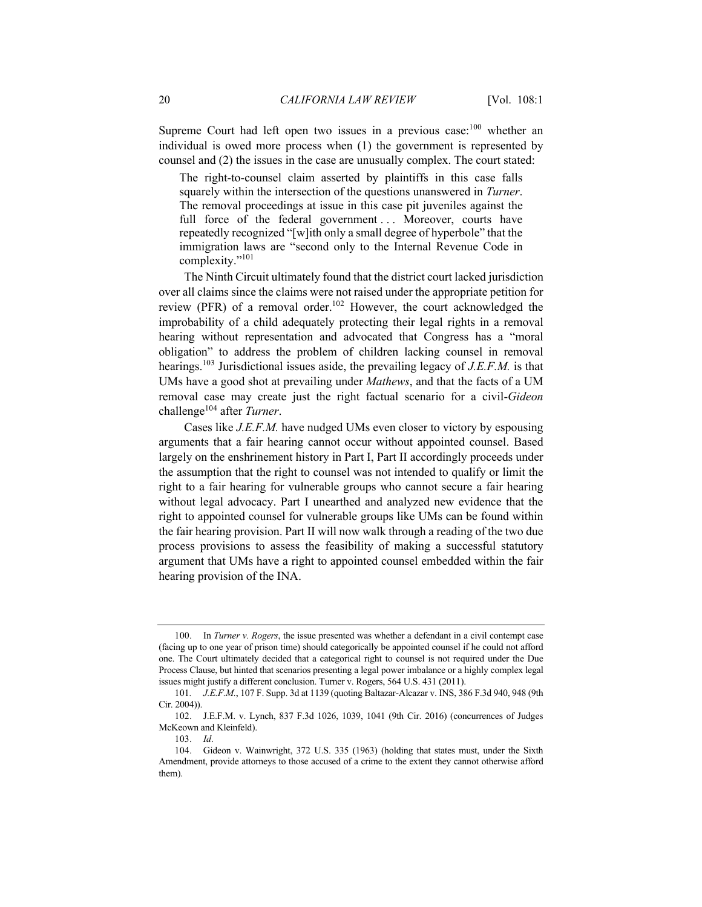Supreme Court had left open two issues in a previous case:<sup>100</sup> whether an individual is owed more process when (1) the government is represented by counsel and (2) the issues in the case are unusually complex. The court stated:

The right-to-counsel claim asserted by plaintiffs in this case falls squarely within the intersection of the questions unanswered in *Turner*. The removal proceedings at issue in this case pit juveniles against the full force of the federal government ... Moreover, courts have repeatedly recognized "[w]ith only a small degree of hyperbole" that the immigration laws are "second only to the Internal Revenue Code in complexity."101

The Ninth Circuit ultimately found that the district court lacked jurisdiction over all claims since the claims were not raised under the appropriate petition for review (PFR) of a removal order.<sup>102</sup> However, the court acknowledged the improbability of a child adequately protecting their legal rights in a removal hearing without representation and advocated that Congress has a "moral obligation" to address the problem of children lacking counsel in removal hearings.103 Jurisdictional issues aside, the prevailing legacy of *J.E.F.M.* is that UMs have a good shot at prevailing under *Mathews*, and that the facts of a UM removal case may create just the right factual scenario for a civil-*Gideon* challenge<sup>104</sup> after *Turner*.

Cases like *J.E.F.M.* have nudged UMs even closer to victory by espousing arguments that a fair hearing cannot occur without appointed counsel. Based largely on the enshrinement history in Part I, Part II accordingly proceeds under the assumption that the right to counsel was not intended to qualify or limit the right to a fair hearing for vulnerable groups who cannot secure a fair hearing without legal advocacy. Part I unearthed and analyzed new evidence that the right to appointed counsel for vulnerable groups like UMs can be found within the fair hearing provision. Part II will now walk through a reading of the two due process provisions to assess the feasibility of making a successful statutory argument that UMs have a right to appointed counsel embedded within the fair hearing provision of the INA.

<sup>100.</sup> In *Turner v. Rogers*, the issue presented was whether a defendant in a civil contempt case (facing up to one year of prison time) should categorically be appointed counsel if he could not afford one. The Court ultimately decided that a categorical right to counsel is not required under the Due Process Clause, but hinted that scenarios presenting a legal power imbalance or a highly complex legal issues might justify a different conclusion. Turner v. Rogers, 564 U.S. 431 (2011).

<sup>101</sup>*. J.E.F.M.*, 107 F. Supp. 3d at 1139 (quoting Baltazar-Alcazar v. INS, 386 F.3d 940, 948 (9th Cir. 2004)).

<sup>102.</sup> J.E.F.M. v. Lynch, 837 F.3d 1026, 1039, 1041 (9th Cir. 2016) (concurrences of Judges McKeown and Kleinfeld).

<sup>103.</sup> *Id*.

<sup>104.</sup> Gideon v. Wainwright, 372 U.S. 335 (1963) (holding that states must, under the Sixth Amendment, provide attorneys to those accused of a crime to the extent they cannot otherwise afford them).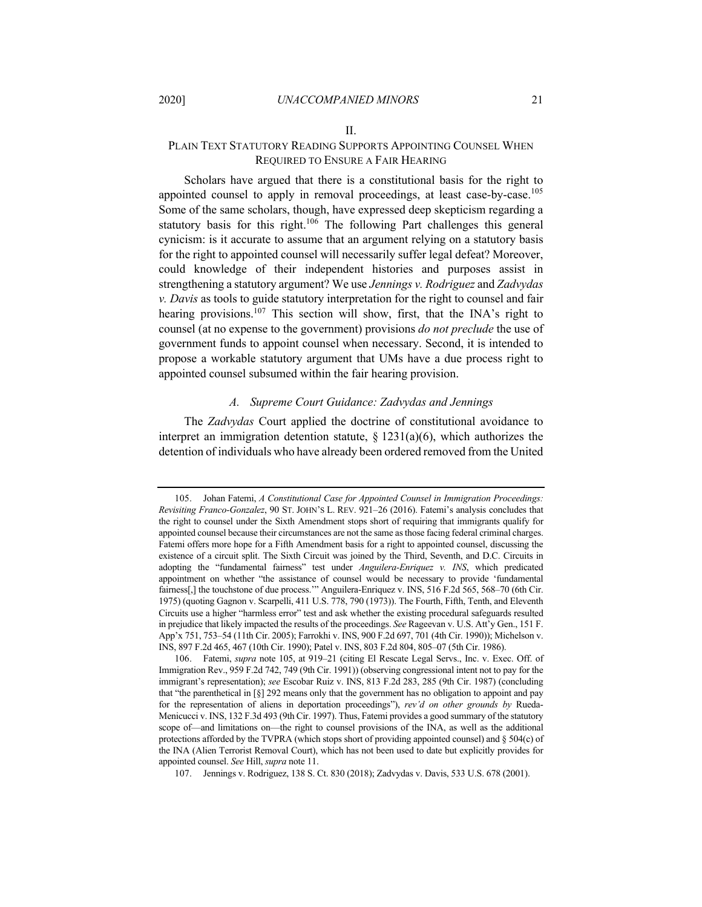# II. PLAIN TEXT STATUTORY READING SUPPORTS APPOINTING COUNSEL WHEN REQUIRED TO ENSURE A FAIR HEARING

Scholars have argued that there is a constitutional basis for the right to appointed counsel to apply in removal proceedings, at least case-by-case.<sup>105</sup> Some of the same scholars, though, have expressed deep skepticism regarding a statutory basis for this right.<sup>106</sup> The following Part challenges this general cynicism: is it accurate to assume that an argument relying on a statutory basis for the right to appointed counsel will necessarily suffer legal defeat? Moreover, could knowledge of their independent histories and purposes assist in strengthening a statutory argument? We use *Jennings v. Rodriguez* and *Zadvydas v. Davis* as tools to guide statutory interpretation for the right to counsel and fair hearing provisions.<sup>107</sup> This section will show, first, that the INA's right to counsel (at no expense to the government) provisions *do not preclude* the use of government funds to appoint counsel when necessary. Second, it is intended to propose a workable statutory argument that UMs have a due process right to appointed counsel subsumed within the fair hearing provision.

#### *A. Supreme Court Guidance: Zadvydas and Jennings*

The *Zadvydas* Court applied the doctrine of constitutional avoidance to interpret an immigration detention statute,  $\S$  1231(a)(6), which authorizes the detention of individuals who have already been ordered removed from the United

<sup>105.</sup> Johan Fatemi, *A Constitutional Case for Appointed Counsel in Immigration Proceedings: Revisiting Franco-Gonzalez*, 90 ST. JOHN'S L. REV. 921–26 (2016). Fatemi's analysis concludes that the right to counsel under the Sixth Amendment stops short of requiring that immigrants qualify for appointed counsel because their circumstances are not the same as those facing federal criminal charges. Fatemi offers more hope for a Fifth Amendment basis for a right to appointed counsel, discussing the existence of a circuit split. The Sixth Circuit was joined by the Third, Seventh, and D.C. Circuits in adopting the "fundamental fairness" test under *Anguilera-Enriquez v. INS*, which predicated appointment on whether "the assistance of counsel would be necessary to provide 'fundamental fairness[,] the touchstone of due process.'" Anguilera-Enriquez v. INS, 516 F.2d 565, 568–70 (6th Cir. 1975) (quoting Gagnon v. Scarpelli, 411 U.S. 778, 790 (1973)). The Fourth, Fifth, Tenth, and Eleventh Circuits use a higher "harmless error" test and ask whether the existing procedural safeguards resulted in prejudice that likely impacted the results of the proceedings. *See* Rageevan v. U.S. Att'y Gen., 151 F. App'x 751, 753–54 (11th Cir. 2005); Farrokhi v. INS, 900 F.2d 697, 701 (4th Cir. 1990)); Michelson v. INS, 897 F.2d 465, 467 (10th Cir. 1990); Patel v. INS, 803 F.2d 804, 805–07 (5th Cir. 1986).

<sup>106.</sup> Fatemi, *supra* note 105, at 919–21 (citing El Rescate Legal Servs., Inc. v. Exec. Off. of Immigration Rev., 959 F.2d 742, 749 (9th Cir. 1991)) (observing congressional intent not to pay for the immigrant's representation); *see* Escobar Ruiz v. INS, 813 F.2d 283, 285 (9th Cir. 1987) (concluding that "the parenthetical in [§] 292 means only that the government has no obligation to appoint and pay for the representation of aliens in deportation proceedings"), *rev'd on other grounds by* Rueda-Menicucci v. INS, 132 F.3d 493 (9th Cir. 1997). Thus, Fatemi provides a good summary of the statutory scope of—and limitations on—the right to counsel provisions of the INA, as well as the additional protections afforded by the TVPRA (which stops short of providing appointed counsel) and § 504(c) of the INA (Alien Terrorist Removal Court), which has not been used to date but explicitly provides for appointed counsel. *See* Hill, *supra* note 11.

<sup>107.</sup> Jennings v. Rodriguez, 138 S. Ct. 830 (2018); Zadvydas v. Davis, 533 U.S. 678 (2001).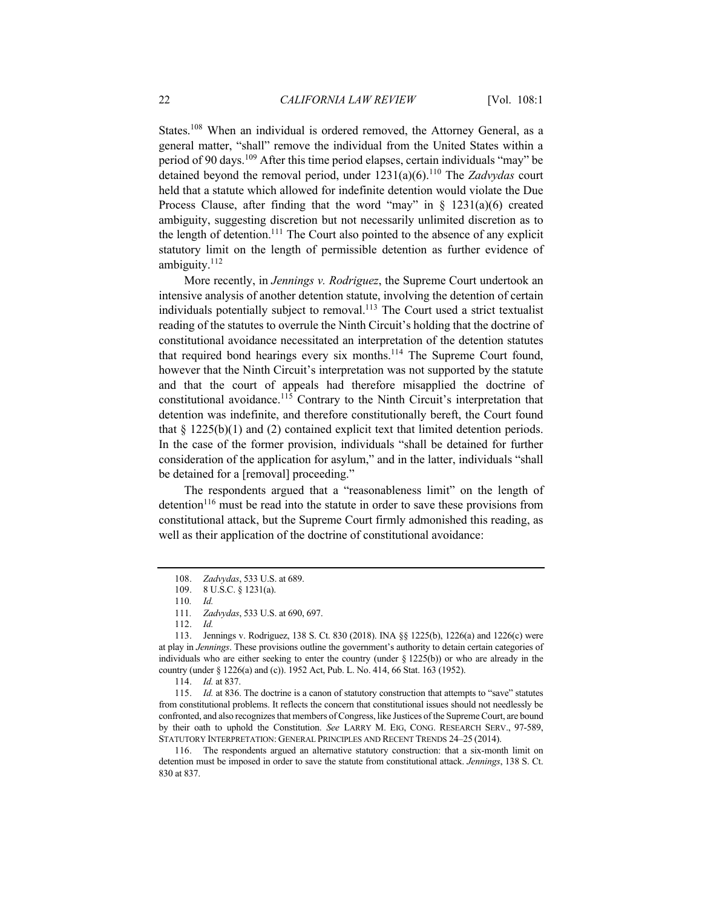States.<sup>108</sup> When an individual is ordered removed, the Attorney General, as a general matter, "shall" remove the individual from the United States within a period of 90 days.<sup>109</sup> After this time period elapses, certain individuals "may" be detained beyond the removal period, under 1231(a)(6).<sup>110</sup> The *Zadvydas* court held that a statute which allowed for indefinite detention would violate the Due Process Clause, after finding that the word "may" in  $\S$  1231(a)(6) created ambiguity, suggesting discretion but not necessarily unlimited discretion as to the length of detention.<sup>111</sup> The Court also pointed to the absence of any explicit statutory limit on the length of permissible detention as further evidence of ambiguity. $112$ 

More recently, in *Jennings v. Rodriguez*, the Supreme Court undertook an intensive analysis of another detention statute, involving the detention of certain individuals potentially subject to removal.<sup>113</sup> The Court used a strict textualist reading of the statutes to overrule the Ninth Circuit's holding that the doctrine of constitutional avoidance necessitated an interpretation of the detention statutes that required bond hearings every six months.<sup>114</sup> The Supreme Court found, however that the Ninth Circuit's interpretation was not supported by the statute and that the court of appeals had therefore misapplied the doctrine of constitutional avoidance.<sup>115</sup> Contrary to the Ninth Circuit's interpretation that detention was indefinite, and therefore constitutionally bereft, the Court found that  $\S 1225(b)(1)$  and (2) contained explicit text that limited detention periods. In the case of the former provision, individuals "shall be detained for further consideration of the application for asylum," and in the latter, individuals "shall be detained for a [removal] proceeding."

The respondents argued that a "reasonableness limit" on the length of detention<sup>116</sup> must be read into the statute in order to save these provisions from constitutional attack, but the Supreme Court firmly admonished this reading, as well as their application of the doctrine of constitutional avoidance:

<sup>108.</sup> *Zadvydas*, 533 U.S. at 689.

<sup>109.</sup> 8 U.S.C. § 1231(a).

<sup>110</sup>*. Id.*

<sup>111</sup>*. Zadvydas*, 533 U.S. at 690, 697.

<sup>112.</sup> *Id.*

<sup>113.</sup> Jennings v. Rodriguez, 138 S. Ct. 830 (2018). INA §§ 1225(b), 1226(a) and 1226(c) were at play in *Jennings*. These provisions outline the government's authority to detain certain categories of individuals who are either seeking to enter the country (under  $\S$  1225(b)) or who are already in the country (under § 1226(a) and (c)). 1952 Act, Pub. L. No. 414, 66 Stat. 163 (1952).

<sup>114.</sup> *Id.* at 837.

<sup>115.</sup> *Id.* at 836. The doctrine is a canon of statutory construction that attempts to "save" statutes from constitutional problems. It reflects the concern that constitutional issues should not needlessly be confronted, and also recognizes that members of Congress, like Justices of the Supreme Court, are bound by their oath to uphold the Constitution. *See* LARRY M. EIG, CONG. RESEARCH SERV., 97-589, STATUTORY INTERPRETATION: GENERAL PRINCIPLES AND RECENT TRENDS 24–25 (2014).

<sup>116.</sup> The respondents argued an alternative statutory construction: that a six-month limit on detention must be imposed in order to save the statute from constitutional attack. *Jennings*, 138 S. Ct. 830 at 837.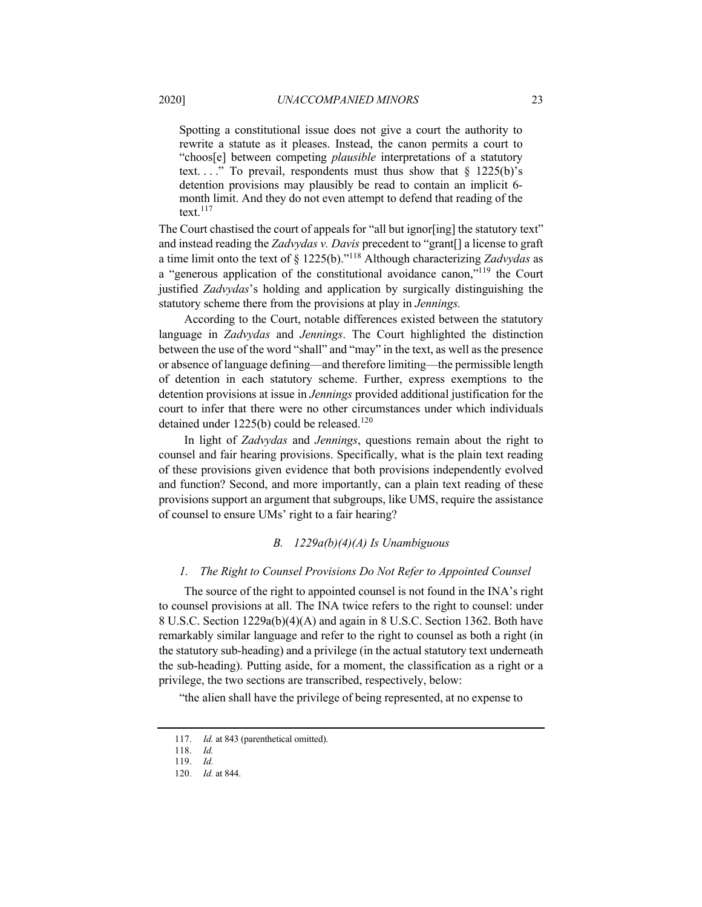Spotting a constitutional issue does not give a court the authority to rewrite a statute as it pleases. Instead, the canon permits a court to "choos[e] between competing *plausible* interpretations of a statutory text...." To prevail, respondents must thus show that  $\S$  1225(b)'s detention provisions may plausibly be read to contain an implicit 6 month limit. And they do not even attempt to defend that reading of the text. $117$ 

The Court chastised the court of appeals for "all but ignor [ing] the statutory text" and instead reading the *Zadvydas v. Davis* precedent to "grant[] a license to graft a time limit onto the text of § 1225(b)."118 Although characterizing *Zadvydas* as a "generous application of the constitutional avoidance canon,"119 the Court justified *Zadvydas*'s holding and application by surgically distinguishing the statutory scheme there from the provisions at play in *Jennings.*

According to the Court, notable differences existed between the statutory language in *Zadvydas* and *Jennings*. The Court highlighted the distinction between the use of the word "shall" and "may" in the text, as well as the presence or absence of language defining—and therefore limiting—the permissible length of detention in each statutory scheme. Further, express exemptions to the detention provisions at issue in *Jennings* provided additional justification for the court to infer that there were no other circumstances under which individuals detained under  $1225(b)$  could be released.<sup>120</sup>

In light of *Zadvydas* and *Jennings*, questions remain about the right to counsel and fair hearing provisions. Specifically, what is the plain text reading of these provisions given evidence that both provisions independently evolved and function? Second, and more importantly, can a plain text reading of these provisions support an argument that subgroups, like UMS, require the assistance of counsel to ensure UMs' right to a fair hearing?

#### *B. 1229a(b)(4)(A) Is Unambiguous*

#### *1. The Right to Counsel Provisions Do Not Refer to Appointed Counsel*

The source of the right to appointed counsel is not found in the INA's right to counsel provisions at all. The INA twice refers to the right to counsel: under 8 U.S.C. Section 1229a(b)(4)(A) and again in 8 U.S.C. Section 1362. Both have remarkably similar language and refer to the right to counsel as both a right (in the statutory sub-heading) and a privilege (in the actual statutory text underneath the sub-heading). Putting aside, for a moment, the classification as a right or a privilege, the two sections are transcribed, respectively, below:

"the alien shall have the privilege of being represented, at no expense to

<sup>117.</sup> *Id.* at 843 (parenthetical omitted).

<sup>118.</sup> *Id.*

<sup>119.</sup> *Id.*

<sup>120.</sup> *Id.* at 844.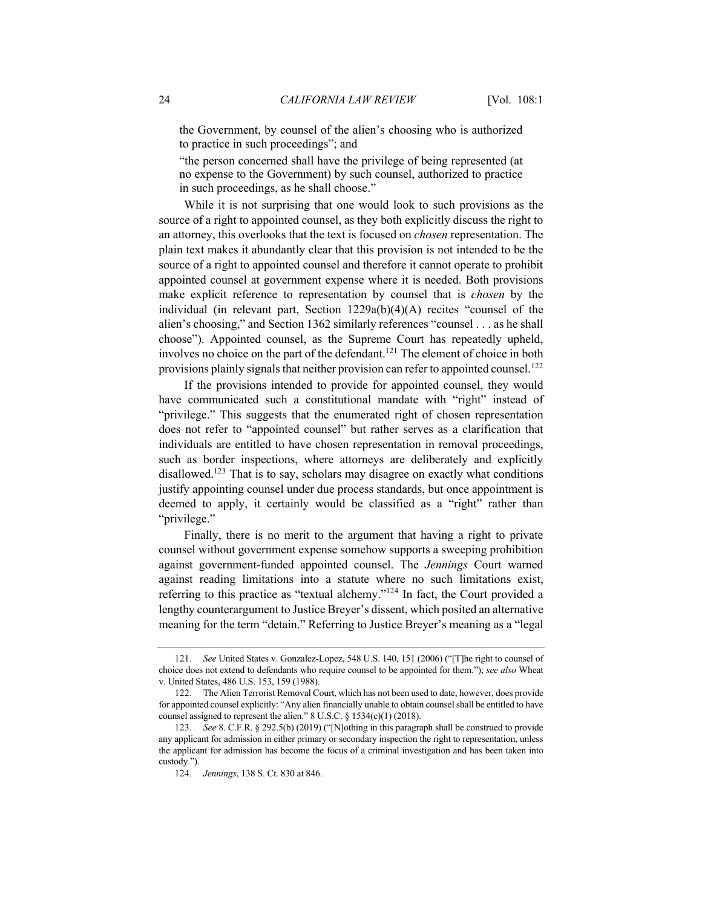the Government, by counsel of the alien's choosing who is authorized to practice in such proceedings"; and

"the person concerned shall have the privilege of being represented (at no expense to the Government) by such counsel, authorized to practice in such proceedings, as he shall choose."

While it is not surprising that one would look to such provisions as the source of a right to appointed counsel, as they both explicitly discuss the right to an attorney, this overlooks that the text is focused on *chosen* representation. The plain text makes it abundantly clear that this provision is not intended to be the source of a right to appointed counsel and therefore it cannot operate to prohibit appointed counsel at government expense where it is needed. Both provisions make explicit reference to representation by counsel that is *chosen* by the individual (in relevant part, Section 1229a(b)(4)(A) recites "counsel of the alien's choosing," and Section 1362 similarly references "counsel . . . as he shall choose"). Appointed counsel, as the Supreme Court has repeatedly upheld, involves no choice on the part of the defendant.<sup>121</sup> The element of choice in both provisions plainly signals that neither provision can refer to appointed counsel.<sup>122</sup>

If the provisions intended to provide for appointed counsel, they would have communicated such a constitutional mandate with "right" instead of "privilege." This suggests that the enumerated right of chosen representation does not refer to "appointed counsel" but rather serves as a clarification that individuals are entitled to have chosen representation in removal proceedings, such as border inspections, where attorneys are deliberately and explicitly disallowed.<sup>123</sup> That is to say, scholars may disagree on exactly what conditions justify appointing counsel under due process standards, but once appointment is deemed to apply, it certainly would be classified as a "right" rather than "privilege."

Finally, there is no merit to the argument that having a right to private counsel without government expense somehow supports a sweeping prohibition against government-funded appointed counsel. The *Jennings* Court warned against reading limitations into a statute where no such limitations exist, referring to this practice as "textual alchemy."124 In fact, the Court provided a lengthy counterargument to Justice Breyer's dissent, which posited an alternative meaning for the term "detain." Referring to Justice Breyer's meaning as a "legal

<sup>121.</sup> *See* United States v. Gonzalez-Lopez, 548 U.S. 140, 151 (2006) ("[T]he right to counsel of choice does not extend to defendants who require counsel to be appointed for them."); *see also* Wheat v. United States, 486 U.S. 153, 159 (1988).

<sup>122.</sup> The Alien Terrorist Removal Court, which has not been used to date, however, does provide for appointed counsel explicitly: "Any alien financially unable to obtain counsel shall be entitled to have counsel assigned to represent the alien." 8 U.S.C. § 1534(c)(1) (2018).

<sup>123</sup>*. See* 8. C.F.R. § 292.5(b) (2019) ("[N]othing in this paragraph shall be construed to provide any applicant for admission in either primary or secondary inspection the right to representation, unless the applicant for admission has become the focus of a criminal investigation and has been taken into custody.").

<sup>124.</sup> *Jennings*, 138 S. Ct. 830 at 846.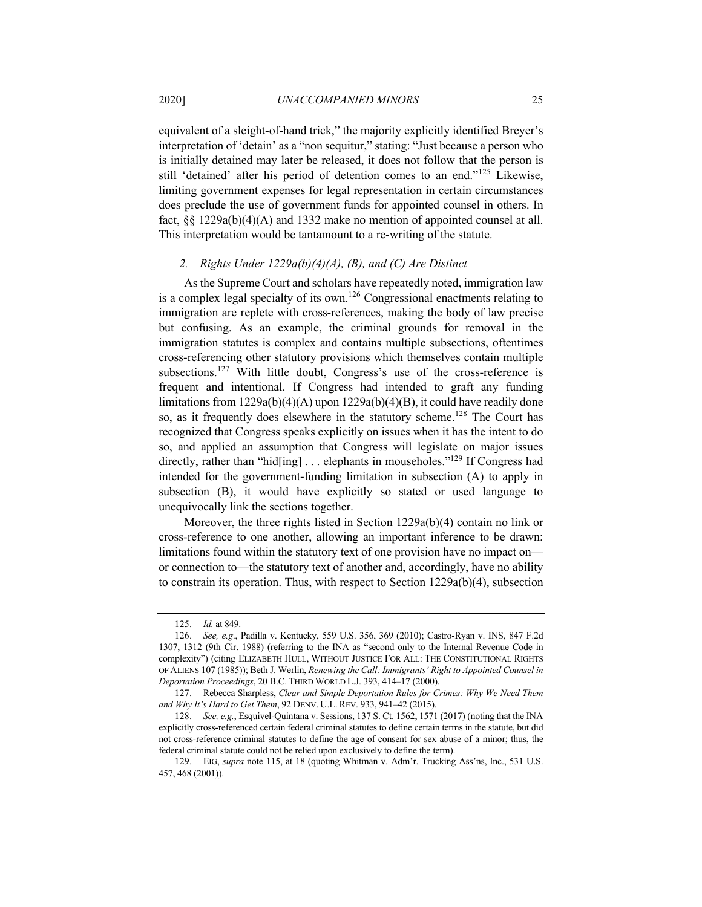equivalent of a sleight-of-hand trick," the majority explicitly identified Breyer's interpretation of 'detain' as a "non sequitur," stating: "Just because a person who is initially detained may later be released, it does not follow that the person is still 'detained' after his period of detention comes to an end."<sup>125</sup> Likewise, limiting government expenses for legal representation in certain circumstances does preclude the use of government funds for appointed counsel in others. In fact, §§ 1229a(b)(4)(A) and 1332 make no mention of appointed counsel at all. This interpretation would be tantamount to a re-writing of the statute.

#### *2. Rights Under 1229a(b)(4)(A), (B), and (C) Are Distinct*

As the Supreme Court and scholars have repeatedly noted, immigration law is a complex legal specialty of its own.<sup>126</sup> Congressional enactments relating to immigration are replete with cross-references, making the body of law precise but confusing. As an example, the criminal grounds for removal in the immigration statutes is complex and contains multiple subsections, oftentimes cross-referencing other statutory provisions which themselves contain multiple subsections.<sup>127</sup> With little doubt, Congress's use of the cross-reference is frequent and intentional. If Congress had intended to graft any funding limitations from 1229a(b)(4)(A) upon 1229a(b)(4)(B), it could have readily done so, as it frequently does elsewhere in the statutory scheme.<sup>128</sup> The Court has recognized that Congress speaks explicitly on issues when it has the intent to do so, and applied an assumption that Congress will legislate on major issues directly, rather than "hid[ing]  $\ldots$  elephants in mouseholes."<sup>129</sup> If Congress had intended for the government-funding limitation in subsection (A) to apply in subsection (B), it would have explicitly so stated or used language to unequivocally link the sections together.

Moreover, the three rights listed in Section 1229a(b)(4) contain no link or cross-reference to one another, allowing an important inference to be drawn: limitations found within the statutory text of one provision have no impact on or connection to—the statutory text of another and, accordingly, have no ability to constrain its operation. Thus, with respect to Section 1229a(b)(4), subsection

<sup>125.</sup> *Id.* at 849.

<sup>126.</sup> *See, e.g*., Padilla v. Kentucky, 559 U.S. 356, 369 (2010); Castro-Ryan v. INS, 847 F.2d 1307, 1312 (9th Cir. 1988) (referring to the INA as "second only to the Internal Revenue Code in complexity") (citing ELIZABETH HULL, WITHOUT JUSTICE FOR ALL: THE CONSTITUTIONAL RIGHTS OF ALIENS 107 (1985)); Beth J. Werlin, *Renewing the Call: Immigrants' Right to Appointed Counsel in Deportation Proceedings*, 20 B.C. THIRD WORLD L.J. 393, 414–17 (2000).

<sup>127.</sup> Rebecca Sharpless, *Clear and Simple Deportation Rules for Crimes: Why We Need Them and Why It's Hard to Get Them*, 92 DENV. U.L. REV. 933, 941–42 (2015).

<sup>128.</sup> *See, e.g.*, Esquivel-Quintana v. Sessions, 137 S. Ct. 1562, 1571 (2017) (noting that the INA explicitly cross-referenced certain federal criminal statutes to define certain terms in the statute, but did not cross-reference criminal statutes to define the age of consent for sex abuse of a minor; thus, the federal criminal statute could not be relied upon exclusively to define the term).

<sup>129.</sup> EIG, *supra* note 115, at 18 (quoting Whitman v. Adm'r. Trucking Ass'ns, Inc., 531 U.S. 457, 468 (2001)).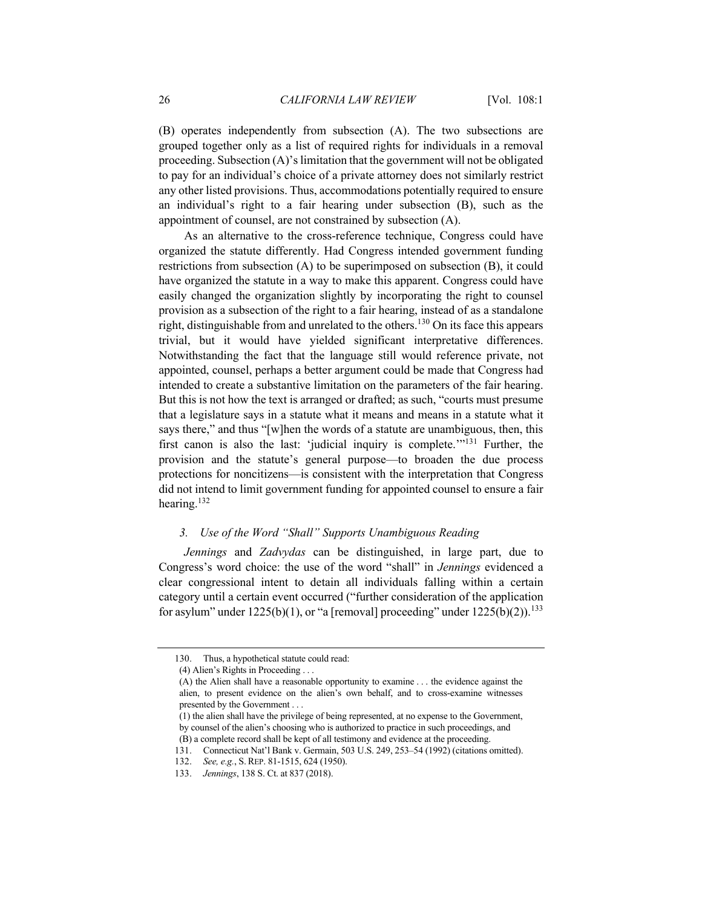(B) operates independently from subsection (A). The two subsections are grouped together only as a list of required rights for individuals in a removal proceeding. Subsection (A)'s limitation that the government will not be obligated to pay for an individual's choice of a private attorney does not similarly restrict any other listed provisions. Thus, accommodations potentially required to ensure an individual's right to a fair hearing under subsection (B), such as the appointment of counsel, are not constrained by subsection (A).

As an alternative to the cross-reference technique, Congress could have organized the statute differently. Had Congress intended government funding restrictions from subsection (A) to be superimposed on subsection (B), it could have organized the statute in a way to make this apparent. Congress could have easily changed the organization slightly by incorporating the right to counsel provision as a subsection of the right to a fair hearing, instead of as a standalone right, distinguishable from and unrelated to the others.<sup>130</sup> On its face this appears trivial, but it would have yielded significant interpretative differences. Notwithstanding the fact that the language still would reference private, not appointed, counsel, perhaps a better argument could be made that Congress had intended to create a substantive limitation on the parameters of the fair hearing. But this is not how the text is arranged or drafted; as such, "courts must presume that a legislature says in a statute what it means and means in a statute what it says there," and thus "[w]hen the words of a statute are unambiguous, then, this first canon is also the last: 'judicial inquiry is complete.'"<sup>131</sup> Further, the provision and the statute's general purpose—to broaden the due process protections for noncitizens—is consistent with the interpretation that Congress did not intend to limit government funding for appointed counsel to ensure a fair hearing.<sup>132</sup>

# *3. Use of the Word "Shall" Supports Unambiguous Reading*

*Jennings* and *Zadvydas* can be distinguished, in large part, due to Congress's word choice: the use of the word "shall" in *Jennings* evidenced a clear congressional intent to detain all individuals falling within a certain category until a certain event occurred ("further consideration of the application for asylum" under  $1225(b)(1)$ , or "a [removal] proceeding" under  $1225(b)(2)$ ).<sup>133</sup>

<sup>130.</sup> Thus, a hypothetical statute could read:

<sup>(4)</sup> Alien's Rights in Proceeding . . .

<sup>(</sup>A) the Alien shall have a reasonable opportunity to examine . . . the evidence against the alien, to present evidence on the alien's own behalf, and to cross-examine witnesses presented by the Government . . .

<sup>(1)</sup> the alien shall have the privilege of being represented, at no expense to the Government, by counsel of the alien's choosing who is authorized to practice in such proceedings, and (B) a complete record shall be kept of all testimony and evidence at the proceeding.

<sup>131.</sup> Connecticut Nat'l Bank v. Germain, 503 U.S. 249, 253–54 (1992) (citations omitted).

<sup>132.</sup> *See, e.g.*, S. REP. 81-1515, 624 (1950).

<sup>133.</sup> *Jennings*, 138 S. Ct. at 837 (2018).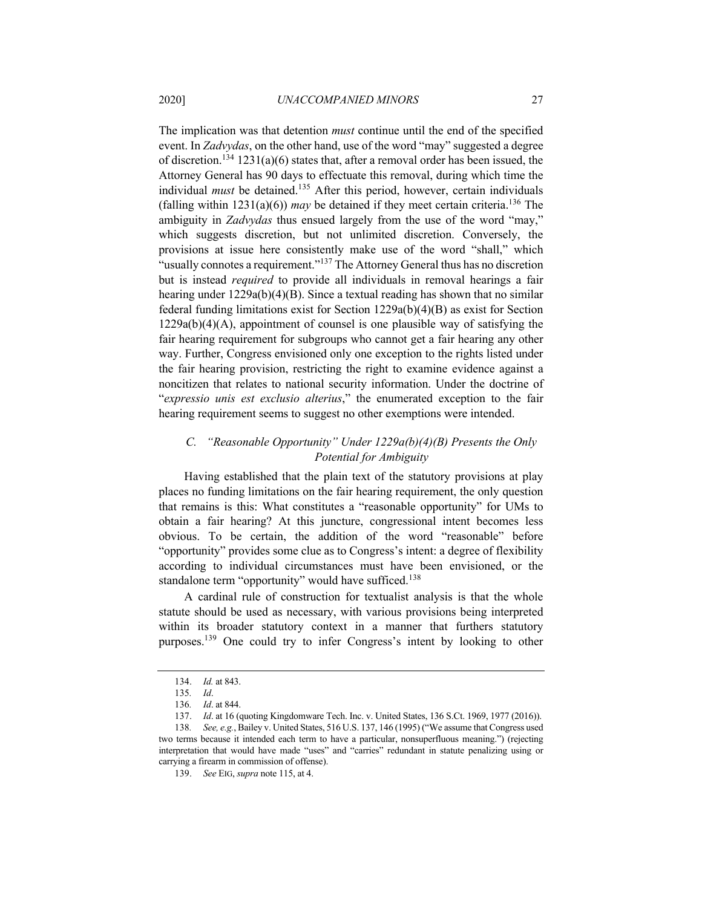The implication was that detention *must* continue until the end of the specified event. In *Zadvydas*, on the other hand, use of the word "may" suggested a degree of discretion.<sup>134</sup> 1231(a)(6) states that, after a removal order has been issued, the Attorney General has 90 days to effectuate this removal, during which time the individual *must* be detained.<sup>135</sup> After this period, however, certain individuals (falling within  $1231(a)(6)$ ) *may* be detained if they meet certain criteria.<sup>136</sup> The ambiguity in *Zadvydas* thus ensued largely from the use of the word "may," which suggests discretion, but not unlimited discretion. Conversely, the provisions at issue here consistently make use of the word "shall," which "usually connotes a requirement."<sup>137</sup> The Attorney General thus has no discretion but is instead *required* to provide all individuals in removal hearings a fair hearing under 1229a(b)(4)(B). Since a textual reading has shown that no similar federal funding limitations exist for Section 1229a(b)(4)(B) as exist for Section 1229a(b)(4)(A), appointment of counsel is one plausible way of satisfying the fair hearing requirement for subgroups who cannot get a fair hearing any other way. Further, Congress envisioned only one exception to the rights listed under the fair hearing provision, restricting the right to examine evidence against a noncitizen that relates to national security information. Under the doctrine of "*expressio unis est exclusio alterius*," the enumerated exception to the fair hearing requirement seems to suggest no other exemptions were intended.

# *C. "Reasonable Opportunity" Under 1229a(b)(4)(B) Presents the Only Potential for Ambiguity*

Having established that the plain text of the statutory provisions at play places no funding limitations on the fair hearing requirement, the only question that remains is this: What constitutes a "reasonable opportunity" for UMs to obtain a fair hearing? At this juncture, congressional intent becomes less obvious. To be certain, the addition of the word "reasonable" before "opportunity" provides some clue as to Congress's intent: a degree of flexibility according to individual circumstances must have been envisioned, or the standalone term "opportunity" would have sufficed.<sup>138</sup>

A cardinal rule of construction for textualist analysis is that the whole statute should be used as necessary, with various provisions being interpreted within its broader statutory context in a manner that furthers statutory purposes.139 One could try to infer Congress's intent by looking to other

<sup>134.</sup> *Id.* at 843.

<sup>135</sup>*. Id*.

<sup>136</sup>*. Id*. at 844.

<sup>137.</sup> *Id*. at 16 (quoting Kingdomware Tech. Inc. v. United States, 136 S.Ct. 1969, 1977 (2016)).

<sup>138</sup>*. See, e.g.*, Bailey v. United States, 516 U.S. 137, 146 (1995) ("We assume that Congress used two terms because it intended each term to have a particular, nonsuperfluous meaning.") (rejecting interpretation that would have made "uses" and "carries" redundant in statute penalizing using or carrying a firearm in commission of offense).

<sup>139.</sup> *See* EIG, *supra* note 115, at 4.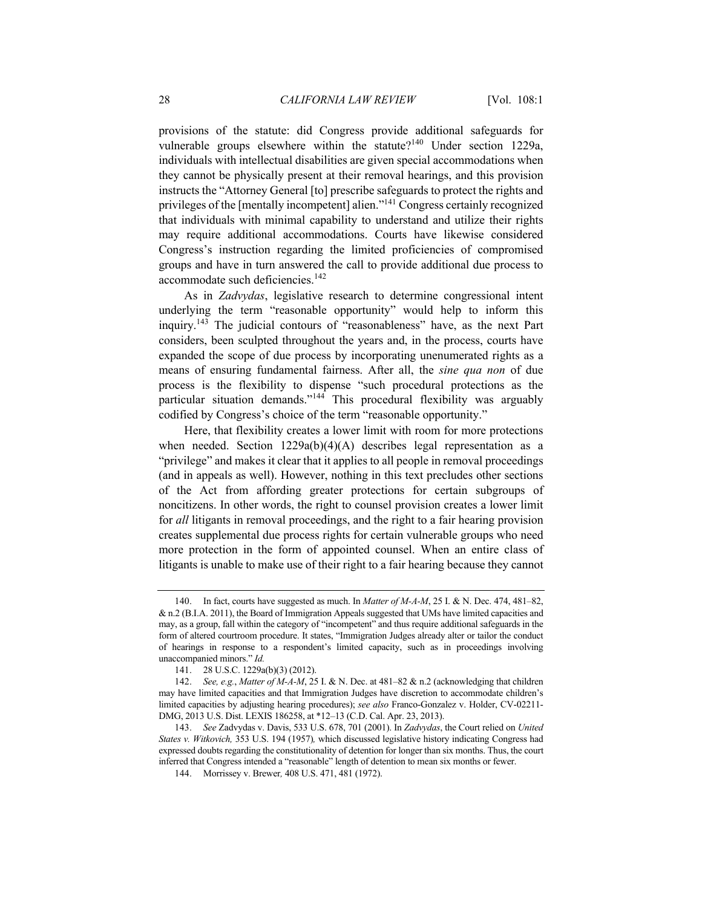provisions of the statute: did Congress provide additional safeguards for vulnerable groups elsewhere within the statute?<sup>140</sup> Under section 1229a, individuals with intellectual disabilities are given special accommodations when they cannot be physically present at their removal hearings, and this provision instructs the "Attorney General [to] prescribe safeguards to protect the rights and privileges of the [mentally incompetent] alien."141 Congress certainly recognized that individuals with minimal capability to understand and utilize their rights may require additional accommodations. Courts have likewise considered Congress's instruction regarding the limited proficiencies of compromised groups and have in turn answered the call to provide additional due process to accommodate such deficiencies.<sup>142</sup>

As in *Zadvydas*, legislative research to determine congressional intent underlying the term "reasonable opportunity" would help to inform this inquiry.<sup>143</sup> The judicial contours of "reasonableness" have, as the next Part considers, been sculpted throughout the years and, in the process, courts have expanded the scope of due process by incorporating unenumerated rights as a means of ensuring fundamental fairness. After all, the *sine qua non* of due process is the flexibility to dispense "such procedural protections as the particular situation demands."<sup>144</sup> This procedural flexibility was arguably codified by Congress's choice of the term "reasonable opportunity."

Here, that flexibility creates a lower limit with room for more protections when needed. Section 1229a(b)(4)(A) describes legal representation as a "privilege" and makes it clear that it applies to all people in removal proceedings (and in appeals as well). However, nothing in this text precludes other sections of the Act from affording greater protections for certain subgroups of noncitizens. In other words, the right to counsel provision creates a lower limit for *all* litigants in removal proceedings, and the right to a fair hearing provision creates supplemental due process rights for certain vulnerable groups who need more protection in the form of appointed counsel. When an entire class of litigants is unable to make use of their right to a fair hearing because they cannot

<sup>140.</sup> In fact, courts have suggested as much. In *Matter of M-A-M*, 25 I. & N. Dec. 474, 481–82, & n.2 (B.I.A. 2011), the Board of Immigration Appeals suggested that UMs have limited capacities and may, as a group, fall within the category of "incompetent" and thus require additional safeguards in the form of altered courtroom procedure. It states, "Immigration Judges already alter or tailor the conduct of hearings in response to a respondent's limited capacity, such as in proceedings involving unaccompanied minors." *Id.*

<sup>141.</sup> 28 U.S.C. 1229a(b)(3) (2012).

<sup>142.</sup> *See, e.g.*, *Matter of M-A-M*, 25 I. & N. Dec. at 481–82 & n.2 (acknowledging that children may have limited capacities and that Immigration Judges have discretion to accommodate children's limited capacities by adjusting hearing procedures); *see also* Franco-Gonzalez v. Holder, CV-02211- DMG, 2013 U.S. Dist. LEXIS 186258, at \*12–13 (C.D. Cal. Apr. 23, 2013).

<sup>143.</sup> *See* Zadvydas v. Davis, 533 U.S. 678, 701 (2001). In *Zadvydas*, the Court relied on *United States v. Witkovich,* 353 U.S. 194 (1957)*,* which discussed legislative history indicating Congress had expressed doubts regarding the constitutionality of detention for longer than six months. Thus, the court inferred that Congress intended a "reasonable" length of detention to mean six months or fewer.

<sup>144.</sup> Morrissey v. Brewer*,* 408 U.S. 471, 481 (1972).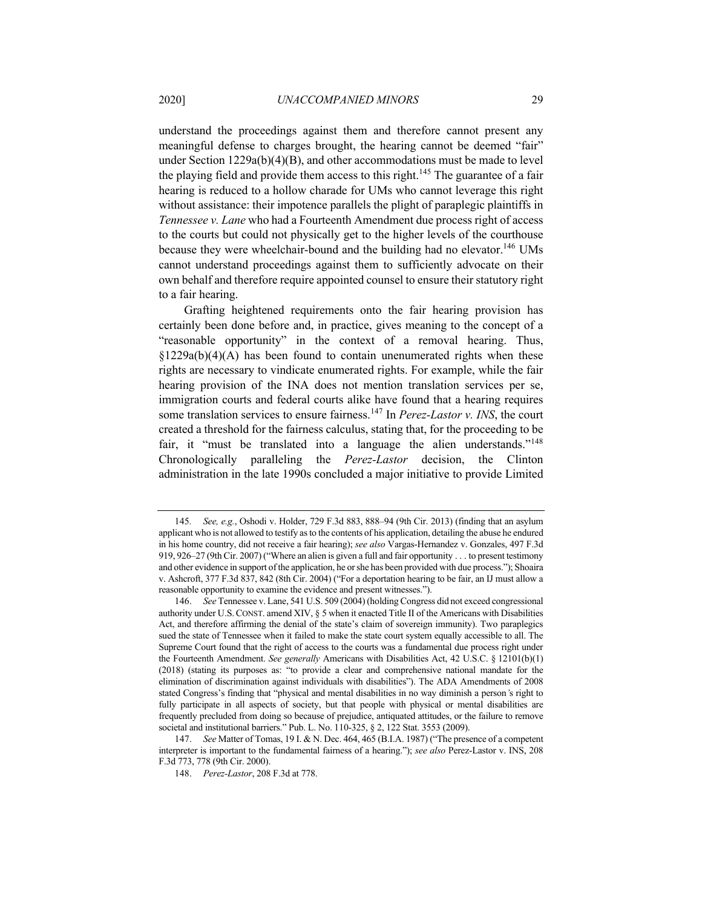understand the proceedings against them and therefore cannot present any meaningful defense to charges brought, the hearing cannot be deemed "fair" under Section  $1229a(b)(4)(B)$ , and other accommodations must be made to level the playing field and provide them access to this right.<sup>145</sup> The guarantee of a fair hearing is reduced to a hollow charade for UMs who cannot leverage this right without assistance: their impotence parallels the plight of paraplegic plaintiffs in *Tennessee v. Lane* who had a Fourteenth Amendment due process right of access to the courts but could not physically get to the higher levels of the courthouse because they were wheelchair-bound and the building had no elevator.<sup>146</sup> UMs cannot understand proceedings against them to sufficiently advocate on their own behalf and therefore require appointed counsel to ensure their statutory right to a fair hearing.

Grafting heightened requirements onto the fair hearing provision has certainly been done before and, in practice, gives meaning to the concept of a "reasonable opportunity" in the context of a removal hearing. Thus,  $\S1229a(b)(4)(A)$  has been found to contain unenumerated rights when these rights are necessary to vindicate enumerated rights. For example, while the fair hearing provision of the INA does not mention translation services per se, immigration courts and federal courts alike have found that a hearing requires some translation services to ensure fairness.<sup>147</sup> In *Perez-Lastor v. INS*, the court created a threshold for the fairness calculus, stating that, for the proceeding to be fair, it "must be translated into a language the alien understands."<sup>148</sup> Chronologically paralleling the *Perez-Lastor* decision, the Clinton administration in the late 1990s concluded a major initiative to provide Limited

<sup>145</sup>*. See, e.g.*, Oshodi v. Holder, 729 F.3d 883, 888–94 (9th Cir. 2013) (finding that an asylum applicant who is not allowed to testify as to the contents of his application, detailing the abuse he endured in his home country, did not receive a fair hearing); *see also* Vargas-Hernandez v. Gonzales, 497 F.3d 919, 926–27 (9th Cir. 2007) ("Where an alien is given a full and fair opportunity . . . to present testimony and other evidence in support of the application, he or she has been provided with due process."); Shoaira v. Ashcroft, 377 F.3d 837, 842 (8th Cir. 2004) ("For a deportation hearing to be fair, an IJ must allow a reasonable opportunity to examine the evidence and present witnesses.").

<sup>146.</sup> *See* Tennessee v. Lane, 541 U.S. 509 (2004) (holding Congress did not exceed congressional authority under U.S.CONST. amend XIV, § 5 when it enacted Title II of the Americans with Disabilities Act, and therefore affirming the denial of the state's claim of sovereign immunity). Two paraplegics sued the state of Tennessee when it failed to make the state court system equally accessible to all. The Supreme Court found that the right of access to the courts was a fundamental due process right under the Fourteenth Amendment. *See generally* Americans with Disabilities Act, 42 U.S.C. § 12101(b)(1) (2018) (stating its purposes as: "to provide a clear and comprehensive national mandate for the elimination of discrimination against individuals with disabilities"). The ADA Amendments of 2008 stated Congress's finding that "physical and mental disabilities in no way diminish a person*'*s right to fully participate in all aspects of society, but that people with physical or mental disabilities are frequently precluded from doing so because of prejudice, antiquated attitudes, or the failure to remove societal and institutional barriers." Pub. L. No. 110-325, § 2, 122 Stat. 3553 (2009).

<sup>147.</sup> *See* Matter of Tomas, 19 I. & N. Dec. 464, 465 (B.I.A. 1987) ("The presence of a competent interpreter is important to the fundamental fairness of a hearing."); *see also* Perez-Lastor v. INS, 208 F.3d 773, 778 (9th Cir. 2000).

<sup>148.</sup> *Perez-Lastor*, 208 F.3d at 778.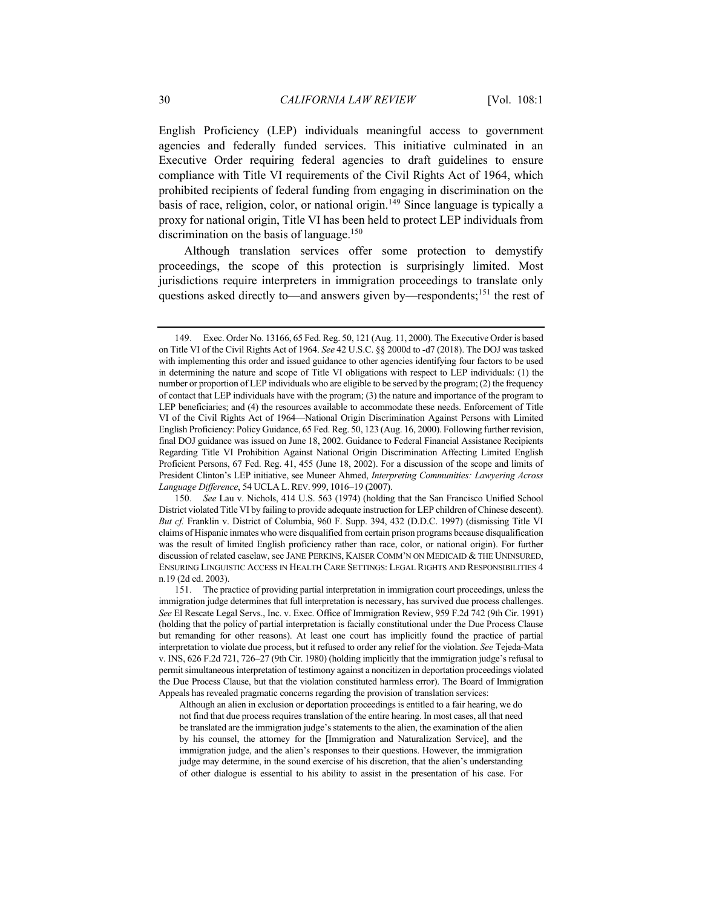English Proficiency (LEP) individuals meaningful access to government agencies and federally funded services. This initiative culminated in an Executive Order requiring federal agencies to draft guidelines to ensure compliance with Title VI requirements of the Civil Rights Act of 1964, which prohibited recipients of federal funding from engaging in discrimination on the basis of race, religion, color, or national origin.<sup>149</sup> Since language is typically a proxy for national origin, Title VI has been held to protect LEP individuals from discrimination on the basis of language.<sup>150</sup>

Although translation services offer some protection to demystify proceedings, the scope of this protection is surprisingly limited. Most jurisdictions require interpreters in immigration proceedings to translate only questions asked directly to—and answers given by—respondents;<sup>151</sup> the rest of

Although an alien in exclusion or deportation proceedings is entitled to a fair hearing, we do not find that due process requires translation of the entire hearing. In most cases, all that need be translated are the immigration judge's statements to the alien, the examination of the alien by his counsel, the attorney for the [Immigration and Naturalization Service], and the immigration judge, and the alien's responses to their questions. However, the immigration judge may determine, in the sound exercise of his discretion, that the alien's understanding of other dialogue is essential to his ability to assist in the presentation of his case. For

<sup>149.</sup> Exec. Order No. 13166, 65 Fed. Reg. 50, 121 (Aug. 11, 2000). The Executive Order is based on Title VI of the Civil Rights Act of 1964. *See* 42 U.S.C. §§ 2000d to -d7 (2018). The DOJ was tasked with implementing this order and issued guidance to other agencies identifying four factors to be used in determining the nature and scope of Title VI obligations with respect to LEP individuals: (1) the number or proportion of LEP individuals who are eligible to be served by the program; (2) the frequency of contact that LEP individuals have with the program; (3) the nature and importance of the program to LEP beneficiaries; and (4) the resources available to accommodate these needs. Enforcement of Title VI of the Civil Rights Act of 1964—National Origin Discrimination Against Persons with Limited English Proficiency: Policy Guidance, 65 Fed. Reg. 50, 123 (Aug. 16, 2000). Following further revision, final DOJ guidance was issued on June 18, 2002. Guidance to Federal Financial Assistance Recipients Regarding Title VI Prohibition Against National Origin Discrimination Affecting Limited English Proficient Persons, 67 Fed. Reg. 41, 455 (June 18, 2002). For a discussion of the scope and limits of President Clinton's LEP initiative, see Muneer Ahmed, *Interpreting Communities: Lawyering Across Language Difference*, 54 UCLA L. REV. 999, 1016–19 (2007).

<sup>150.</sup> *See* Lau v. Nichols, 414 U.S. 563 (1974) (holding that the San Francisco Unified School District violated Title VI by failing to provide adequate instruction for LEP children of Chinese descent). *But cf.* Franklin v. District of Columbia, 960 F. Supp. 394, 432 (D.D.C. 1997) (dismissing Title VI claims of Hispanic inmates who were disqualified from certain prison programs because disqualification was the result of limited English proficiency rather than race, color, or national origin). For further discussion of related caselaw, see JANE PERKINS, KAISER COMM'N ON MEDICAID & THE UNINSURED, ENSURING LINGUISTIC ACCESS IN HEALTH CARE SETTINGS: LEGAL RIGHTS AND RESPONSIBILITIES 4 n.19 (2d ed. 2003).

<sup>151.</sup> The practice of providing partial interpretation in immigration court proceedings, unless the immigration judge determines that full interpretation is necessary, has survived due process challenges. *See* El Rescate Legal Servs., Inc. v. Exec. Office of Immigration Review, 959 F.2d 742 (9th Cir. 1991) (holding that the policy of partial interpretation is facially constitutional under the Due Process Clause but remanding for other reasons). At least one court has implicitly found the practice of partial interpretation to violate due process, but it refused to order any relief for the violation. *See* Tejeda-Mata v. INS, 626 F.2d 721, 726–27 (9th Cir. 1980) (holding implicitly that the immigration judge's refusal to permit simultaneous interpretation of testimony against a noncitizen in deportation proceedings violated the Due Process Clause, but that the violation constituted harmless error). The Board of Immigration Appeals has revealed pragmatic concerns regarding the provision of translation services: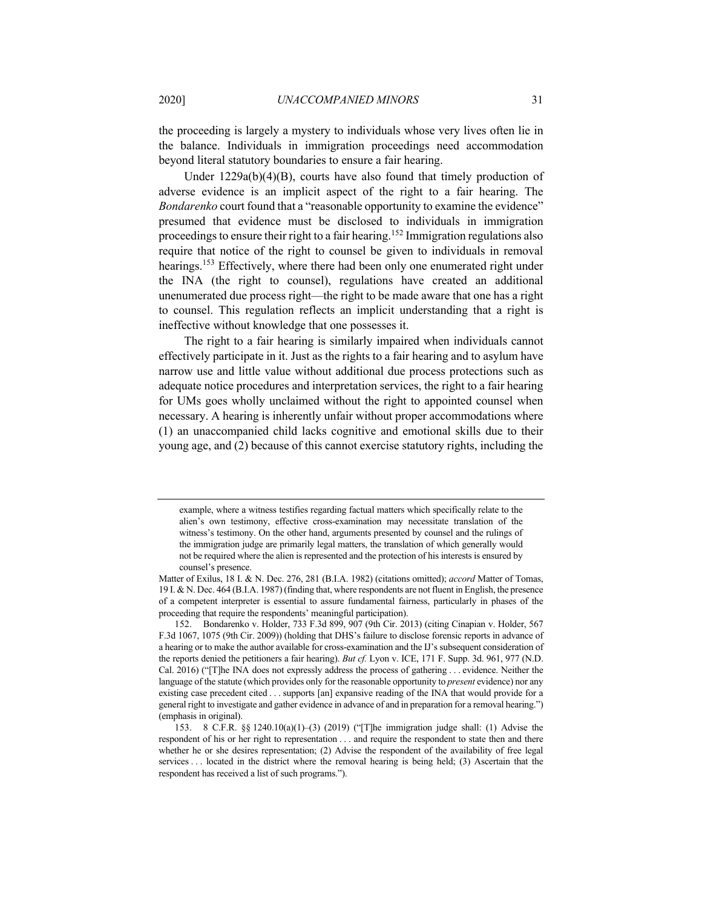the proceeding is largely a mystery to individuals whose very lives often lie in the balance. Individuals in immigration proceedings need accommodation beyond literal statutory boundaries to ensure a fair hearing.

Under 1229a(b)(4)(B), courts have also found that timely production of adverse evidence is an implicit aspect of the right to a fair hearing. The *Bondarenko* court found that a "reasonable opportunity to examine the evidence" presumed that evidence must be disclosed to individuals in immigration proceedings to ensure their right to a fair hearing.<sup>152</sup> Immigration regulations also require that notice of the right to counsel be given to individuals in removal hearings.<sup>153</sup> Effectively, where there had been only one enumerated right under the INA (the right to counsel), regulations have created an additional unenumerated due process right—the right to be made aware that one has a right to counsel. This regulation reflects an implicit understanding that a right is ineffective without knowledge that one possesses it.

The right to a fair hearing is similarly impaired when individuals cannot effectively participate in it. Just as the rights to a fair hearing and to asylum have narrow use and little value without additional due process protections such as adequate notice procedures and interpretation services, the right to a fair hearing for UMs goes wholly unclaimed without the right to appointed counsel when necessary. A hearing is inherently unfair without proper accommodations where (1) an unaccompanied child lacks cognitive and emotional skills due to their young age, and (2) because of this cannot exercise statutory rights, including the

example, where a witness testifies regarding factual matters which specifically relate to the alien's own testimony, effective cross-examination may necessitate translation of the witness's testimony. On the other hand, arguments presented by counsel and the rulings of the immigration judge are primarily legal matters, the translation of which generally would not be required where the alien is represented and the protection of his interests is ensured by counsel's presence.

Matter of Exilus, 18 I. & N. Dec. 276, 281 (B.I.A. 1982) (citations omitted); *accord* Matter of Tomas, 19 I. & N. Dec. 464 (B.I.A. 1987) (finding that, where respondents are not fluent in English, the presence of a competent interpreter is essential to assure fundamental fairness, particularly in phases of the proceeding that require the respondents' meaningful participation).

<sup>152.</sup> Bondarenko v. Holder, 733 F.3d 899, 907 (9th Cir. 2013) (citing Cinapian v. Holder, 567 F.3d 1067, 1075 (9th Cir. 2009)) (holding that DHS's failure to disclose forensic reports in advance of a hearing or to make the author available for cross-examination and the IJ's subsequent consideration of the reports denied the petitioners a fair hearing). *But cf.* Lyon v. ICE, 171 F. Supp. 3d. 961, 977 (N.D. Cal. 2016) ("[T]he INA does not expressly address the process of gathering . . . evidence. Neither the language of the statute (which provides only for the reasonable opportunity to *present* evidence) nor any existing case precedent cited . . . supports [an] expansive reading of the INA that would provide for a general right to investigate and gather evidence in advance of and in preparation for a removal hearing.") (emphasis in original).

<sup>153.</sup> 8 C.F.R. §§ 1240.10(a)(1)–(3) (2019) ("[T]he immigration judge shall: (1) Advise the respondent of his or her right to representation . . . and require the respondent to state then and there whether he or she desires representation; (2) Advise the respondent of the availability of free legal services . . . located in the district where the removal hearing is being held; (3) Ascertain that the respondent has received a list of such programs.").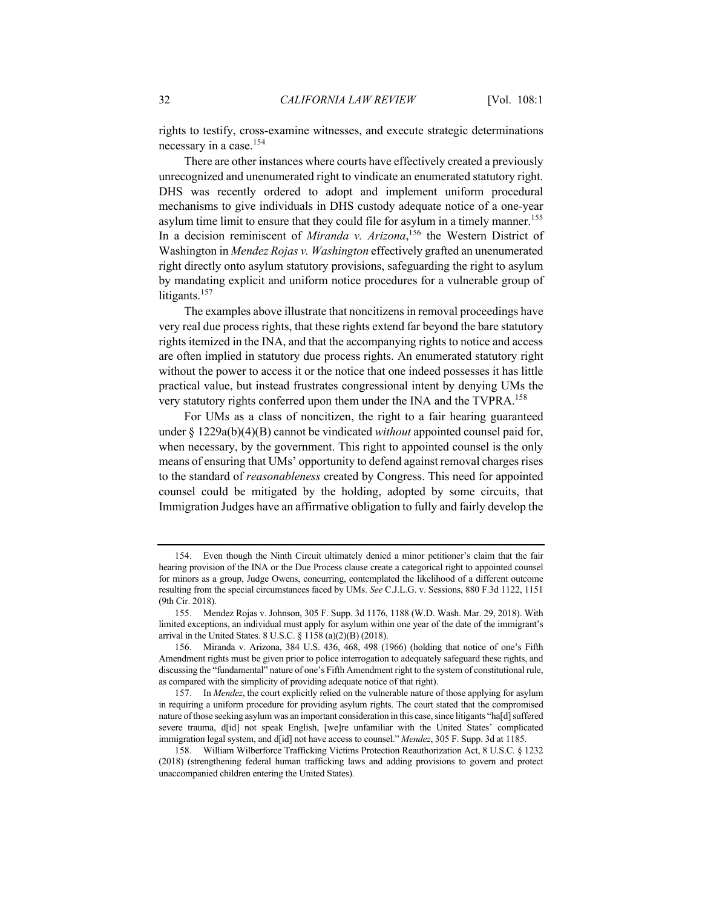rights to testify, cross-examine witnesses, and execute strategic determinations necessary in a case.<sup>154</sup>

There are other instances where courts have effectively created a previously unrecognized and unenumerated right to vindicate an enumerated statutory right. DHS was recently ordered to adopt and implement uniform procedural mechanisms to give individuals in DHS custody adequate notice of a one-year asylum time limit to ensure that they could file for asylum in a timely manner.<sup>155</sup> In a decision reminiscent of *Miranda v. Arizona*, <sup>156</sup> the Western District of Washington in *Mendez Rojas v. Washington* effectively grafted an unenumerated right directly onto asylum statutory provisions, safeguarding the right to asylum by mandating explicit and uniform notice procedures for a vulnerable group of litigants.<sup>157</sup>

The examples above illustrate that noncitizens in removal proceedings have very real due process rights, that these rights extend far beyond the bare statutory rights itemized in the INA, and that the accompanying rights to notice and access are often implied in statutory due process rights. An enumerated statutory right without the power to access it or the notice that one indeed possesses it has little practical value, but instead frustrates congressional intent by denying UMs the very statutory rights conferred upon them under the INA and the TVPRA.<sup>158</sup>

For UMs as a class of noncitizen, the right to a fair hearing guaranteed under § 1229a(b)(4)(B) cannot be vindicated *without* appointed counsel paid for, when necessary, by the government. This right to appointed counsel is the only means of ensuring that UMs' opportunity to defend against removal charges rises to the standard of *reasonableness* created by Congress. This need for appointed counsel could be mitigated by the holding, adopted by some circuits, that Immigration Judges have an affirmative obligation to fully and fairly develop the

<sup>154.</sup> Even though the Ninth Circuit ultimately denied a minor petitioner's claim that the fair hearing provision of the INA or the Due Process clause create a categorical right to appointed counsel for minors as a group, Judge Owens, concurring, contemplated the likelihood of a different outcome resulting from the special circumstances faced by UMs. *See* C.J.L.G. v. Sessions, 880 F.3d 1122, 1151 (9th Cir. 2018).

<sup>155.</sup> Mendez Rojas v. Johnson, 305 F. Supp. 3d 1176, 1188 (W.D. Wash. Mar. 29, 2018). With limited exceptions, an individual must apply for asylum within one year of the date of the immigrant's arrival in the United States. 8 U.S.C. § 1158 (a)(2)(B) (2018).

<sup>156.</sup> Miranda v. Arizona, 384 U.S. 436, 468, 498 (1966) (holding that notice of one's Fifth Amendment rights must be given prior to police interrogation to adequately safeguard these rights, and discussing the "fundamental" nature of one's Fifth Amendment right to the system of constitutional rule, as compared with the simplicity of providing adequate notice of that right).

<sup>157.</sup> In *Mendez*, the court explicitly relied on the vulnerable nature of those applying for asylum in requiring a uniform procedure for providing asylum rights. The court stated that the compromised nature of those seeking asylum was an important consideration in this case, since litigants "ha[d] suffered severe trauma, d[id] not speak English, [we]re unfamiliar with the United States' complicated immigration legal system, and d[id] not have access to counsel." *Mendez*, 305 F. Supp. 3d at 1185.

<sup>158.</sup> William Wilberforce Trafficking Victims Protection Reauthorization Act, 8 U.S.C. § 1232 (2018) (strengthening federal human trafficking laws and adding provisions to govern and protect unaccompanied children entering the United States).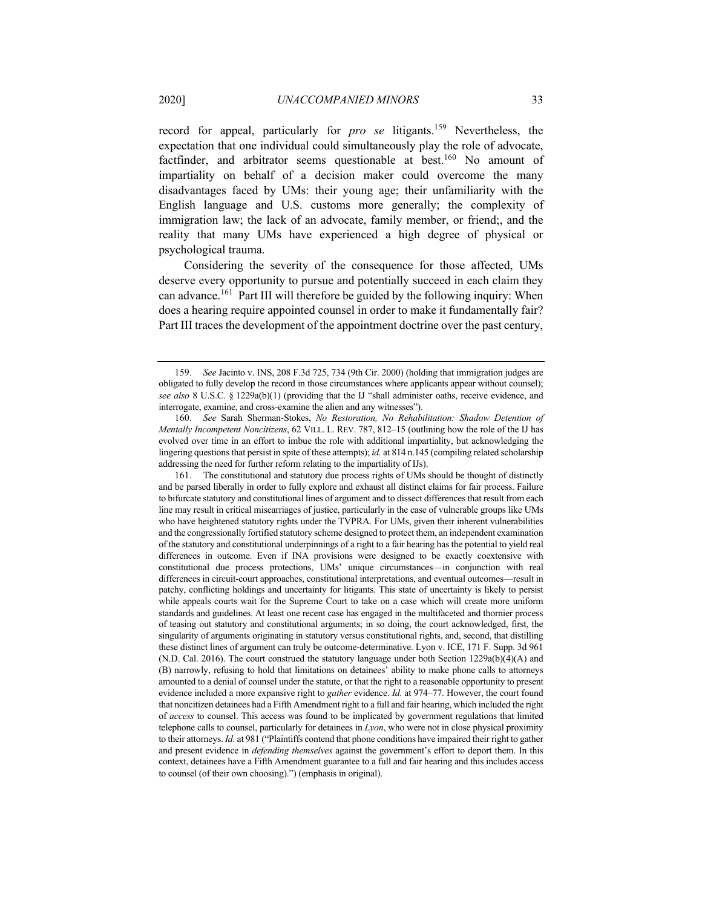record for appeal, particularly for *pro se* litigants.159 Nevertheless, the expectation that one individual could simultaneously play the role of advocate, factfinder, and arbitrator seems questionable at best.<sup>160</sup> No amount of impartiality on behalf of a decision maker could overcome the many disadvantages faced by UMs: their young age; their unfamiliarity with the English language and U.S. customs more generally; the complexity of immigration law; the lack of an advocate, family member, or friend;, and the reality that many UMs have experienced a high degree of physical or psychological trauma.

Considering the severity of the consequence for those affected, UMs deserve every opportunity to pursue and potentially succeed in each claim they can advance.<sup>161</sup> Part III will therefore be guided by the following inquiry: When does a hearing require appointed counsel in order to make it fundamentally fair? Part III traces the development of the appointment doctrine over the past century,

161. The constitutional and statutory due process rights of UMs should be thought of distinctly and be parsed liberally in order to fully explore and exhaust all distinct claims for fair process. Failure to bifurcate statutory and constitutional lines of argument and to dissect differences that result from each line may result in critical miscarriages of justice, particularly in the case of vulnerable groups like UMs who have heightened statutory rights under the TVPRA. For UMs, given their inherent vulnerabilities and the congressionally fortified statutory scheme designed to protect them, an independent examination of the statutory and constitutional underpinnings of a right to a fair hearing has the potential to yield real differences in outcome. Even if INA provisions were designed to be exactly coextensive with constitutional due process protections, UMs' unique circumstances—in conjunction with real differences in circuit-court approaches, constitutional interpretations, and eventual outcomes—result in patchy, conflicting holdings and uncertainty for litigants. This state of uncertainty is likely to persist while appeals courts wait for the Supreme Court to take on a case which will create more uniform standards and guidelines. At least one recent case has engaged in the multifaceted and thornier process of teasing out statutory and constitutional arguments; in so doing, the court acknowledged, first, the singularity of arguments originating in statutory versus constitutional rights, and, second, that distilling these distinct lines of argument can truly be outcome-determinative. Lyon v. ICE, 171 F. Supp. 3d 961 (N.D. Cal. 2016). The court construed the statutory language under both Section  $1229a(b)(4)(A)$  and (B) narrowly, refusing to hold that limitations on detainees' ability to make phone calls to attorneys amounted to a denial of counsel under the statute, or that the right to a reasonable opportunity to present evidence included a more expansive right to *gather* evidence. *Id.* at 974–77. However, the court found that noncitizen detainees had a Fifth Amendment right to a full and fair hearing, which included the right of *access* to counsel. This access was found to be implicated by government regulations that limited telephone calls to counsel, particularly for detainees in *Lyon*, who were not in close physical proximity to their attorneys. *Id.* at 981 ("Plaintiffs contend that phone conditions have impaired their right to gather and present evidence in *defending themselves* against the government's effort to deport them. In this context, detainees have a Fifth Amendment guarantee to a full and fair hearing and this includes access to counsel (of their own choosing).") (emphasis in original).

<sup>159.</sup> *See* Jacinto v. INS, 208 F.3d 725, 734 (9th Cir. 2000) (holding that immigration judges are obligated to fully develop the record in those circumstances where applicants appear without counsel); *see also* 8 U.S.C. § 1229a(b)(1) (providing that the IJ "shall administer oaths, receive evidence, and interrogate, examine, and cross-examine the alien and any witnesses").

<sup>160.</sup> *See* Sarah Sherman-Stokes, *No Restoration, No Rehabilitation: Shadow Detention of Mentally Incompetent Noncitizens*, 62 VILL. L. REV. 787, 812–15 (outlining how the role of the IJ has evolved over time in an effort to imbue the role with additional impartiality, but acknowledging the lingering questions that persist in spite of these attempts); *id.* at 814 n.145 (compiling related scholarship addressing the need for further reform relating to the impartiality of IJs).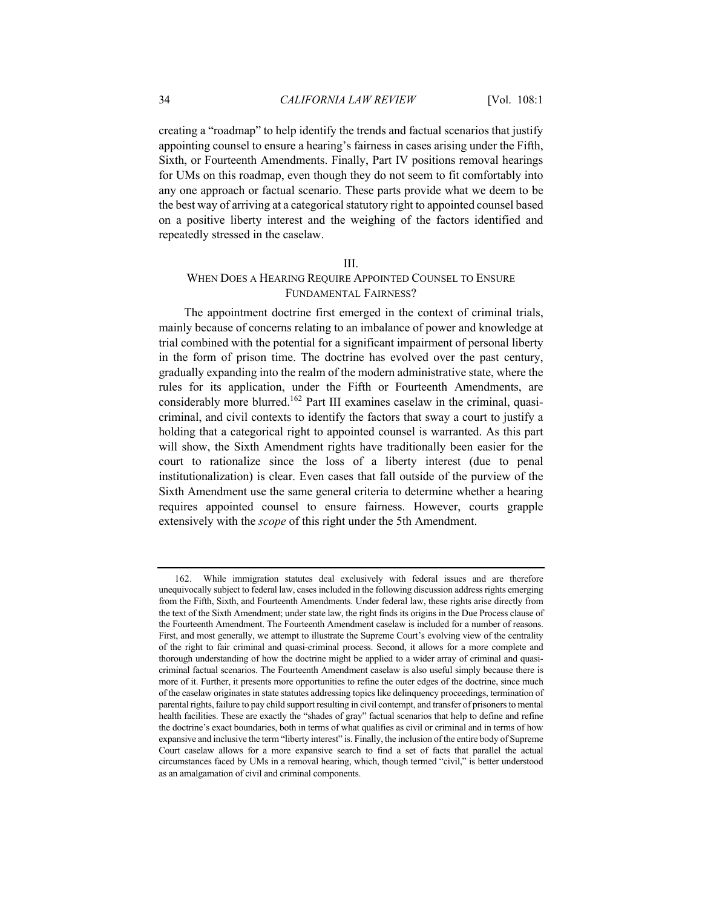creating a "roadmap" to help identify the trends and factual scenarios that justify appointing counsel to ensure a hearing's fairness in cases arising under the Fifth, Sixth, or Fourteenth Amendments. Finally, Part IV positions removal hearings for UMs on this roadmap, even though they do not seem to fit comfortably into any one approach or factual scenario. These parts provide what we deem to be the best way of arriving at a categorical statutory right to appointed counsel based on a positive liberty interest and the weighing of the factors identified and repeatedly stressed in the caselaw.

# III.

# WHEN DOES A HEARING REQUIRE APPOINTED COUNSEL TO ENSURE FUNDAMENTAL FAIRNESS?

The appointment doctrine first emerged in the context of criminal trials, mainly because of concerns relating to an imbalance of power and knowledge at trial combined with the potential for a significant impairment of personal liberty in the form of prison time. The doctrine has evolved over the past century, gradually expanding into the realm of the modern administrative state, where the rules for its application, under the Fifth or Fourteenth Amendments, are considerably more blurred.<sup>162</sup> Part III examines caselaw in the criminal, quasicriminal, and civil contexts to identify the factors that sway a court to justify a holding that a categorical right to appointed counsel is warranted. As this part will show, the Sixth Amendment rights have traditionally been easier for the court to rationalize since the loss of a liberty interest (due to penal institutionalization) is clear. Even cases that fall outside of the purview of the Sixth Amendment use the same general criteria to determine whether a hearing requires appointed counsel to ensure fairness. However, courts grapple extensively with the *scope* of this right under the 5th Amendment.

<sup>162.</sup> While immigration statutes deal exclusively with federal issues and are therefore unequivocally subject to federal law, cases included in the following discussion address rights emerging from the Fifth, Sixth, and Fourteenth Amendments. Under federal law, these rights arise directly from the text of the Sixth Amendment; under state law, the right finds its origins in the Due Process clause of the Fourteenth Amendment. The Fourteenth Amendment caselaw is included for a number of reasons. First, and most generally, we attempt to illustrate the Supreme Court's evolving view of the centrality of the right to fair criminal and quasi-criminal process. Second, it allows for a more complete and thorough understanding of how the doctrine might be applied to a wider array of criminal and quasicriminal factual scenarios. The Fourteenth Amendment caselaw is also useful simply because there is more of it. Further, it presents more opportunities to refine the outer edges of the doctrine, since much of the caselaw originates in state statutes addressing topics like delinquency proceedings, termination of parental rights, failure to pay child support resulting in civil contempt, and transfer of prisoners to mental health facilities. These are exactly the "shades of gray" factual scenarios that help to define and refine the doctrine's exact boundaries, both in terms of what qualifies as civil or criminal and in terms of how expansive and inclusive the term "liberty interest" is. Finally, the inclusion of the entire body of Supreme Court caselaw allows for a more expansive search to find a set of facts that parallel the actual circumstances faced by UMs in a removal hearing, which, though termed "civil," is better understood as an amalgamation of civil and criminal components.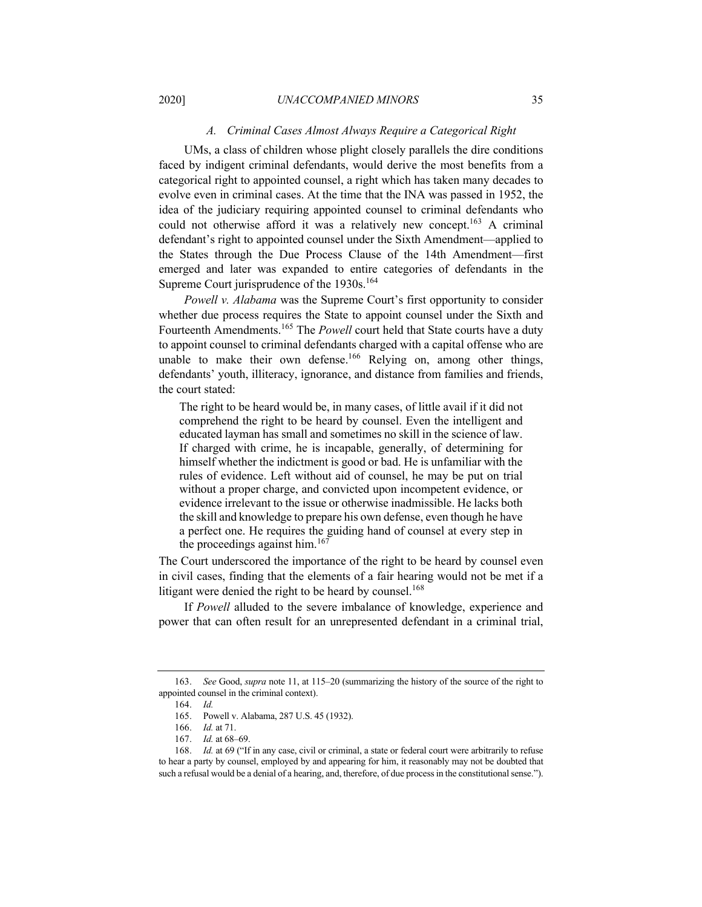# *A. Criminal Cases Almost Always Require a Categorical Right*

UMs, a class of children whose plight closely parallels the dire conditions faced by indigent criminal defendants, would derive the most benefits from a categorical right to appointed counsel, a right which has taken many decades to evolve even in criminal cases. At the time that the INA was passed in 1952, the idea of the judiciary requiring appointed counsel to criminal defendants who could not otherwise afford it was a relatively new concept.<sup>163</sup> A criminal defendant's right to appointed counsel under the Sixth Amendment—applied to the States through the Due Process Clause of the 14th Amendment—first emerged and later was expanded to entire categories of defendants in the Supreme Court jurisprudence of the 1930s.<sup>164</sup>

*Powell v. Alabama* was the Supreme Court's first opportunity to consider whether due process requires the State to appoint counsel under the Sixth and Fourteenth Amendments.<sup>165</sup> The *Powell* court held that State courts have a duty to appoint counsel to criminal defendants charged with a capital offense who are unable to make their own defense.<sup>166</sup> Relying on, among other things, defendants' youth, illiteracy, ignorance, and distance from families and friends, the court stated:

The right to be heard would be, in many cases, of little avail if it did not comprehend the right to be heard by counsel. Even the intelligent and educated layman has small and sometimes no skill in the science of law. If charged with crime, he is incapable, generally, of determining for himself whether the indictment is good or bad. He is unfamiliar with the rules of evidence. Left without aid of counsel, he may be put on trial without a proper charge, and convicted upon incompetent evidence, or evidence irrelevant to the issue or otherwise inadmissible. He lacks both the skill and knowledge to prepare his own defense, even though he have a perfect one. He requires the guiding hand of counsel at every step in the proceedings against him.<sup>167</sup>

The Court underscored the importance of the right to be heard by counsel even in civil cases, finding that the elements of a fair hearing would not be met if a litigant were denied the right to be heard by counsel.<sup>168</sup>

If *Powell* alluded to the severe imbalance of knowledge, experience and power that can often result for an unrepresented defendant in a criminal trial,

<sup>163.</sup> *See* Good, *supra* note 11, at 115–20 (summarizing the history of the source of the right to appointed counsel in the criminal context).

<sup>164.</sup> *Id.*

<sup>165.</sup> Powell v. Alabama, 287 U.S. 45 (1932).

<sup>166.</sup> *Id.* at 71.

<sup>167.</sup> *Id.* at 68–69.

<sup>168.</sup> *Id.* at 69 ("If in any case, civil or criminal, a state or federal court were arbitrarily to refuse to hear a party by counsel, employed by and appearing for him, it reasonably may not be doubted that such a refusal would be a denial of a hearing, and, therefore, of due process in the constitutional sense.").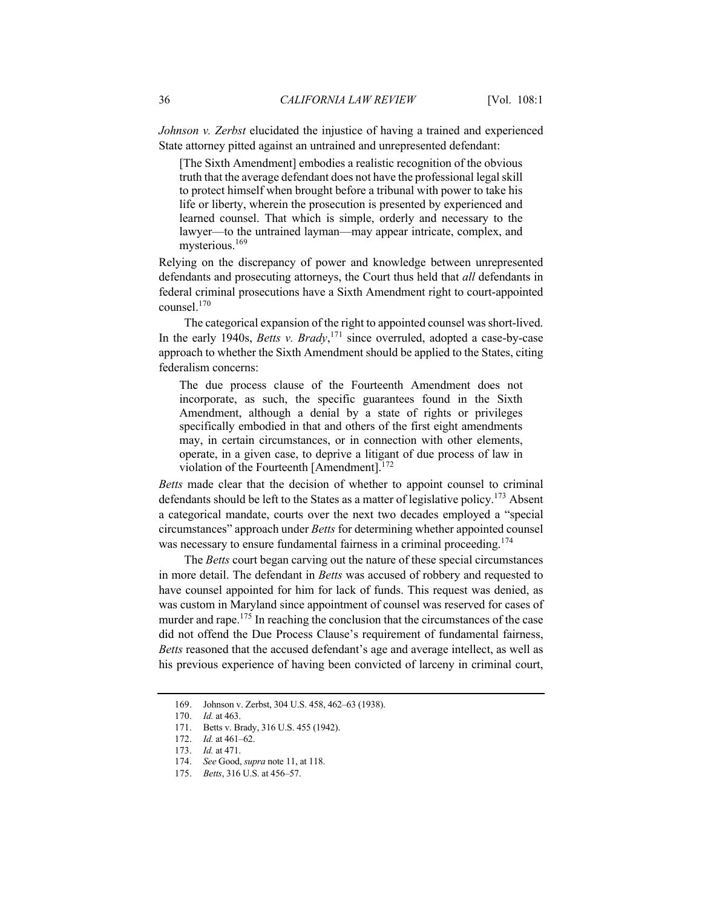*Johnson v. Zerbst* elucidated the injustice of having a trained and experienced State attorney pitted against an untrained and unrepresented defendant:

[The Sixth Amendment] embodies a realistic recognition of the obvious truth that the average defendant does not have the professional legal skill to protect himself when brought before a tribunal with power to take his life or liberty, wherein the prosecution is presented by experienced and learned counsel. That which is simple, orderly and necessary to the lawyer—to the untrained layman—may appear intricate, complex, and mysterious.169

Relying on the discrepancy of power and knowledge between unrepresented defendants and prosecuting attorneys, the Court thus held that *all* defendants in federal criminal prosecutions have a Sixth Amendment right to court-appointed counsel.<sup>170</sup>

The categorical expansion of the right to appointed counsel was short-lived. In the early 1940s, *Betts v. Brady*, <sup>171</sup> since overruled, adopted a case-by-case approach to whether the Sixth Amendment should be applied to the States, citing federalism concerns:

The due process clause of the Fourteenth Amendment does not incorporate, as such, the specific guarantees found in the Sixth Amendment, although a denial by a state of rights or privileges specifically embodied in that and others of the first eight amendments may, in certain circumstances, or in connection with other elements, operate, in a given case, to deprive a litigant of due process of law in violation of the Fourteenth [Amendment]. $172$ 

*Betts* made clear that the decision of whether to appoint counsel to criminal defendants should be left to the States as a matter of legislative policy.<sup>173</sup> Absent a categorical mandate, courts over the next two decades employed a "special circumstances" approach under *Betts* for determining whether appointed counsel was necessary to ensure fundamental fairness in a criminal proceeding.<sup>174</sup>

The *Betts* court began carving out the nature of these special circumstances in more detail. The defendant in *Betts* was accused of robbery and requested to have counsel appointed for him for lack of funds. This request was denied, as was custom in Maryland since appointment of counsel was reserved for cases of murder and rape.<sup>175</sup> In reaching the conclusion that the circumstances of the case did not offend the Due Process Clause's requirement of fundamental fairness, *Betts* reasoned that the accused defendant's age and average intellect, as well as his previous experience of having been convicted of larceny in criminal court,

<sup>169.</sup> Johnson v. Zerbst, 304 U.S. 458, 462–63 (1938).

<sup>170.</sup> *Id.* at 463.

<sup>171.</sup> Betts v. Brady, 316 U.S. 455 (1942).

<sup>172.</sup> *Id.* at 461–62.

<sup>173.</sup> *Id.* at 471.

<sup>174.</sup> *See* Good, *supra* note 11, at 118.

<sup>175.</sup> *Betts*, 316 U.S. at 456–57.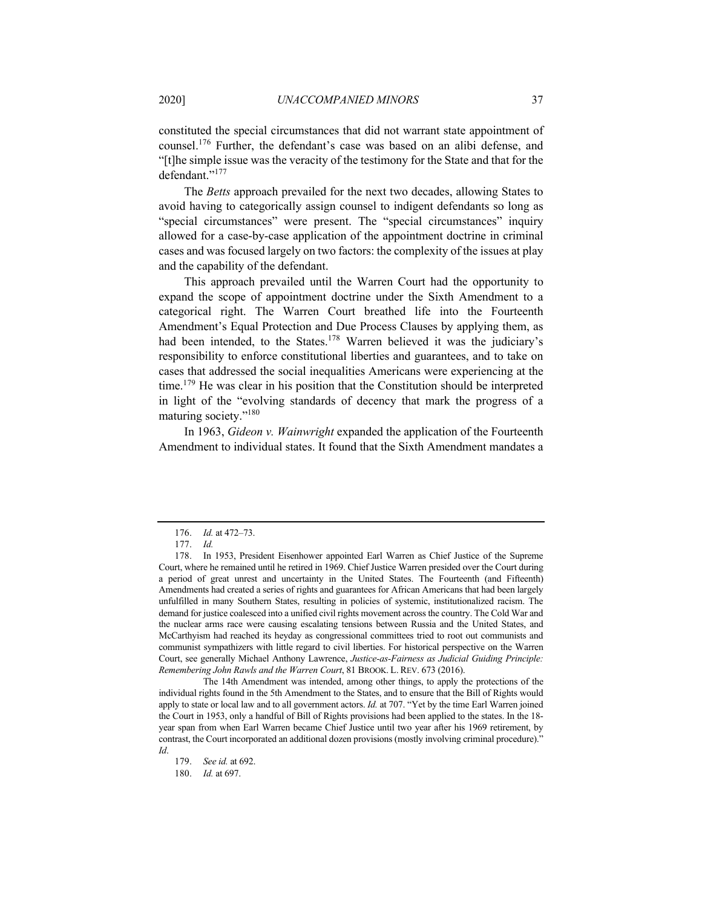constituted the special circumstances that did not warrant state appointment of counsel.<sup>176</sup> Further, the defendant's case was based on an alibi defense, and "[t]he simple issue was the veracity of the testimony for the State and that for the defendant."<sup>177</sup>

The *Betts* approach prevailed for the next two decades, allowing States to avoid having to categorically assign counsel to indigent defendants so long as "special circumstances" were present. The "special circumstances" inquiry allowed for a case-by-case application of the appointment doctrine in criminal cases and was focused largely on two factors: the complexity of the issues at play and the capability of the defendant.

This approach prevailed until the Warren Court had the opportunity to expand the scope of appointment doctrine under the Sixth Amendment to a categorical right. The Warren Court breathed life into the Fourteenth Amendment's Equal Protection and Due Process Clauses by applying them, as had been intended, to the States.<sup>178</sup> Warren believed it was the judiciary's responsibility to enforce constitutional liberties and guarantees, and to take on cases that addressed the social inequalities Americans were experiencing at the time.<sup>179</sup> He was clear in his position that the Constitution should be interpreted in light of the "evolving standards of decency that mark the progress of a maturing society."<sup>180</sup>

In 1963, *Gideon v. Wainwright* expanded the application of the Fourteenth Amendment to individual states. It found that the Sixth Amendment mandates a

The 14th Amendment was intended, among other things, to apply the protections of the individual rights found in the 5th Amendment to the States, and to ensure that the Bill of Rights would apply to state or local law and to all government actors. *Id.* at 707. "Yet by the time Earl Warren joined the Court in 1953, only a handful of Bill of Rights provisions had been applied to the states. In the 18 year span from when Earl Warren became Chief Justice until two year after his 1969 retirement, by contrast, the Court incorporated an additional dozen provisions (mostly involving criminal procedure)." *Id*.

179. *See id.* at 692.

180. *Id.* at 697.

<sup>176.</sup> *Id.* at 472–73.

<sup>177.</sup> *Id.*

<sup>178.</sup> In 1953, President Eisenhower appointed Earl Warren as Chief Justice of the Supreme Court, where he remained until he retired in 1969. Chief Justice Warren presided over the Court during a period of great unrest and uncertainty in the United States. The Fourteenth (and Fifteenth) Amendments had created a series of rights and guarantees for African Americans that had been largely unfulfilled in many Southern States, resulting in policies of systemic, institutionalized racism. The demand for justice coalesced into a unified civil rights movement across the country. The Cold War and the nuclear arms race were causing escalating tensions between Russia and the United States, and McCarthyism had reached its heyday as congressional committees tried to root out communists and communist sympathizers with little regard to civil liberties. For historical perspective on the Warren Court, see generally Michael Anthony Lawrence, *Justice-as-Fairness as Judicial Guiding Principle: Remembering John Rawls and the Warren Court*, 81 BROOK. L. REV. 673 (2016).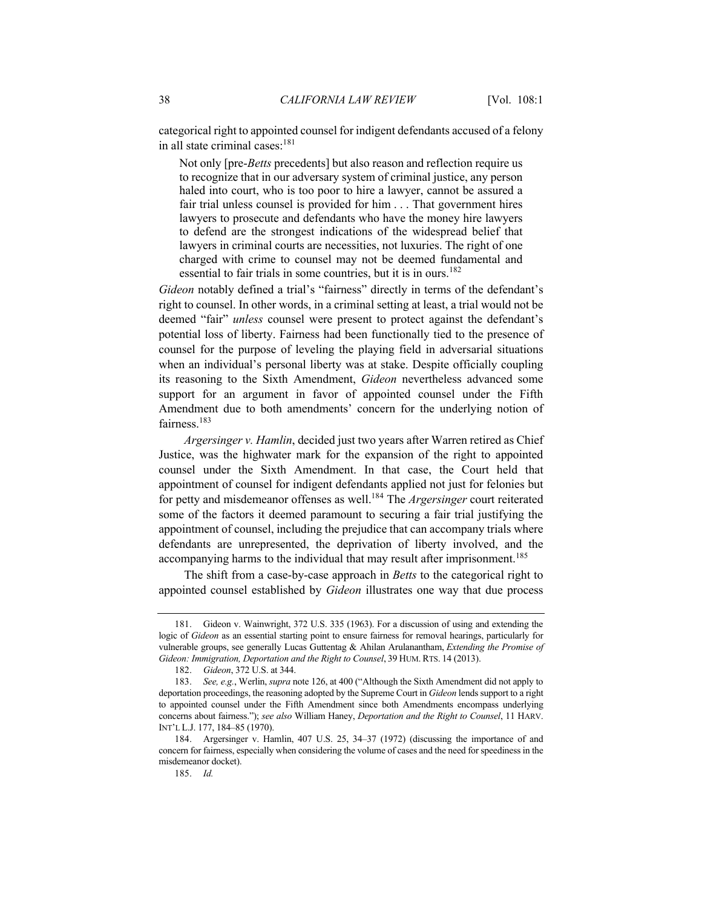categorical right to appointed counsel for indigent defendants accused of a felony in all state criminal cases:<sup>181</sup>

Not only [pre-*Betts* precedents] but also reason and reflection require us to recognize that in our adversary system of criminal justice, any person haled into court, who is too poor to hire a lawyer, cannot be assured a fair trial unless counsel is provided for him . . . That government hires lawyers to prosecute and defendants who have the money hire lawyers to defend are the strongest indications of the widespread belief that lawyers in criminal courts are necessities, not luxuries. The right of one charged with crime to counsel may not be deemed fundamental and essential to fair trials in some countries, but it is in ours.<sup>182</sup>

*Gideon* notably defined a trial's "fairness" directly in terms of the defendant's right to counsel. In other words, in a criminal setting at least, a trial would not be deemed "fair" *unless* counsel were present to protect against the defendant's potential loss of liberty. Fairness had been functionally tied to the presence of counsel for the purpose of leveling the playing field in adversarial situations when an individual's personal liberty was at stake. Despite officially coupling its reasoning to the Sixth Amendment, *Gideon* nevertheless advanced some support for an argument in favor of appointed counsel under the Fifth Amendment due to both amendments' concern for the underlying notion of fairness.<sup>183</sup>

*Argersinger v. Hamlin*, decided just two years after Warren retired as Chief Justice, was the highwater mark for the expansion of the right to appointed counsel under the Sixth Amendment. In that case, the Court held that appointment of counsel for indigent defendants applied not just for felonies but for petty and misdemeanor offenses as well.184 The *Argersinger* court reiterated some of the factors it deemed paramount to securing a fair trial justifying the appointment of counsel, including the prejudice that can accompany trials where defendants are unrepresented, the deprivation of liberty involved, and the accompanying harms to the individual that may result after imprisonment.<sup>185</sup>

The shift from a case-by-case approach in *Betts* to the categorical right to appointed counsel established by *Gideon* illustrates one way that due process

<sup>181.</sup> Gideon v. Wainwright, 372 U.S. 335 (1963). For a discussion of using and extending the logic of *Gideon* as an essential starting point to ensure fairness for removal hearings, particularly for vulnerable groups, see generally Lucas Guttentag & Ahilan Arulanantham, *Extending the Promise of Gideon: Immigration, Deportation and the Right to Counsel*, 39 HUM. RTS. 14 (2013).

<sup>182.</sup> *Gideon*, 372 U.S. at 344.

<sup>183.</sup> *See, e.g.*, Werlin, *supra* note 126, at 400 ("Although the Sixth Amendment did not apply to deportation proceedings, the reasoning adopted by the Supreme Court in *Gideon* lends support to a right to appointed counsel under the Fifth Amendment since both Amendments encompass underlying concerns about fairness."); *see also* William Haney, *Deportation and the Right to Counsel*, 11 HARV. INT'L L.J. 177, 184–85 (1970).

<sup>184.</sup> Argersinger v. Hamlin, 407 U.S. 25, 34–37 (1972) (discussing the importance of and concern for fairness, especially when considering the volume of cases and the need for speediness in the misdemeanor docket).

<sup>185.</sup> *Id.*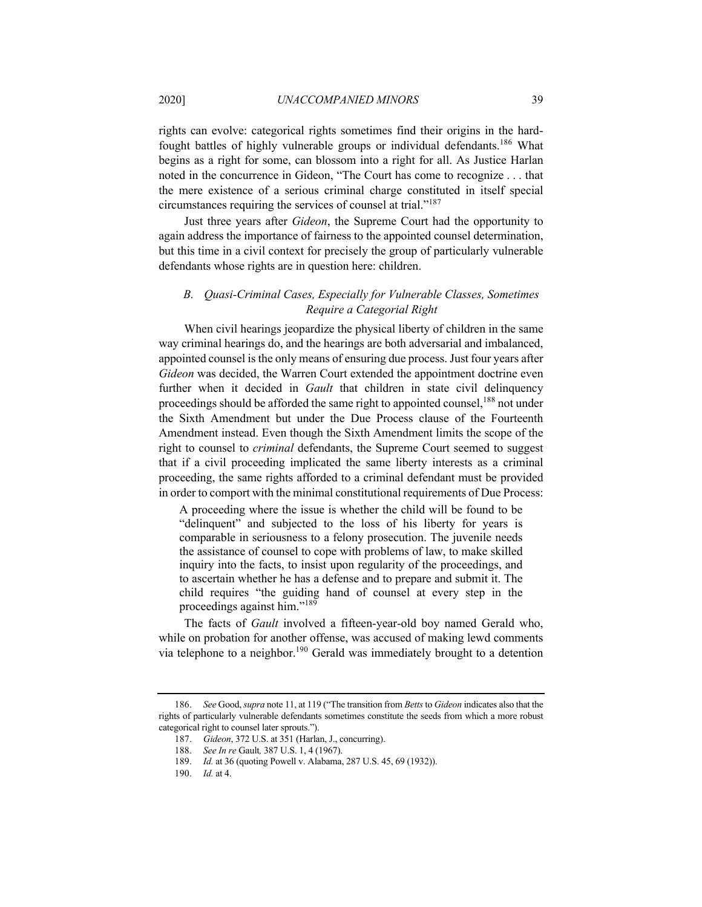rights can evolve: categorical rights sometimes find their origins in the hardfought battles of highly vulnerable groups or individual defendants.<sup>186</sup> What begins as a right for some, can blossom into a right for all. As Justice Harlan noted in the concurrence in Gideon, "The Court has come to recognize . . . that the mere existence of a serious criminal charge constituted in itself special circumstances requiring the services of counsel at trial."<sup>187</sup>

Just three years after *Gideon*, the Supreme Court had the opportunity to again address the importance of fairness to the appointed counsel determination, but this time in a civil context for precisely the group of particularly vulnerable defendants whose rights are in question here: children.

# *B. Quasi-Criminal Cases, Especially for Vulnerable Classes, Sometimes Require a Categorial Right*

When civil hearings jeopardize the physical liberty of children in the same way criminal hearings do, and the hearings are both adversarial and imbalanced, appointed counsel is the only means of ensuring due process. Just four years after *Gideon* was decided, the Warren Court extended the appointment doctrine even further when it decided in *Gault* that children in state civil delinquency proceedings should be afforded the same right to appointed counsel,<sup>188</sup> not under the Sixth Amendment but under the Due Process clause of the Fourteenth Amendment instead. Even though the Sixth Amendment limits the scope of the right to counsel to *criminal* defendants, the Supreme Court seemed to suggest that if a civil proceeding implicated the same liberty interests as a criminal proceeding, the same rights afforded to a criminal defendant must be provided in order to comport with the minimal constitutional requirements of Due Process:

A proceeding where the issue is whether the child will be found to be "delinquent" and subjected to the loss of his liberty for years is comparable in seriousness to a felony prosecution. The juvenile needs the assistance of counsel to cope with problems of law, to make skilled inquiry into the facts, to insist upon regularity of the proceedings, and to ascertain whether he has a defense and to prepare and submit it. The child requires "the guiding hand of counsel at every step in the proceedings against him."<sup>189</sup>

The facts of *Gault* involved a fifteen-year-old boy named Gerald who, while on probation for another offense, was accused of making lewd comments via telephone to a neighbor.<sup>190</sup> Gerald was immediately brought to a detention

<sup>186.</sup> *See* Good, *supra* note 11, at 119 ("The transition from *Betts*to *Gideon* indicates also that the rights of particularly vulnerable defendants sometimes constitute the seeds from which a more robust categorical right to counsel later sprouts.").

<sup>187.</sup> *Gideon*, 372 U.S. at 351 (Harlan, J., concurring).

<sup>188.</sup> *See In re* Gault*,* 387 U.S. 1, 4 (1967).

<sup>189.</sup> *Id.* at 36 (quoting Powell v. Alabama, 287 U.S. 45, 69 (1932)).

<sup>190.</sup> *Id.* at 4.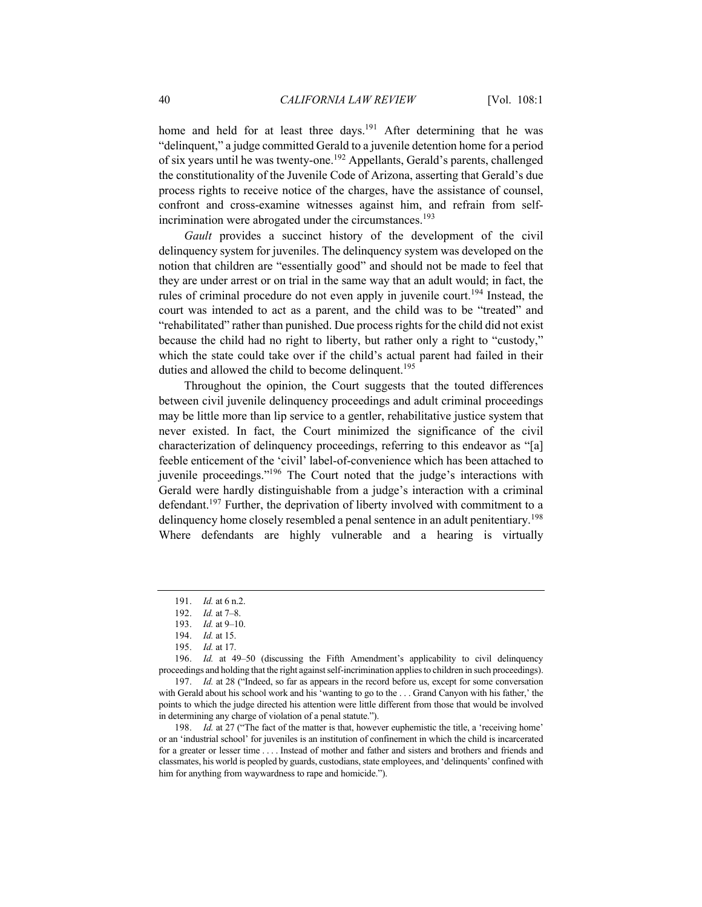home and held for at least three days.<sup>191</sup> After determining that he was "delinquent," a judge committed Gerald to a juvenile detention home for a period of six years until he was twenty-one.<sup>192</sup> Appellants, Gerald's parents, challenged the constitutionality of the Juvenile Code of Arizona, asserting that Gerald's due process rights to receive notice of the charges, have the assistance of counsel, confront and cross-examine witnesses against him, and refrain from selfincrimination were abrogated under the circumstances.<sup>193</sup>

*Gault* provides a succinct history of the development of the civil delinquency system for juveniles. The delinquency system was developed on the notion that children are "essentially good" and should not be made to feel that they are under arrest or on trial in the same way that an adult would; in fact, the rules of criminal procedure do not even apply in juvenile court.<sup>194</sup> Instead, the court was intended to act as a parent, and the child was to be "treated" and "rehabilitated" rather than punished. Due process rights for the child did not exist because the child had no right to liberty, but rather only a right to "custody," which the state could take over if the child's actual parent had failed in their duties and allowed the child to become delinquent.<sup>195</sup>

Throughout the opinion, the Court suggests that the touted differences between civil juvenile delinquency proceedings and adult criminal proceedings may be little more than lip service to a gentler, rehabilitative justice system that never existed. In fact, the Court minimized the significance of the civil characterization of delinquency proceedings, referring to this endeavor as "[a] feeble enticement of the 'civil' label-of-convenience which has been attached to juvenile proceedings."196 The Court noted that the judge's interactions with Gerald were hardly distinguishable from a judge's interaction with a criminal defendant.<sup>197</sup> Further, the deprivation of liberty involved with commitment to a delinquency home closely resembled a penal sentence in an adult penitentiary.<sup>198</sup> Where defendants are highly vulnerable and a hearing is virtually

<sup>191.</sup> *Id.* at 6 n.2.

<sup>192.</sup> *Id.* at 7–8.

<sup>193.</sup> *Id.* at 9–10.

<sup>194.</sup> *Id.* at 15.

<sup>195.</sup> *Id.* at 17.

<sup>196.</sup> *Id.* at 49–50 (discussing the Fifth Amendment's applicability to civil delinquency proceedings and holding that the right against self-incrimination applies to children in such proceedings).

<sup>197.</sup> *Id.* at 28 ("Indeed, so far as appears in the record before us, except for some conversation with Gerald about his school work and his 'wanting to go to the . . . Grand Canyon with his father,' the points to which the judge directed his attention were little different from those that would be involved in determining any charge of violation of a penal statute.").

<sup>198.</sup> *Id.* at 27 ("The fact of the matter is that, however euphemistic the title, a 'receiving home' or an 'industrial school' for juveniles is an institution of confinement in which the child is incarcerated for a greater or lesser time . . . . Instead of mother and father and sisters and brothers and friends and classmates, his world is peopled by guards, custodians, state employees, and 'delinquents' confined with him for anything from waywardness to rape and homicide.").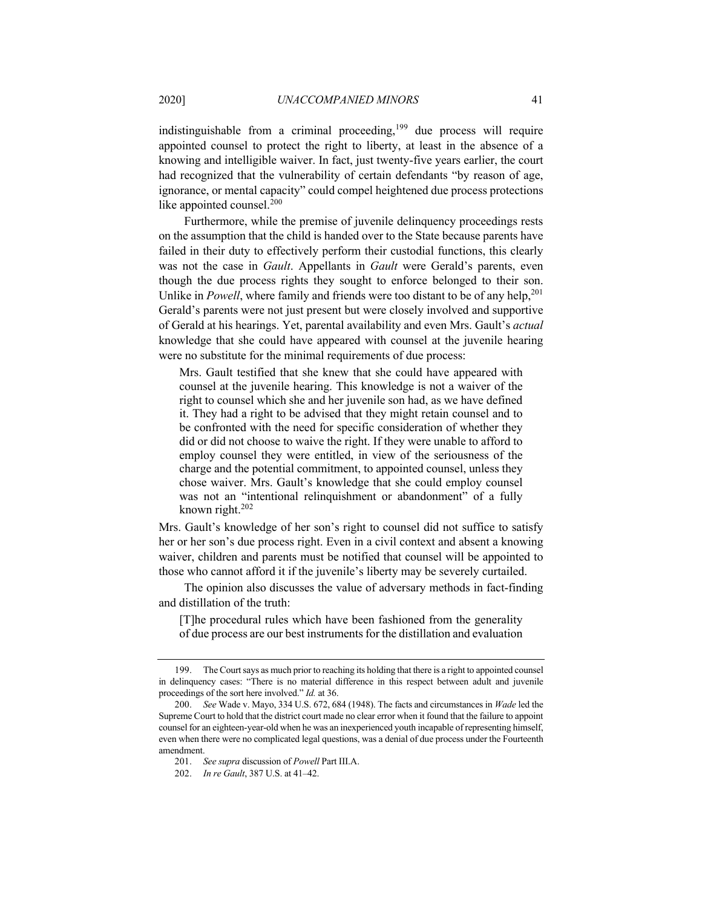indistinguishable from a criminal proceeding, $199$  due process will require appointed counsel to protect the right to liberty, at least in the absence of a knowing and intelligible waiver. In fact, just twenty-five years earlier, the court had recognized that the vulnerability of certain defendants "by reason of age, ignorance, or mental capacity" could compel heightened due process protections like appointed counsel.<sup>200</sup>

Furthermore, while the premise of juvenile delinquency proceedings rests on the assumption that the child is handed over to the State because parents have failed in their duty to effectively perform their custodial functions, this clearly was not the case in *Gault*. Appellants in *Gault* were Gerald's parents, even though the due process rights they sought to enforce belonged to their son. Unlike in *Powell*, where family and friends were too distant to be of any help,  $201$ Gerald's parents were not just present but were closely involved and supportive of Gerald at his hearings. Yet, parental availability and even Mrs. Gault's *actual* knowledge that she could have appeared with counsel at the juvenile hearing were no substitute for the minimal requirements of due process:

Mrs. Gault testified that she knew that she could have appeared with counsel at the juvenile hearing. This knowledge is not a waiver of the right to counsel which she and her juvenile son had, as we have defined it. They had a right to be advised that they might retain counsel and to be confronted with the need for specific consideration of whether they did or did not choose to waive the right. If they were unable to afford to employ counsel they were entitled, in view of the seriousness of the charge and the potential commitment, to appointed counsel, unless they chose waiver. Mrs. Gault's knowledge that she could employ counsel was not an "intentional relinquishment or abandonment" of a fully known right.<sup>202</sup>

Mrs. Gault's knowledge of her son's right to counsel did not suffice to satisfy her or her son's due process right. Even in a civil context and absent a knowing waiver, children and parents must be notified that counsel will be appointed to those who cannot afford it if the juvenile's liberty may be severely curtailed.

The opinion also discusses the value of adversary methods in fact-finding and distillation of the truth:

[T]he procedural rules which have been fashioned from the generality of due process are our best instruments for the distillation and evaluation

<sup>199.</sup> The Court says as much prior to reaching its holding that there is a right to appointed counsel in delinquency cases: "There is no material difference in this respect between adult and juvenile proceedings of the sort here involved." *Id.* at 36.

<sup>200.</sup> *See* Wade v. Mayo, 334 U.S. 672, 684 (1948). The facts and circumstances in *Wade* led the Supreme Court to hold that the district court made no clear error when it found that the failure to appoint counsel for an eighteen-year-old when he was an inexperienced youth incapable of representing himself, even when there were no complicated legal questions, was a denial of due process under the Fourteenth amendment.

<sup>201.</sup> *See supra* discussion of *Powell* Part III.A.

<sup>202.</sup> *In re Gault*, 387 U.S. at 41–42.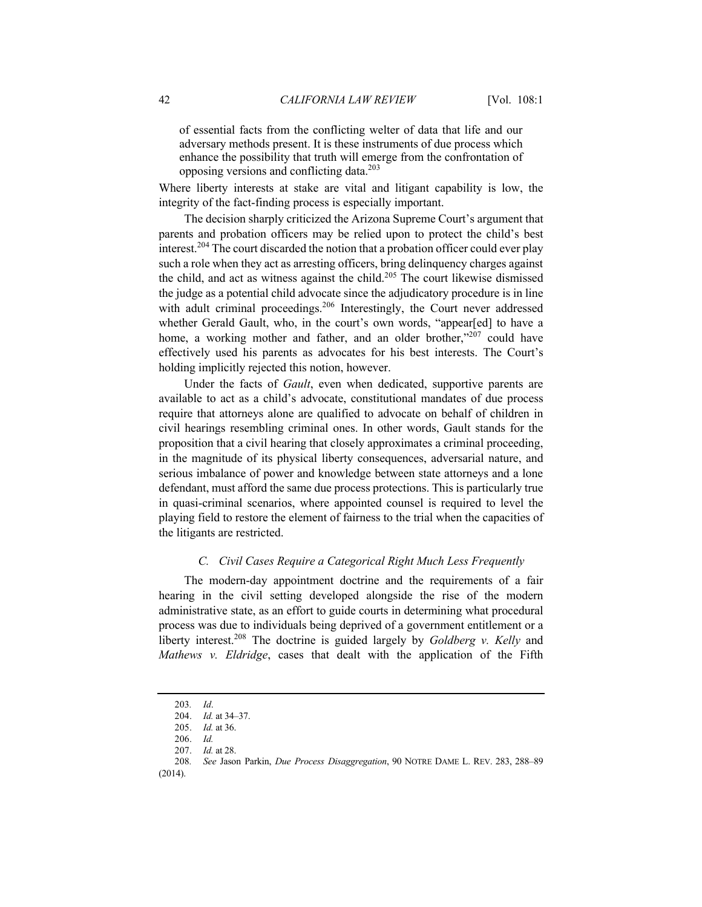of essential facts from the conflicting welter of data that life and our adversary methods present. It is these instruments of due process which enhance the possibility that truth will emerge from the confrontation of opposing versions and conflicting data.203

Where liberty interests at stake are vital and litigant capability is low, the integrity of the fact-finding process is especially important.

The decision sharply criticized the Arizona Supreme Court's argument that parents and probation officers may be relied upon to protect the child's best interest.<sup>204</sup> The court discarded the notion that a probation officer could ever play such a role when they act as arresting officers, bring delinquency charges against the child, and act as witness against the child.<sup>205</sup> The court likewise dismissed the judge as a potential child advocate since the adjudicatory procedure is in line with adult criminal proceedings.<sup>206</sup> Interestingly, the Court never addressed whether Gerald Gault, who, in the court's own words, "appear[ed] to have a home, a working mother and father, and an older brother,"<sup>207</sup> could have effectively used his parents as advocates for his best interests. The Court's holding implicitly rejected this notion, however.

Under the facts of *Gault*, even when dedicated, supportive parents are available to act as a child's advocate, constitutional mandates of due process require that attorneys alone are qualified to advocate on behalf of children in civil hearings resembling criminal ones. In other words, Gault stands for the proposition that a civil hearing that closely approximates a criminal proceeding, in the magnitude of its physical liberty consequences, adversarial nature, and serious imbalance of power and knowledge between state attorneys and a lone defendant, must afford the same due process protections. This is particularly true in quasi-criminal scenarios, where appointed counsel is required to level the playing field to restore the element of fairness to the trial when the capacities of the litigants are restricted.

#### *C. Civil Cases Require a Categorical Right Much Less Frequently*

The modern-day appointment doctrine and the requirements of a fair hearing in the civil setting developed alongside the rise of the modern administrative state, as an effort to guide courts in determining what procedural process was due to individuals being deprived of a government entitlement or a liberty interest.208 The doctrine is guided largely by *Goldberg v. Kelly* and *Mathews v. Eldridge*, cases that dealt with the application of the Fifth

<sup>203</sup>*. Id*.

<sup>204.</sup> *Id.* at 34–37.

<sup>205.</sup> *Id.* at 36.

<sup>206.</sup> *Id.*

<sup>207.</sup> *Id.* at 28.

<sup>208</sup>*. See* Jason Parkin, *Due Process Disaggregation*, 90 NOTRE DAME L. REV. 283, 288–89 (2014).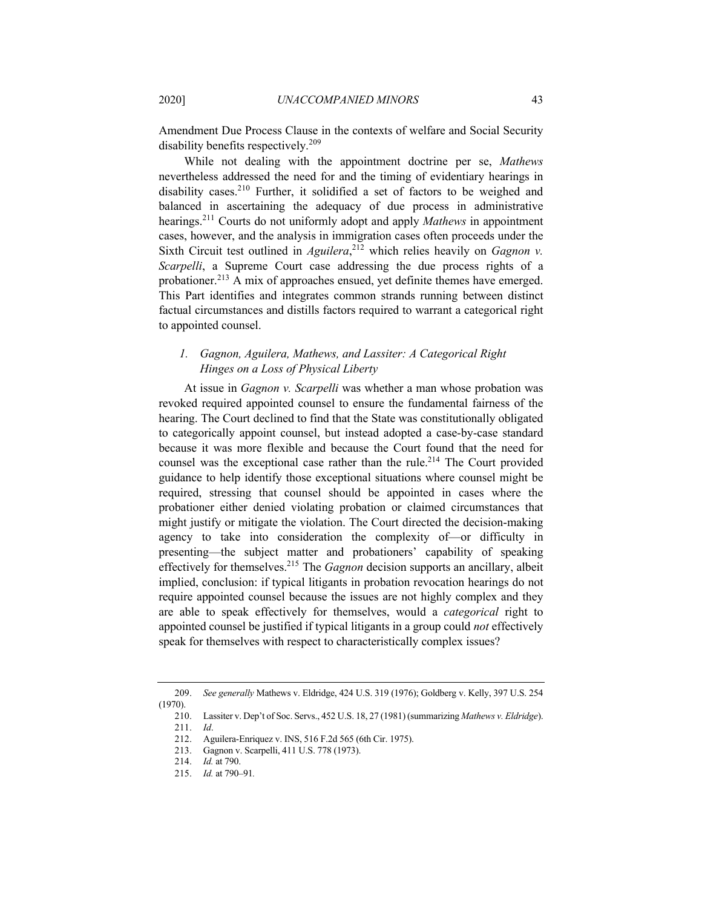Amendment Due Process Clause in the contexts of welfare and Social Security disability benefits respectively.<sup>209</sup>

While not dealing with the appointment doctrine per se, *Mathews* nevertheless addressed the need for and the timing of evidentiary hearings in disability cases.<sup>210</sup> Further, it solidified a set of factors to be weighed and balanced in ascertaining the adequacy of due process in administrative hearings.211 Courts do not uniformly adopt and apply *Mathews* in appointment cases, however, and the analysis in immigration cases often proceeds under the Sixth Circuit test outlined in *Aguilera*,<sup>212</sup> which relies heavily on *Gagnon v*. *Scarpelli*, a Supreme Court case addressing the due process rights of a probationer.<sup>213</sup> A mix of approaches ensued, yet definite themes have emerged. This Part identifies and integrates common strands running between distinct factual circumstances and distills factors required to warrant a categorical right to appointed counsel.

# *1. Gagnon, Aguilera, Mathews, and Lassiter: A Categorical Right Hinges on a Loss of Physical Liberty*

At issue in *Gagnon v. Scarpelli* was whether a man whose probation was revoked required appointed counsel to ensure the fundamental fairness of the hearing. The Court declined to find that the State was constitutionally obligated to categorically appoint counsel, but instead adopted a case-by-case standard because it was more flexible and because the Court found that the need for counsel was the exceptional case rather than the rule.<sup>214</sup> The Court provided guidance to help identify those exceptional situations where counsel might be required, stressing that counsel should be appointed in cases where the probationer either denied violating probation or claimed circumstances that might justify or mitigate the violation. The Court directed the decision-making agency to take into consideration the complexity of—or difficulty in presenting—the subject matter and probationers' capability of speaking effectively for themselves.215 The *Gagnon* decision supports an ancillary, albeit implied, conclusion: if typical litigants in probation revocation hearings do not require appointed counsel because the issues are not highly complex and they are able to speak effectively for themselves, would a *categorical* right to appointed counsel be justified if typical litigants in a group could *not* effectively speak for themselves with respect to characteristically complex issues?

<sup>209.</sup> *See generally* Mathews v. Eldridge, 424 U.S. 319 (1976); Goldberg v. Kelly, 397 U.S. 254 (1970).

<sup>210.</sup> Lassiter v. Dep't of Soc. Servs., 452 U.S. 18, 27 (1981) (summarizing *Mathews v. Eldridge*).

<sup>211.</sup> *Id*.

<sup>212.</sup> Aguilera-Enriquez v. INS, 516 F.2d 565 (6th Cir. 1975).

<sup>213.</sup> Gagnon v. Scarpelli, 411 U.S. 778 (1973).

<sup>214.</sup> *Id.* at 790.

<sup>215.</sup> *Id.* at 790–91*.*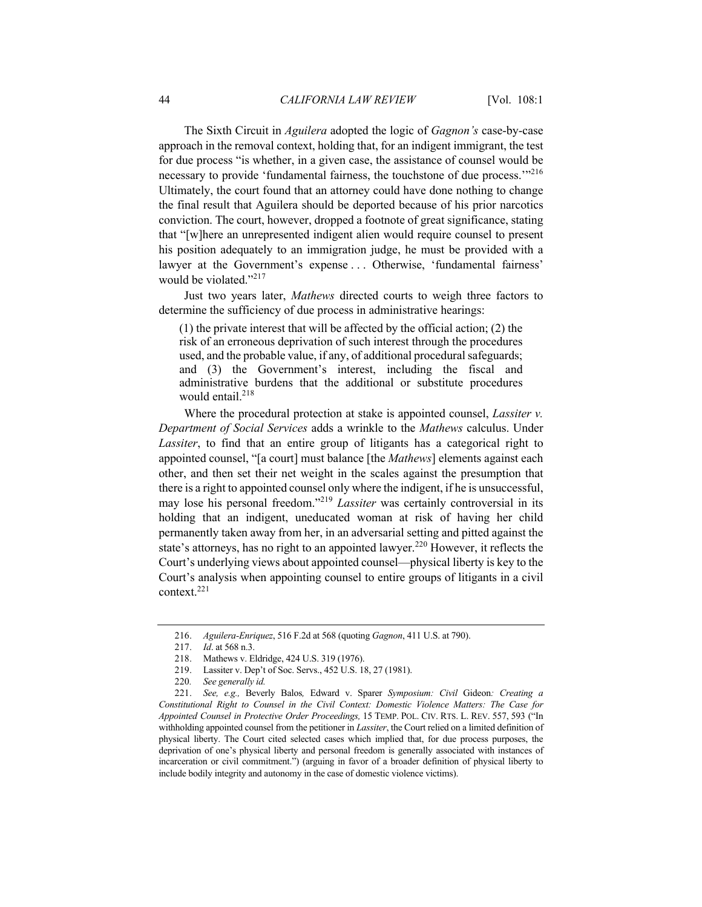The Sixth Circuit in *Aguilera* adopted the logic of *Gagnon's* case-by-case approach in the removal context, holding that, for an indigent immigrant, the test for due process "is whether, in a given case, the assistance of counsel would be necessary to provide 'fundamental fairness, the touchstone of due process.'"<sup>216</sup> Ultimately, the court found that an attorney could have done nothing to change the final result that Aguilera should be deported because of his prior narcotics conviction. The court, however, dropped a footnote of great significance, stating that "[w]here an unrepresented indigent alien would require counsel to present his position adequately to an immigration judge, he must be provided with a lawyer at the Government's expense ... Otherwise, 'fundamental fairness' would be violated."<sup>217</sup>

Just two years later, *Mathews* directed courts to weigh three factors to determine the sufficiency of due process in administrative hearings:

(1) the private interest that will be affected by the official action; (2) the risk of an erroneous deprivation of such interest through the procedures used, and the probable value, if any, of additional procedural safeguards; and (3) the Government's interest, including the fiscal and administrative burdens that the additional or substitute procedures would entail.<sup>218</sup>

Where the procedural protection at stake is appointed counsel, *Lassiter v. Department of Social Services* adds a wrinkle to the *Mathews* calculus. Under *Lassiter*, to find that an entire group of litigants has a categorical right to appointed counsel, "[a court] must balance [the *Mathews*] elements against each other, and then set their net weight in the scales against the presumption that there is a right to appointed counsel only where the indigent, if he is unsuccessful, may lose his personal freedom."<sup>219</sup> *Lassiter* was certainly controversial in its holding that an indigent, uneducated woman at risk of having her child permanently taken away from her, in an adversarial setting and pitted against the state's attorneys, has no right to an appointed lawyer.<sup>220</sup> However, it reflects the Court's underlying views about appointed counsel—physical liberty is key to the Court's analysis when appointing counsel to entire groups of litigants in a civil context.<sup>221</sup>

<sup>216.</sup> *Aguilera-Enriquez*, 516 F.2d at 568 (quoting *Gagnon*, 411 U.S. at 790).

<sup>217.</sup> *Id*. at 568 n.3.

<sup>218.</sup> Mathews v. Eldridge, 424 U.S. 319 (1976).

<sup>219.</sup> Lassiter v. Dep't of Soc. Servs., 452 U.S. 18, 27 (1981).

<sup>220</sup>*. See generally id.*

<sup>221.</sup> *See, e.g.,* Beverly Balos*,* Edward v. Sparer *Symposium: Civil* Gideon*: Creating a Constitutional Right to Counsel in the Civil Context: Domestic Violence Matters: The Case for Appointed Counsel in Protective Order Proceedings,* 15 TEMP. POL. CIV. RTS. L. REV. 557, 593 ("In withholding appointed counsel from the petitioner in *Lassiter*, the Court relied on a limited definition of physical liberty. The Court cited selected cases which implied that, for due process purposes, the deprivation of one's physical liberty and personal freedom is generally associated with instances of incarceration or civil commitment.") (arguing in favor of a broader definition of physical liberty to include bodily integrity and autonomy in the case of domestic violence victims).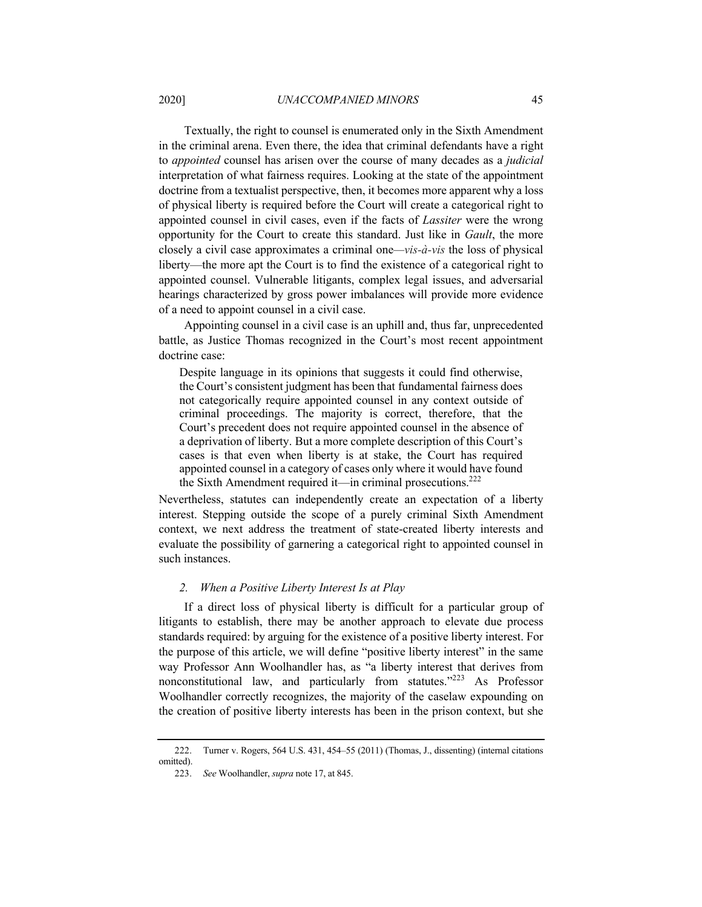Textually, the right to counsel is enumerated only in the Sixth Amendment in the criminal arena. Even there, the idea that criminal defendants have a right to *appointed* counsel has arisen over the course of many decades as a *judicial* interpretation of what fairness requires. Looking at the state of the appointment doctrine from a textualist perspective, then, it becomes more apparent why a loss of physical liberty is required before the Court will create a categorical right to appointed counsel in civil cases, even if the facts of *Lassiter* were the wrong opportunity for the Court to create this standard. Just like in *Gault*, the more closely a civil case approximates a criminal one*—vis-à-vis* the loss of physical liberty—the more apt the Court is to find the existence of a categorical right to appointed counsel. Vulnerable litigants, complex legal issues, and adversarial hearings characterized by gross power imbalances will provide more evidence of a need to appoint counsel in a civil case.

Appointing counsel in a civil case is an uphill and, thus far, unprecedented battle, as Justice Thomas recognized in the Court's most recent appointment doctrine case:

Despite language in its opinions that suggests it could find otherwise, the Court's consistent judgment has been that fundamental fairness does not categorically require appointed counsel in any context outside of criminal proceedings. The majority is correct, therefore, that the Court's precedent does not require appointed counsel in the absence of a deprivation of liberty. But a more complete description of this Court's cases is that even when liberty is at stake, the Court has required appointed counsel in a category of cases only where it would have found the Sixth Amendment required it—in criminal prosecutions.<sup>222</sup>

Nevertheless, statutes can independently create an expectation of a liberty interest. Stepping outside the scope of a purely criminal Sixth Amendment context, we next address the treatment of state-created liberty interests and evaluate the possibility of garnering a categorical right to appointed counsel in such instances.

# *2. When a Positive Liberty Interest Is at Play*

If a direct loss of physical liberty is difficult for a particular group of litigants to establish, there may be another approach to elevate due process standards required: by arguing for the existence of a positive liberty interest. For the purpose of this article, we will define "positive liberty interest" in the same way Professor Ann Woolhandler has, as "a liberty interest that derives from nonconstitutional law, and particularly from statutes."<sup>223</sup> As Professor Woolhandler correctly recognizes, the majority of the caselaw expounding on the creation of positive liberty interests has been in the prison context, but she

<sup>222.</sup> Turner v. Rogers, 564 U.S. 431, 454–55 (2011) (Thomas, J., dissenting) (internal citations omitted).

<sup>223.</sup> *See* Woolhandler, *supra* note 17, at 845.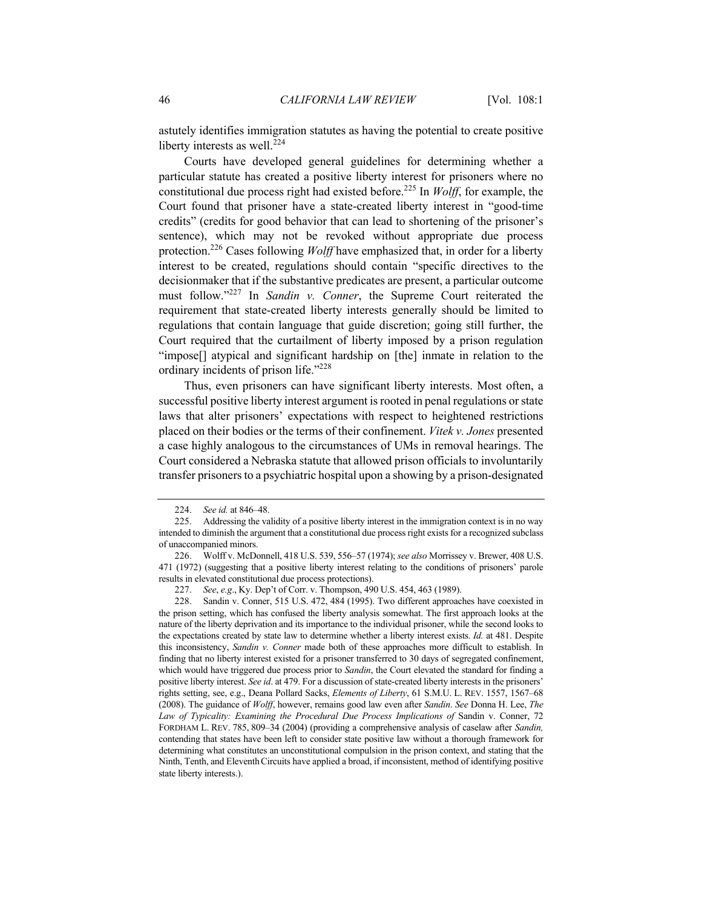astutely identifies immigration statutes as having the potential to create positive liberty interests as well.<sup>224</sup>

Courts have developed general guidelines for determining whether a particular statute has created a positive liberty interest for prisoners where no constitutional due process right had existed before.<sup>225</sup> In *Wolff*, for example, the Court found that prisoner have a state-created liberty interest in "good-time credits" (credits for good behavior that can lead to shortening of the prisoner's sentence), which may not be revoked without appropriate due process protection.226 Cases following *Wolff* have emphasized that, in order for a liberty interest to be created, regulations should contain "specific directives to the decisionmaker that if the substantive predicates are present, a particular outcome must follow."227 In *Sandin v. Conner*, the Supreme Court reiterated the requirement that state-created liberty interests generally should be limited to regulations that contain language that guide discretion; going still further, the Court required that the curtailment of liberty imposed by a prison regulation "impose[] atypical and significant hardship on [the] inmate in relation to the ordinary incidents of prison life."<sup>228</sup>

Thus, even prisoners can have significant liberty interests. Most often, a successful positive liberty interest argument is rooted in penal regulations or state laws that alter prisoners' expectations with respect to heightened restrictions placed on their bodies or the terms of their confinement. *Vitek v. Jones* presented a case highly analogous to the circumstances of UMs in removal hearings. The Court considered a Nebraska statute that allowed prison officials to involuntarily transfer prisoners to a psychiatric hospital upon a showing by a prison-designated

<sup>224.</sup> *See id.* at 846–48.

<sup>225.</sup> Addressing the validity of a positive liberty interest in the immigration context is in no way intended to diminish the argument that a constitutional due process right exists for a recognized subclass of unaccompanied minors.

<sup>226.</sup> Wolff v. McDonnell, 418 U.S. 539, 556–57 (1974); *see also* Morrissey v. Brewer, 408 U.S. 471 (1972) (suggesting that a positive liberty interest relating to the conditions of prisoners' parole results in elevated constitutional due process protections).

<sup>227.</sup> *See*, *e.g*., Ky. Dep't of Corr. v. Thompson, 490 U.S. 454, 463 (1989).

<sup>228.</sup> Sandin v. Conner, 515 U.S. 472, 484 (1995). Two different approaches have coexisted in the prison setting, which has confused the liberty analysis somewhat. The first approach looks at the nature of the liberty deprivation and its importance to the individual prisoner, while the second looks to the expectations created by state law to determine whether a liberty interest exists. *Id.* at 481. Despite this inconsistency, *Sandin v. Conner* made both of these approaches more difficult to establish. In finding that no liberty interest existed for a prisoner transferred to 30 days of segregated confinement, which would have triggered due process prior to *Sandin*, the Court elevated the standard for finding a positive liberty interest. *See id*. at 479. For a discussion of state-created liberty interests in the prisoners' rights setting, see, e.g., Deana Pollard Sacks, *Elements of Liberty*, 61 S.M.U. L. REV. 1557, 1567–68 (2008). The guidance of *Wolff*, however, remains good law even after *Sandin*. *See* Donna H. Lee, *The*  Law of Typicality: Examining the Procedural Due Process Implications of Sandin v. Conner, 72 FORDHAM L. REV. 785, 809–34 (2004) (providing a comprehensive analysis of caselaw after *Sandin,*  contending that states have been left to consider state positive law without a thorough framework for determining what constitutes an unconstitutional compulsion in the prison context, and stating that the Ninth, Tenth, and Eleventh Circuits have applied a broad, if inconsistent, method of identifying positive state liberty interests.).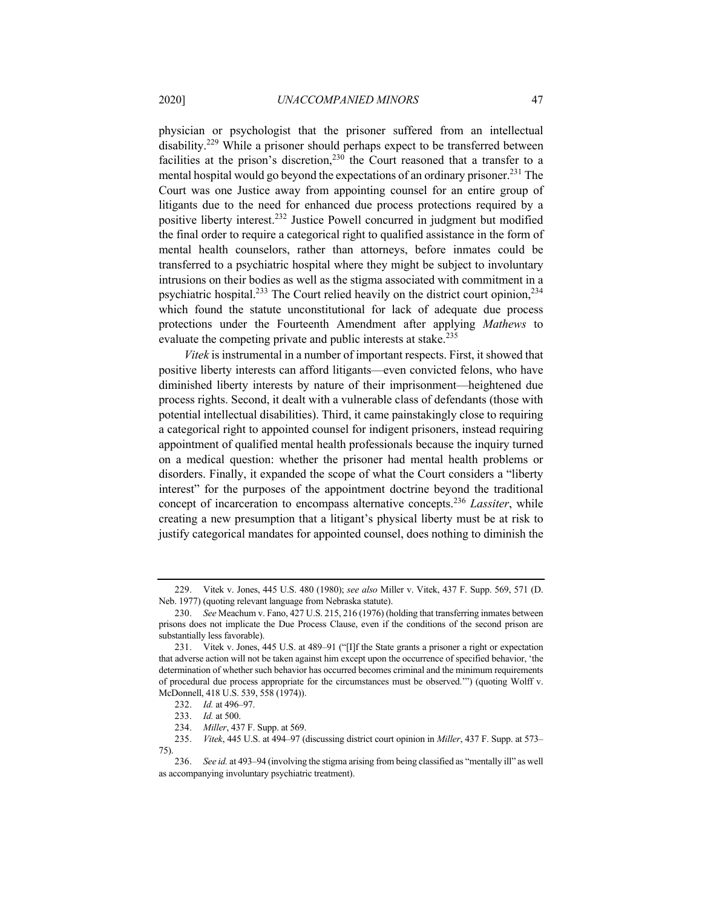physician or psychologist that the prisoner suffered from an intellectual disability.<sup>229</sup> While a prisoner should perhaps expect to be transferred between facilities at the prison's discretion,  $230$  the Court reasoned that a transfer to a mental hospital would go beyond the expectations of an ordinary prisoner.<sup>231</sup> The Court was one Justice away from appointing counsel for an entire group of litigants due to the need for enhanced due process protections required by a positive liberty interest.<sup>232</sup> Justice Powell concurred in judgment but modified the final order to require a categorical right to qualified assistance in the form of mental health counselors, rather than attorneys, before inmates could be transferred to a psychiatric hospital where they might be subject to involuntary intrusions on their bodies as well as the stigma associated with commitment in a psychiatric hospital.<sup>233</sup> The Court relied heavily on the district court opinion,<sup>234</sup> which found the statute unconstitutional for lack of adequate due process protections under the Fourteenth Amendment after applying *Mathews* to evaluate the competing private and public interests at stake.<sup>235</sup>

*Vitek* is instrumental in a number of important respects. First, it showed that positive liberty interests can afford litigants—even convicted felons, who have diminished liberty interests by nature of their imprisonment—heightened due process rights. Second, it dealt with a vulnerable class of defendants (those with potential intellectual disabilities). Third, it came painstakingly close to requiring a categorical right to appointed counsel for indigent prisoners, instead requiring appointment of qualified mental health professionals because the inquiry turned on a medical question: whether the prisoner had mental health problems or disorders. Finally, it expanded the scope of what the Court considers a "liberty interest" for the purposes of the appointment doctrine beyond the traditional concept of incarceration to encompass alternative concepts.<sup>236</sup> *Lassiter*, while creating a new presumption that a litigant's physical liberty must be at risk to justify categorical mandates for appointed counsel, does nothing to diminish the

<sup>229.</sup> Vitek v. Jones, 445 U.S. 480 (1980); *see also* Miller v. Vitek, 437 F. Supp. 569, 571 (D. Neb. 1977) (quoting relevant language from Nebraska statute).

<sup>230.</sup> *See* Meachum v. Fano, 427 U.S. 215, 216 (1976) (holding that transferring inmates between prisons does not implicate the Due Process Clause, even if the conditions of the second prison are substantially less favorable).

<sup>231.</sup> Vitek v. Jones, 445 U.S. at 489–91 ("[I]f the State grants a prisoner a right or expectation that adverse action will not be taken against him except upon the occurrence of specified behavior, 'the determination of whether such behavior has occurred becomes criminal and the minimum requirements of procedural due process appropriate for the circumstances must be observed.'") (quoting Wolff v. McDonnell, 418 U.S. 539, 558 (1974)).

<sup>232.</sup> *Id.* at 496–97.

<sup>233.</sup> *Id.* at 500.

<sup>234.</sup> *Miller*, 437 F. Supp. at 569.

<sup>235.</sup> *Vitek*, 445 U.S. at 494–97 (discussing district court opinion in *Miller*, 437 F. Supp. at 573– 75).

<sup>236.</sup> *See id.* at 493–94 (involving the stigma arising from being classified as "mentally ill" as well as accompanying involuntary psychiatric treatment).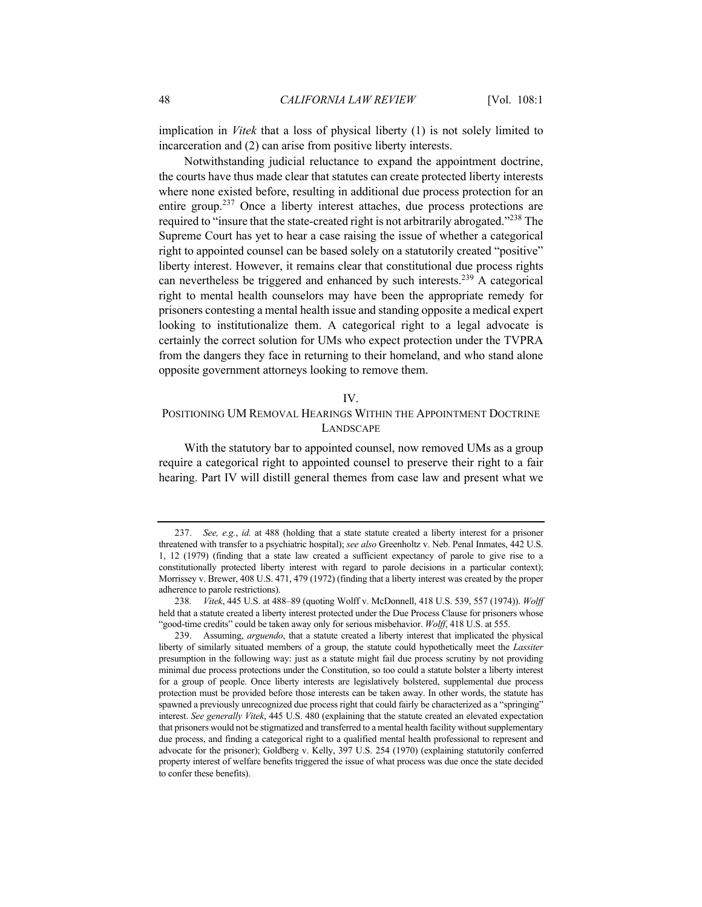implication in *Vitek* that a loss of physical liberty (1) is not solely limited to incarceration and (2) can arise from positive liberty interests.

Notwithstanding judicial reluctance to expand the appointment doctrine, the courts have thus made clear that statutes can create protected liberty interests where none existed before, resulting in additional due process protection for an entire group.<sup>237</sup> Once a liberty interest attaches, due process protections are required to "insure that the state-created right is not arbitrarily abrogated."<sup>238</sup> The Supreme Court has yet to hear a case raising the issue of whether a categorical right to appointed counsel can be based solely on a statutorily created "positive" liberty interest. However, it remains clear that constitutional due process rights can nevertheless be triggered and enhanced by such interests.<sup>239</sup> A categorical right to mental health counselors may have been the appropriate remedy for prisoners contesting a mental health issue and standing opposite a medical expert looking to institutionalize them. A categorical right to a legal advocate is certainly the correct solution for UMs who expect protection under the TVPRA from the dangers they face in returning to their homeland, and who stand alone opposite government attorneys looking to remove them.

#### IV.

# POSITIONING UM REMOVAL HEARINGS WITHIN THE APPOINTMENT DOCTRINE LANDSCAPE

With the statutory bar to appointed counsel, now removed UMs as a group require a categorical right to appointed counsel to preserve their right to a fair hearing. Part IV will distill general themes from case law and present what we

<sup>237.</sup> *See, e.g.*, *id.* at 488 (holding that a state statute created a liberty interest for a prisoner threatened with transfer to a psychiatric hospital); *see also* Greenholtz v. Neb. Penal Inmates, 442 U.S. 1, 12 (1979) (finding that a state law created a sufficient expectancy of parole to give rise to a constitutionally protected liberty interest with regard to parole decisions in a particular context); Morrissey v. Brewer, 408 U.S. 471, 479 (1972) (finding that a liberty interest was created by the proper adherence to parole restrictions).

<sup>238</sup>*. Vitek*, 445 U.S. at 488–89 (quoting Wolff v. McDonnell, 418 U.S. 539, 557 (1974)). *Wolff* held that a statute created a liberty interest protected under the Due Process Clause for prisoners whose "good-time credits" could be taken away only for serious misbehavior. *Wolff*, 418 U.S. at 555.

<sup>239.</sup> Assuming, *arguendo*, that a statute created a liberty interest that implicated the physical liberty of similarly situated members of a group, the statute could hypothetically meet the *Lassiter* presumption in the following way: just as a statute might fail due process scrutiny by not providing minimal due process protections under the Constitution, so too could a statute bolster a liberty interest for a group of people. Once liberty interests are legislatively bolstered, supplemental due process protection must be provided before those interests can be taken away. In other words, the statute has spawned a previously unrecognized due process right that could fairly be characterized as a "springing" interest. *See generally Vitek*, 445 U.S. 480 (explaining that the statute created an elevated expectation that prisoners would not be stigmatized and transferred to a mental health facility without supplementary due process, and finding a categorical right to a qualified mental health professional to represent and advocate for the prisoner); Goldberg v. Kelly, 397 U.S. 254 (1970) (explaining statutorily conferred property interest of welfare benefits triggered the issue of what process was due once the state decided to confer these benefits).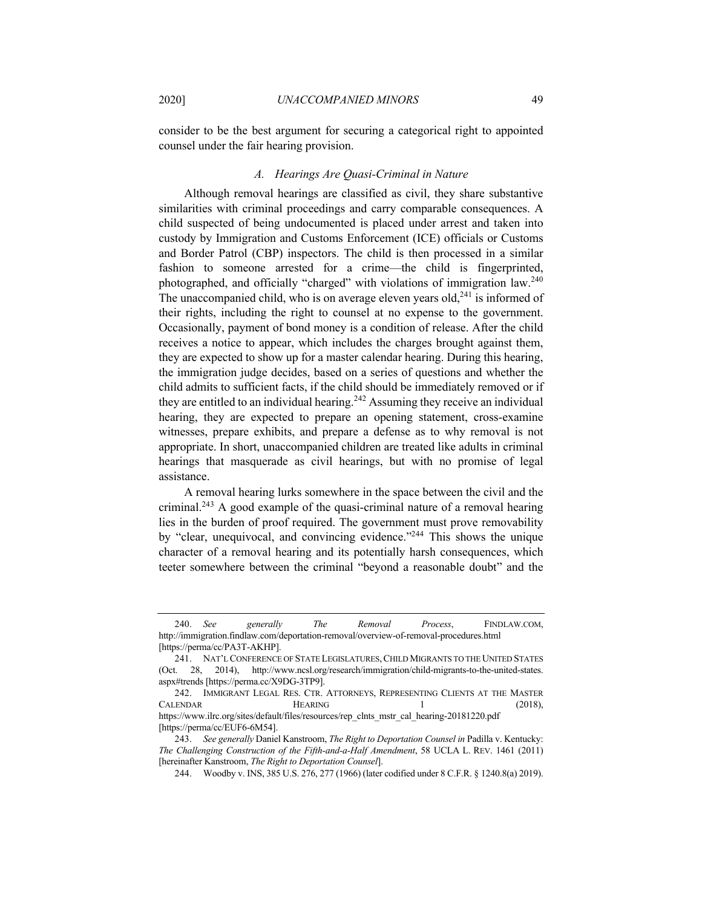consider to be the best argument for securing a categorical right to appointed counsel under the fair hearing provision.

#### *A. Hearings Are Quasi-Criminal in Nature*

Although removal hearings are classified as civil, they share substantive similarities with criminal proceedings and carry comparable consequences. A child suspected of being undocumented is placed under arrest and taken into custody by Immigration and Customs Enforcement (ICE) officials or Customs and Border Patrol (CBP) inspectors. The child is then processed in a similar fashion to someone arrested for a crime—the child is fingerprinted, photographed, and officially "charged" with violations of immigration law.240 The unaccompanied child, who is on average eleven years old,  $241$  is informed of their rights, including the right to counsel at no expense to the government. Occasionally, payment of bond money is a condition of release. After the child receives a notice to appear, which includes the charges brought against them, they are expected to show up for a master calendar hearing. During this hearing, the immigration judge decides, based on a series of questions and whether the child admits to sufficient facts, if the child should be immediately removed or if they are entitled to an individual hearing.<sup>242</sup> Assuming they receive an individual hearing, they are expected to prepare an opening statement, cross-examine witnesses, prepare exhibits, and prepare a defense as to why removal is not appropriate. In short, unaccompanied children are treated like adults in criminal hearings that masquerade as civil hearings, but with no promise of legal assistance.

A removal hearing lurks somewhere in the space between the civil and the criminal.<sup>243</sup> A good example of the quasi-criminal nature of a removal hearing lies in the burden of proof required. The government must prove removability by "clear, unequivocal, and convincing evidence."<sup>244</sup> This shows the unique character of a removal hearing and its potentially harsh consequences, which teeter somewhere between the criminal "beyond a reasonable doubt" and the

<sup>240.</sup> *See generally The Removal Process*, FINDLAW.COM, http://immigration.findlaw.com/deportation-removal/overview-of-removal-procedures.html [https://perma/cc/PA3T-AKHP].

<sup>241.</sup> NAT'L CONFERENCE OF STATE LEGISLATURES,CHILD MIGRANTS TO THE UNITED STATES (Oct. 28, 2014), http://www.ncsl.org/research/immigration/child-migrants-to-the-united-states. aspx#trends [https://perma.cc/X9DG-3TP9].

<sup>242.</sup> IMMIGRANT LEGAL RES. CTR. ATTORNEYS, REPRESENTING CLIENTS AT THE MASTER CALENDAR HEARING 1 (2018), https://www.ilrc.org/sites/default/files/resources/rep\_clnts\_mstr\_cal\_hearing-20181220.pdf

<sup>[</sup>https://perma/cc/EUF6-6M54].

<sup>243.</sup> *See generally* Daniel Kanstroom, *The Right to Deportation Counsel in* Padilla v. Kentucky: *The Challenging Construction of the Fifth-and-a-Half Amendment*, 58 UCLA L. REV. 1461 (2011) [hereinafter Kanstroom, *The Right to Deportation Counsel*].

<sup>244.</sup> Woodby v. INS, 385 U.S. 276, 277 (1966) (later codified under 8 C.F.R. § 1240.8(a) 2019).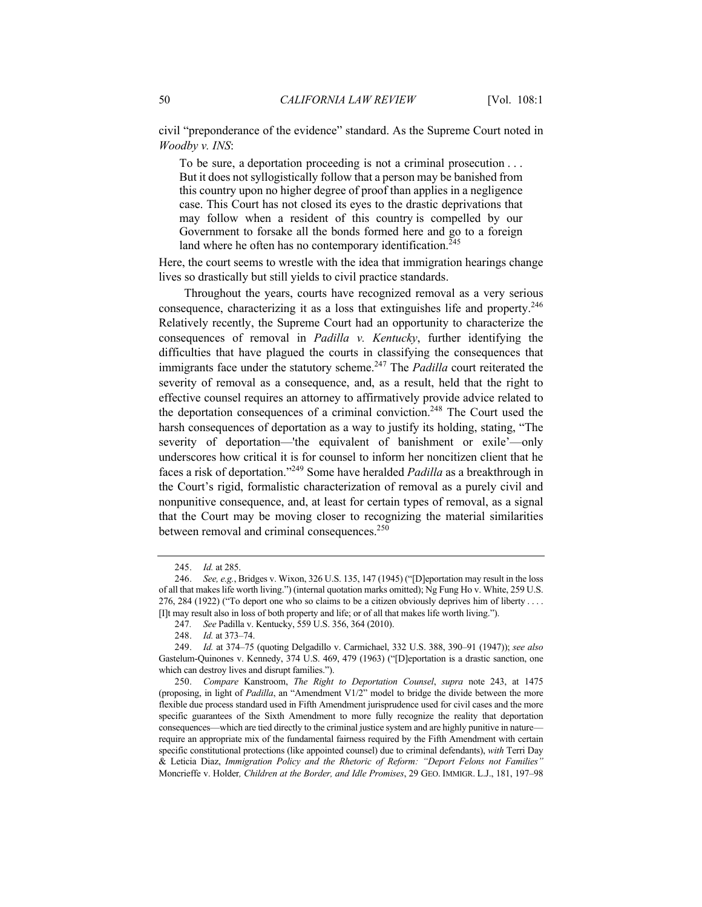civil "preponderance of the evidence" standard. As the Supreme Court noted in *Woodby v. INS*:

To be sure, a deportation proceeding is not a criminal prosecution . . . But it does not syllogistically follow that a person may be banished from this country upon no higher degree of proof than applies in a negligence case. This Court has not closed its eyes to the drastic deprivations that may follow when a resident of this country is compelled by our Government to forsake all the bonds formed here and go to a foreign land where he often has no contemporary identification.<sup>245</sup>

Here, the court seems to wrestle with the idea that immigration hearings change lives so drastically but still yields to civil practice standards.

Throughout the years, courts have recognized removal as a very serious consequence, characterizing it as a loss that extinguishes life and property.<sup>246</sup> Relatively recently, the Supreme Court had an opportunity to characterize the consequences of removal in *Padilla v. Kentucky*, further identifying the difficulties that have plagued the courts in classifying the consequences that immigrants face under the statutory scheme.<sup>247</sup> The *Padilla* court reiterated the severity of removal as a consequence, and, as a result, held that the right to effective counsel requires an attorney to affirmatively provide advice related to the deportation consequences of a criminal conviction.<sup>248</sup> The Court used the harsh consequences of deportation as a way to justify its holding, stating, "The severity of deportation—'the equivalent of banishment or exile'—only underscores how critical it is for counsel to inform her noncitizen client that he faces a risk of deportation."249 Some have heralded *Padilla* as a breakthrough in the Court's rigid, formalistic characterization of removal as a purely civil and nonpunitive consequence, and, at least for certain types of removal, as a signal that the Court may be moving closer to recognizing the material similarities between removal and criminal consequences.<sup>250</sup>

<sup>245.</sup> *Id.* at 285.

<sup>246.</sup> *See, e.g.*, Bridges v. Wixon, 326 U.S. 135, 147 (1945) ("[D]eportation may result in the loss of all that makes life worth living.") (internal quotation marks omitted); Ng Fung Ho v. White, 259 U.S. 276, 284 (1922) ("To deport one who so claims to be a citizen obviously deprives him of liberty . . . . [I]t may result also in loss of both property and life; or of all that makes life worth living.").

<sup>247</sup>*. See* Padilla v. Kentucky, 559 U.S. 356, 364 (2010).

<sup>248.</sup> *Id.* at 373–74.

<sup>249.</sup> *Id.* at 374–75 (quoting Delgadillo v. Carmichael, 332 U.S. 388, 390–91 (1947)); *see also* Gastelum-Quinones v. Kennedy, 374 U.S. 469, 479 (1963) ("[D]eportation is a drastic sanction, one which can destroy lives and disrupt families.").

<sup>250.</sup> *Compare* Kanstroom, *The Right to Deportation Counsel*, *supra* note 243, at 1475 (proposing, in light of *Padilla*, an "Amendment V1/2" model to bridge the divide between the more flexible due process standard used in Fifth Amendment jurisprudence used for civil cases and the more specific guarantees of the Sixth Amendment to more fully recognize the reality that deportation consequences—which are tied directly to the criminal justice system and are highly punitive in nature require an appropriate mix of the fundamental fairness required by the Fifth Amendment with certain specific constitutional protections (like appointed counsel) due to criminal defendants), *with* Terri Day & Leticia Diaz, *Immigration Policy and the Rhetoric of Reform: "Deport Felons not Families"* Moncrieffe v. Holder*, Children at the Border, and Idle Promises*, 29 GEO. IMMIGR. L.J., 181, 197–98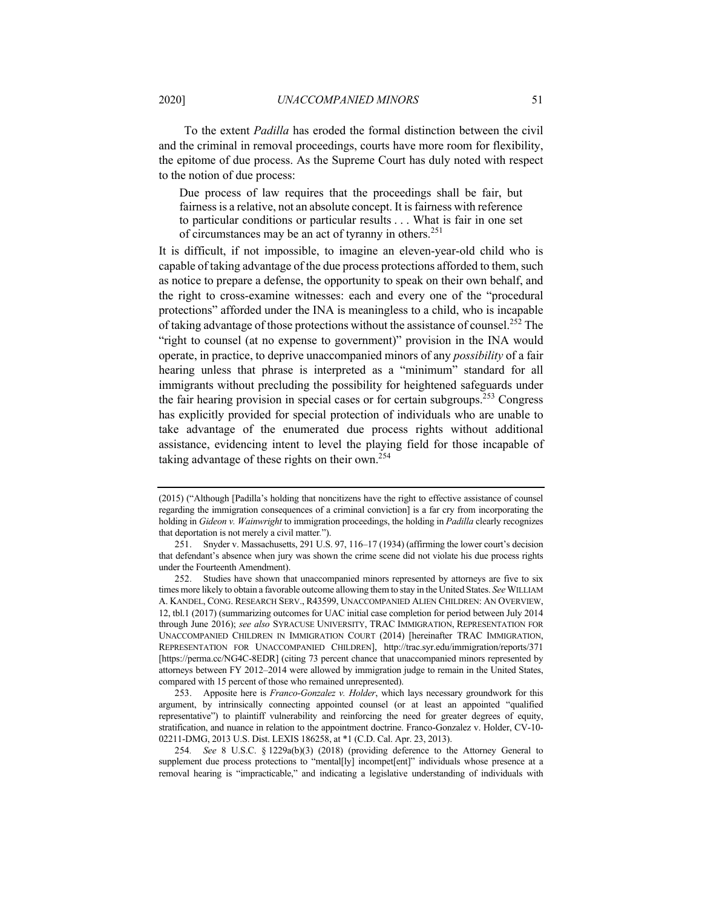To the extent *Padilla* has eroded the formal distinction between the civil and the criminal in removal proceedings, courts have more room for flexibility, the epitome of due process. As the Supreme Court has duly noted with respect to the notion of due process:

Due process of law requires that the proceedings shall be fair, but fairness is a relative, not an absolute concept. It is fairness with reference to particular conditions or particular results . . . What is fair in one set of circumstances may be an act of tyranny in others.<sup>251</sup>

It is difficult, if not impossible, to imagine an eleven-year-old child who is capable of taking advantage of the due process protections afforded to them, such as notice to prepare a defense, the opportunity to speak on their own behalf, and the right to cross-examine witnesses: each and every one of the "procedural protections" afforded under the INA is meaningless to a child, who is incapable of taking advantage of those protections without the assistance of counsel.<sup>252</sup> The "right to counsel (at no expense to government)" provision in the INA would operate, in practice, to deprive unaccompanied minors of any *possibility* of a fair hearing unless that phrase is interpreted as a "minimum" standard for all immigrants without precluding the possibility for heightened safeguards under the fair hearing provision in special cases or for certain subgroups.<sup>253</sup> Congress has explicitly provided for special protection of individuals who are unable to take advantage of the enumerated due process rights without additional assistance, evidencing intent to level the playing field for those incapable of taking advantage of these rights on their own.<sup>254</sup>

<sup>(2015) (&</sup>quot;Although [Padilla's holding that noncitizens have the right to effective assistance of counsel regarding the immigration consequences of a criminal conviction] is a far cry from incorporating the holding in *Gideon v. Wainwright* to immigration proceedings, the holding in *Padilla* clearly recognizes that deportation is not merely a civil matter*.*").

<sup>251.</sup> Snyder v. Massachusetts, 291 U.S. 97, 116–17 (1934) (affirming the lower court's decision that defendant's absence when jury was shown the crime scene did not violate his due process rights under the Fourteenth Amendment).

<sup>252.</sup> Studies have shown that unaccompanied minors represented by attorneys are five to six times more likely to obtain a favorable outcome allowing them to stay in the United States. *See* WILLIAM A. KANDEL, CONG. RESEARCH SERV., R43599, UNACCOMPANIED ALIEN CHILDREN: AN OVERVIEW, 12, tbl.1 (2017) (summarizing outcomes for UAC initial case completion for period between July 2014 through June 2016); *see also* SYRACUSE UNIVERSITY, TRAC IMMIGRATION, REPRESENTATION FOR UNACCOMPANIED CHILDREN IN IMMIGRATION COURT (2014) [hereinafter TRAC IMMIGRATION, REPRESENTATION FOR UNACCOMPANIED CHILDREN], http://trac.syr.edu/immigration/reports/371 [https://perma.cc/NG4C-8EDR] (citing 73 percent chance that unaccompanied minors represented by attorneys between FY 2012–2014 were allowed by immigration judge to remain in the United States, compared with 15 percent of those who remained unrepresented).

<sup>253.</sup> Apposite here is *Franco-Gonzalez v. Holder*, which lays necessary groundwork for this argument, by intrinsically connecting appointed counsel (or at least an appointed "qualified representative") to plaintiff vulnerability and reinforcing the need for greater degrees of equity, stratification, and nuance in relation to the appointment doctrine. Franco-Gonzalez v. Holder, CV-10- 02211-DMG, 2013 U.S. Dist. LEXIS 186258, at \*1 (C.D. Cal. Apr. 23, 2013).

<sup>254</sup>*. See* 8 U.S.C. § 1229a(b)(3) (2018) (providing deference to the Attorney General to supplement due process protections to "mental[ly] incompet[ent]" individuals whose presence at a removal hearing is "impracticable," and indicating a legislative understanding of individuals with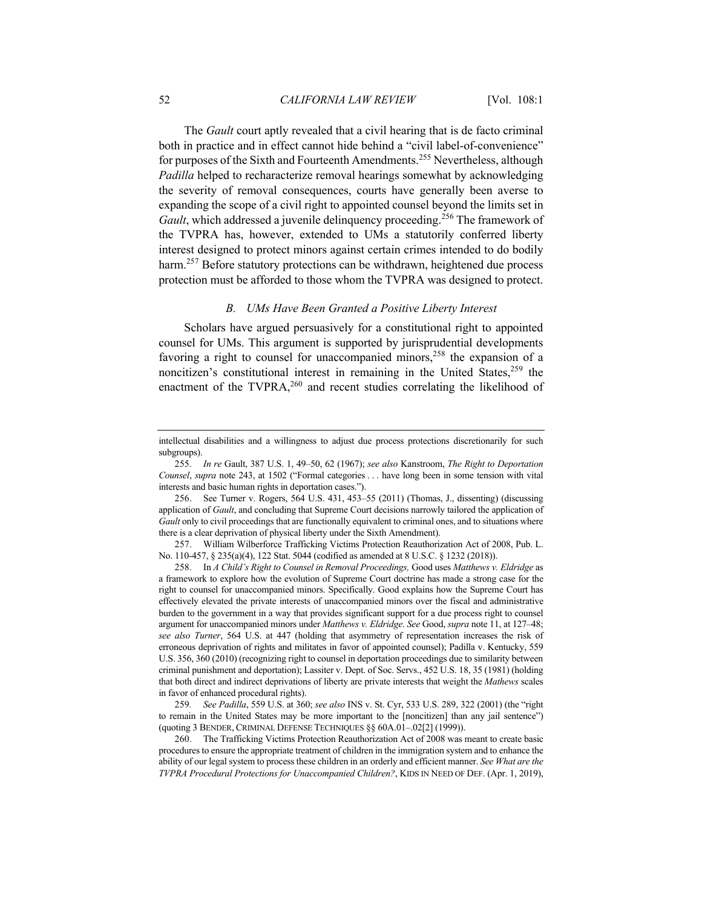The *Gault* court aptly revealed that a civil hearing that is de facto criminal both in practice and in effect cannot hide behind a "civil label-of-convenience" for purposes of the Sixth and Fourteenth Amendments.<sup>255</sup> Nevertheless, although *Padilla* helped to recharacterize removal hearings somewhat by acknowledging the severity of removal consequences, courts have generally been averse to expanding the scope of a civil right to appointed counsel beyond the limits set in *Gault*, which addressed a juvenile delinquency proceeding.<sup>256</sup> The framework of the TVPRA has, however, extended to UMs a statutorily conferred liberty interest designed to protect minors against certain crimes intended to do bodily harm.<sup>257</sup> Before statutory protections can be withdrawn, heightened due process protection must be afforded to those whom the TVPRA was designed to protect.

### *B. UMs Have Been Granted a Positive Liberty Interest*

Scholars have argued persuasively for a constitutional right to appointed counsel for UMs. This argument is supported by jurisprudential developments favoring a right to counsel for unaccompanied minors,<sup>258</sup> the expansion of a noncitizen's constitutional interest in remaining in the United States,  $259$  the enactment of the TVPRA, $260$  and recent studies correlating the likelihood of

257. William Wilberforce Trafficking Victims Protection Reauthorization Act of 2008, Pub. L. No. 110-457, § 235(a)(4), 122 Stat. 5044 (codified as amended at 8 U.S.C. § 1232 (2018)).

258. In *A Child's Right to Counsel in Removal Proceedings,* Good uses *Matthews v. Eldridge* as a framework to explore how the evolution of Supreme Court doctrine has made a strong case for the right to counsel for unaccompanied minors. Specifically. Good explains how the Supreme Court has effectively elevated the private interests of unaccompanied minors over the fiscal and administrative burden to the government in a way that provides significant support for a due process right to counsel argument for unaccompanied minors under *Matthews v. Eldridge*. *See* Good, *supra* note 11, at 127–48; *see also Turner*, 564 U.S. at 447 (holding that asymmetry of representation increases the risk of erroneous deprivation of rights and militates in favor of appointed counsel); Padilla v. Kentucky, 559 U.S. 356, 360 (2010) (recognizing right to counsel in deportation proceedings due to similarity between criminal punishment and deportation); Lassiter v. Dept. of Soc. Servs., 452 U.S. 18, 35 (1981) (holding that both direct and indirect deprivations of liberty are private interests that weight the *Mathews* scales in favor of enhanced procedural rights).

259*. See Padilla*, 559 U.S. at 360; *see also* INS v. St. Cyr, 533 U.S. 289, 322 (2001) (the "right to remain in the United States may be more important to the [noncitizen] than any jail sentence") (quoting 3 BENDER, CRIMINAL DEFENSE TECHNIQUES §§ 60A.01–.02[2] (1999)).

260. The Trafficking Victims Protection Reauthorization Act of 2008 was meant to create basic procedures to ensure the appropriate treatment of children in the immigration system and to enhance the ability of our legal system to process these children in an orderly and efficient manner. *See What are the TVPRA Procedural Protections for Unaccompanied Children?*, KIDS IN NEED OF DEF. (Apr. 1, 2019),

intellectual disabilities and a willingness to adjust due process protections discretionarily for such subgroups).

<sup>255.</sup> *In re* Gault, 387 U.S. 1, 49–50, 62 (1967); *see also* Kanstroom, *The Right to Deportation Counsel*, *supra* note 243, at 1502 ("Formal categories . . . have long been in some tension with vital interests and basic human rights in deportation cases.").

<sup>256.</sup> See Turner v. Rogers, 564 U.S. 431, 453–55 (2011) (Thomas, J., dissenting) (discussing application of *Gault*, and concluding that Supreme Court decisions narrowly tailored the application of *Gault* only to civil proceedings that are functionally equivalent to criminal ones, and to situations where there is a clear deprivation of physical liberty under the Sixth Amendment).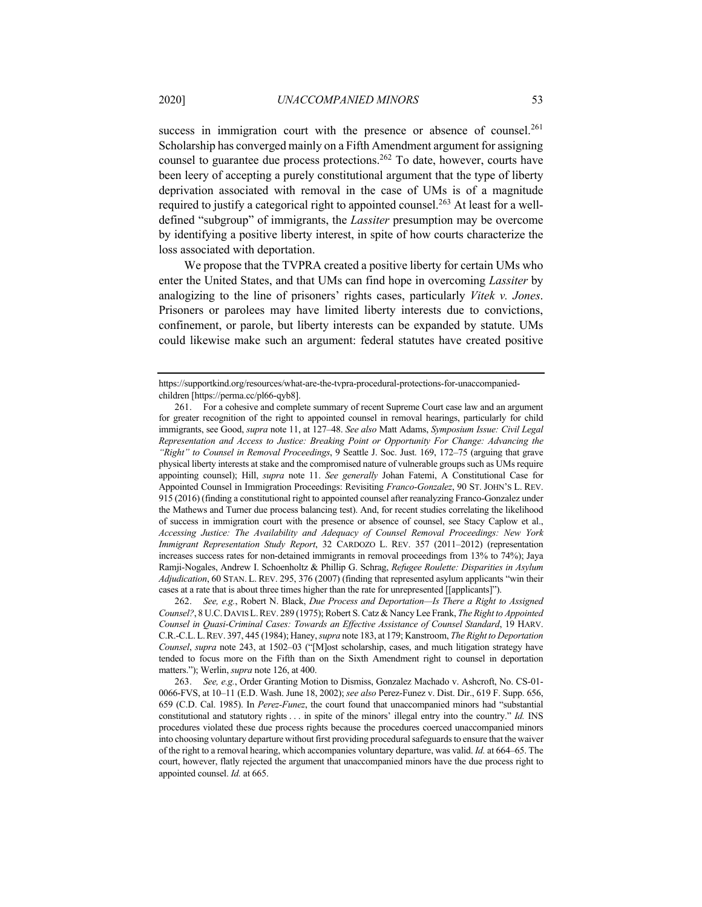success in immigration court with the presence or absence of counsel.<sup>261</sup> Scholarship has converged mainly on a Fifth Amendment argument for assigning counsel to guarantee due process protections.<sup>262</sup> To date, however, courts have been leery of accepting a purely constitutional argument that the type of liberty deprivation associated with removal in the case of UMs is of a magnitude required to justify a categorical right to appointed counsel.<sup>263</sup> At least for a welldefined "subgroup" of immigrants, the *Lassiter* presumption may be overcome by identifying a positive liberty interest, in spite of how courts characterize the loss associated with deportation.

We propose that the TVPRA created a positive liberty for certain UMs who enter the United States, and that UMs can find hope in overcoming *Lassiter* by analogizing to the line of prisoners' rights cases, particularly *Vitek v. Jones*. Prisoners or parolees may have limited liberty interests due to convictions, confinement, or parole, but liberty interests can be expanded by statute. UMs could likewise make such an argument: federal statutes have created positive

https://supportkind.org/resources/what-are-the-tvpra-procedural-protections-for-unaccompaniedchildren [https://perma.cc/pl66-qyb8].

<sup>261.</sup> For a cohesive and complete summary of recent Supreme Court case law and an argument for greater recognition of the right to appointed counsel in removal hearings, particularly for child immigrants, see Good, *supra* note 11, at 127–48. *See also* Matt Adams, *Symposium Issue: Civil Legal Representation and Access to Justice: Breaking Point or Opportunity For Change: Advancing the "Right" to Counsel in Removal Proceedings*, 9 Seattle J. Soc. Just. 169, 172–75 (arguing that grave physical liberty interests at stake and the compromised nature of vulnerable groups such as UMs require appointing counsel); Hill, *supra* note 11. *See generally* Johan Fatemi, A Constitutional Case for Appointed Counsel in Immigration Proceedings: Revisiting *Franco-Gonzalez*, 90 ST. JOHN'S L. REV. 915 (2016) (finding a constitutional right to appointed counsel after reanalyzing Franco-Gonzalez under the Mathews and Turner due process balancing test). And, for recent studies correlating the likelihood of success in immigration court with the presence or absence of counsel, see Stacy Caplow et al., *Accessing Justice: The Availability and Adequacy of Counsel Removal Proceedings: New York Immigrant Representation Study Report*, 32 CARDOZO L. REV. 357 (2011–2012) (representation increases success rates for non-detained immigrants in removal proceedings from 13% to 74%); Jaya Ramji-Nogales, Andrew I. Schoenholtz & Phillip G. Schrag, *Refugee Roulette: Disparities in Asylum Adjudication*, 60 STAN. L. REV. 295, 376 (2007) (finding that represented asylum applicants "win their cases at a rate that is about three times higher than the rate for unrepresented [[applicants]").

<sup>262.</sup> *See, e.g.*, Robert N. Black, *Due Process and Deportation—Is There a Right to Assigned Counsel?*, 8 U.C.DAVIS L.REV. 289 (1975); Robert S. Catz & Nancy Lee Frank, *The Right to Appointed Counsel in Quasi-Criminal Cases: Towards an Effective Assistance of Counsel Standard*, 19 HARV. C.R.-C.L.L.REV. 397, 445 (1984); Haney, *supra* note 183, at 179; Kanstroom, *The Right to Deportation Counsel*, *supra* note 243, at 1502–03 ("[M]ost scholarship, cases, and much litigation strategy have tended to focus more on the Fifth than on the Sixth Amendment right to counsel in deportation matters."); Werlin, *supra* note 126, at 400.

<sup>263.</sup> *See, e.g.*, Order Granting Motion to Dismiss, Gonzalez Machado v. Ashcroft, No. CS-01- 0066-FVS, at 10–11 (E.D. Wash. June 18, 2002); *see also* Perez-Funez v. Dist. Dir., 619 F. Supp. 656, 659 (C.D. Cal. 1985). In *Perez-Funez*, the court found that unaccompanied minors had "substantial constitutional and statutory rights . . . in spite of the minors' illegal entry into the country." *Id.* INS procedures violated these due process rights because the procedures coerced unaccompanied minors into choosing voluntary departure without first providing procedural safeguards to ensure that the waiver of the right to a removal hearing, which accompanies voluntary departure, was valid. *Id.* at 664–65. The court, however, flatly rejected the argument that unaccompanied minors have the due process right to appointed counsel. *Id.* at 665.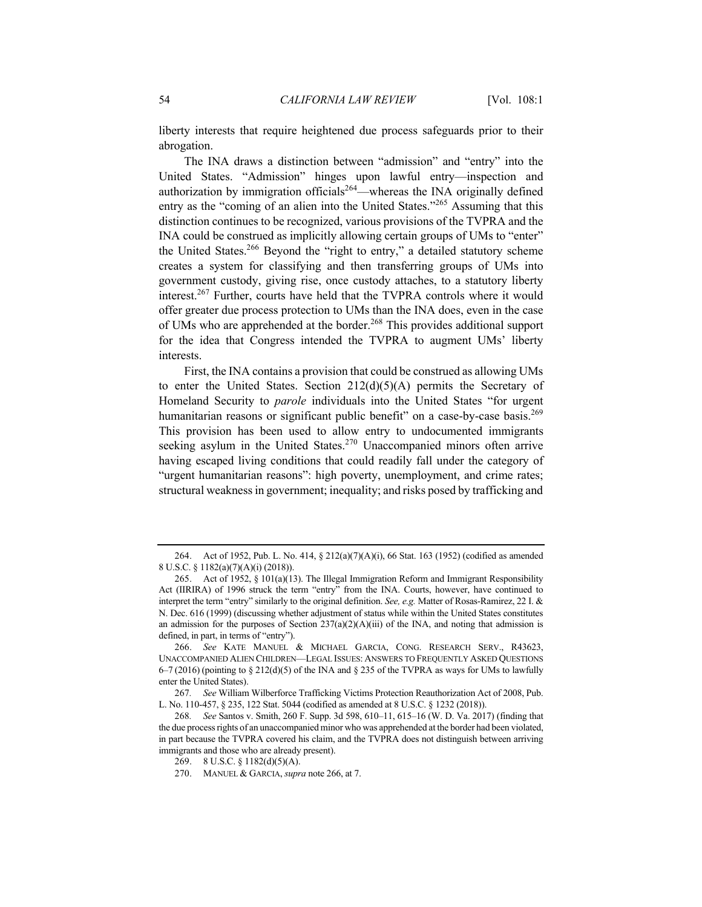liberty interests that require heightened due process safeguards prior to their abrogation.

The INA draws a distinction between "admission" and "entry" into the United States. "Admission" hinges upon lawful entry—inspection and authorization by immigration officials<sup>264</sup>—whereas the INA originally defined entry as the "coming of an alien into the United States."<sup>265</sup> Assuming that this distinction continues to be recognized, various provisions of the TVPRA and the INA could be construed as implicitly allowing certain groups of UMs to "enter" the United States.<sup>266</sup> Beyond the "right to entry," a detailed statutory scheme creates a system for classifying and then transferring groups of UMs into government custody, giving rise, once custody attaches, to a statutory liberty interest.<sup>267</sup> Further, courts have held that the TVPRA controls where it would offer greater due process protection to UMs than the INA does, even in the case of UMs who are apprehended at the border.<sup>268</sup> This provides additional support for the idea that Congress intended the TVPRA to augment UMs' liberty interests.

First, the INA contains a provision that could be construed as allowing UMs to enter the United States. Section  $212(d)(5)(A)$  permits the Secretary of Homeland Security to *parole* individuals into the United States "for urgent humanitarian reasons or significant public benefit" on a case-by-case basis.<sup>269</sup> This provision has been used to allow entry to undocumented immigrants seeking asylum in the United States.<sup>270</sup> Unaccompanied minors often arrive having escaped living conditions that could readily fall under the category of "urgent humanitarian reasons": high poverty, unemployment, and crime rates; structural weakness in government; inequality; and risks posed by trafficking and

<sup>264.</sup> Act of 1952, Pub. L. No. 414, § 212(a)(7)(A)(i), 66 Stat. 163 (1952) (codified as amended 8 U.S.C. § 1182(a)(7)(A)(i) (2018)).

<sup>265.</sup> Act of 1952, § 101(a)(13). The Illegal Immigration Reform and Immigrant Responsibility Act (IIRIRA) of 1996 struck the term "entry" from the INA. Courts, however, have continued to interpret the term "entry" similarly to the original definition. *See, e.g.* Matter of Rosas-Ramirez, 22 I. & N. Dec. 616 (1999) (discussing whether adjustment of status while within the United States constitutes an admission for the purposes of Section  $237(a)(2)(A)(iii)$  of the INA, and noting that admission is defined, in part, in terms of "entry").

<sup>266.</sup> *See* KATE MANUEL & MICHAEL GARCIA, CONG. RESEARCH SERV., R43623, UNACCOMPANIED ALIEN CHILDREN—LEGAL ISSUES: ANSWERS TO FREQUENTLY ASKED QUESTIONS  $6-7$  (2016) (pointing to § 212(d)(5) of the INA and § 235 of the TVPRA as ways for UMs to lawfully enter the United States).

<sup>267</sup>*. See* William Wilberforce Trafficking Victims Protection Reauthorization Act of 2008, Pub. L. No. 110-457, § 235, 122 Stat. 5044 (codified as amended at 8 U.S.C. § 1232 (2018)).

<sup>268</sup>*. See* Santos v. Smith, 260 F. Supp. 3d 598, 610–11, 615–16 (W. D. Va. 2017) (finding that the due process rights of an unaccompanied minor who was apprehended at the border had been violated, in part because the TVPRA covered his claim, and the TVPRA does not distinguish between arriving immigrants and those who are already present).

<sup>269.</sup> 8 U.S.C. § 1182(d)(5)(A).

<sup>270.</sup> MANUEL & GARCIA, *supra* note 266, at 7.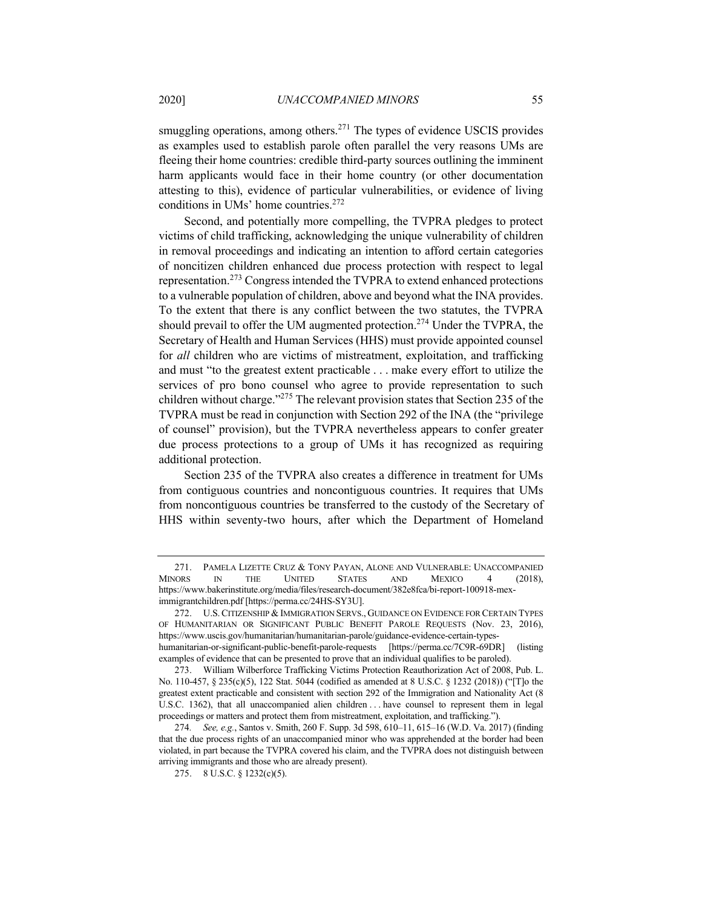smuggling operations, among others.<sup>271</sup> The types of evidence USCIS provides as examples used to establish parole often parallel the very reasons UMs are fleeing their home countries: credible third-party sources outlining the imminent harm applicants would face in their home country (or other documentation attesting to this), evidence of particular vulnerabilities, or evidence of living conditions in UMs' home countries.<sup>272</sup>

Second, and potentially more compelling, the TVPRA pledges to protect victims of child trafficking, acknowledging the unique vulnerability of children in removal proceedings and indicating an intention to afford certain categories of noncitizen children enhanced due process protection with respect to legal representation.<sup>273</sup> Congress intended the TVPRA to extend enhanced protections to a vulnerable population of children, above and beyond what the INA provides. To the extent that there is any conflict between the two statutes, the TVPRA should prevail to offer the UM augmented protection.<sup>274</sup> Under the TVPRA, the Secretary of Health and Human Services (HHS) must provide appointed counsel for *all* children who are victims of mistreatment, exploitation, and trafficking and must "to the greatest extent practicable . . . make every effort to utilize the services of pro bono counsel who agree to provide representation to such children without charge."275 The relevant provision states that Section 235 of the TVPRA must be read in conjunction with Section 292 of the INA (the "privilege of counsel" provision), but the TVPRA nevertheless appears to confer greater due process protections to a group of UMs it has recognized as requiring additional protection.

Section 235 of the TVPRA also creates a difference in treatment for UMs from contiguous countries and noncontiguous countries. It requires that UMs from noncontiguous countries be transferred to the custody of the Secretary of HHS within seventy-two hours, after which the Department of Homeland

<sup>271.</sup> PAMELA LIZETTE CRUZ & TONY PAYAN, ALONE AND VULNERABLE: UNACCOMPANIED ORS THE UNITED STATES AND MEXICO 4 (2018). MINORS IN THE UNITED STATES AND MEXICO 4 (2018), https://www.bakerinstitute.org/media/files/research-document/382e8fca/bi-report-100918-meximmigrantchildren.pdf [https://perma.cc/24HS-SY3U].

<sup>272.</sup> U.S.CITIZENSHIP & IMMIGRATION SERVS., GUIDANCE ON EVIDENCE FOR CERTAIN TYPES OF HUMANITARIAN OR SIGNIFICANT PUBLIC BENEFIT PAROLE REQUESTS (Nov. 23, 2016), https://www.uscis.gov/humanitarian/humanitarian-parole/guidance-evidence-certain-typeshumanitarian-or-significant-public-benefit-parole-requests [https://perma.cc/7C9R-69DR] (listing examples of evidence that can be presented to prove that an individual qualifies to be paroled).

<sup>273.</sup> William Wilberforce Trafficking Victims Protection Reauthorization Act of 2008, Pub. L. No. 110-457, § 235(c)(5), 122 Stat. 5044 (codified as amended at 8 U.S.C. § 1232 (2018)) ("[T]o the greatest extent practicable and consistent with section 292 of the Immigration and Nationality Act (8 U.S.C. 1362), that all unaccompanied alien children . . . have counsel to represent them in legal proceedings or matters and protect them from mistreatment, exploitation, and trafficking.").

<sup>274</sup>*. See, e.g.*, Santos v. Smith, 260 F. Supp. 3d 598, 610–11, 615–16 (W.D. Va. 2017) (finding that the due process rights of an unaccompanied minor who was apprehended at the border had been violated, in part because the TVPRA covered his claim, and the TVPRA does not distinguish between arriving immigrants and those who are already present).

<sup>275.</sup> 8 U.S.C. § 1232(c)(5).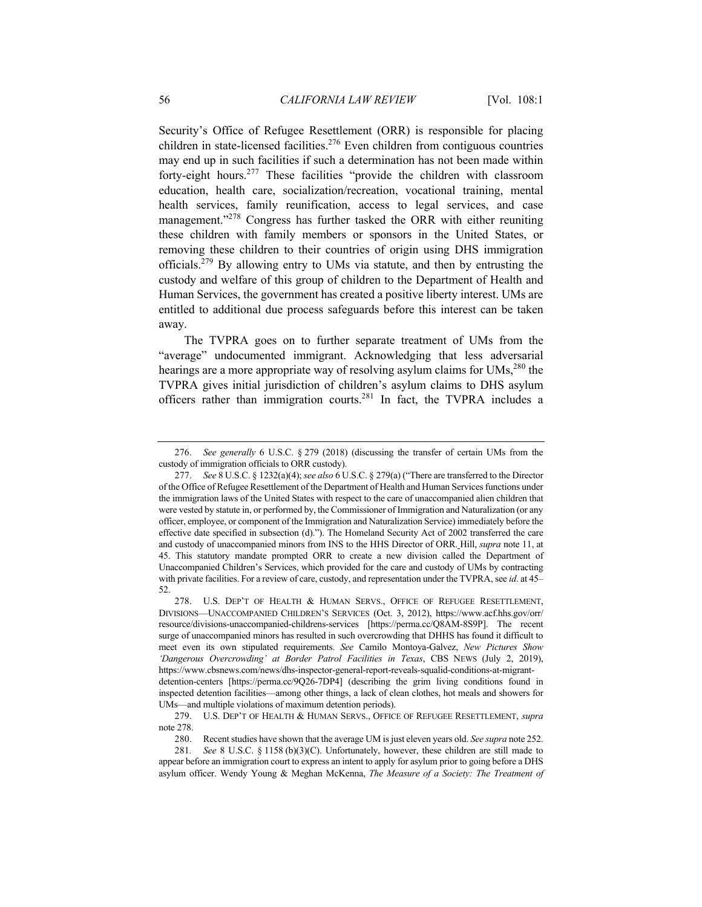Security's Office of Refugee Resettlement (ORR) is responsible for placing children in state-licensed facilities.<sup>276</sup> Even children from contiguous countries may end up in such facilities if such a determination has not been made within forty-eight hours.<sup>277</sup> These facilities "provide the children with classroom education, health care, socialization/recreation, vocational training, mental health services, family reunification, access to legal services, and case management."<sup>278</sup> Congress has further tasked the ORR with either reuniting these children with family members or sponsors in the United States, or removing these children to their countries of origin using DHS immigration officials.279 By allowing entry to UMs via statute, and then by entrusting the custody and welfare of this group of children to the Department of Health and Human Services, the government has created a positive liberty interest. UMs are entitled to additional due process safeguards before this interest can be taken away.

The TVPRA goes on to further separate treatment of UMs from the "average" undocumented immigrant. Acknowledging that less adversarial hearings are a more appropriate way of resolving asylum claims for UMs,<sup>280</sup> the TVPRA gives initial jurisdiction of children's asylum claims to DHS asylum officers rather than immigration courts.<sup>281</sup> In fact, the TVPRA includes a

<sup>276.</sup> *See generally* 6 U.S.C. § 279 (2018) (discussing the transfer of certain UMs from the custody of immigration officials to ORR custody).

<sup>277.</sup> *See* 8 U.S.C. § 1232(a)(4); *see also* 6 U.S.C. § 279(a) ("There are transferred to the Director of the Office of Refugee Resettlement of the Department of Health and Human Services functions under the immigration laws of the United States with respect to the care of unaccompanied alien children that were vested by statute in, or performed by, the Commissioner of Immigration and Naturalization (or any officer, employee, or component of the Immigration and Naturalization Service) immediately before the effective date specified in subsection (d)."). The Homeland Security Act of 2002 transferred the care and custody of unaccompanied minors from INS to the HHS Director of ORR. Hill, *supra* note 11, at 45. This statutory mandate prompted ORR to create a new division called the Department of Unaccompanied Children's Services, which provided for the care and custody of UMs by contracting with private facilities. For a review of care, custody, and representation under the TVPRA, see *id*. at 45– 52.

<sup>278.</sup> U.S. DEP'T OF HEALTH & HUMAN SERVS., OFFICE OF REFUGEE RESETTLEMENT, DIVISIONS—UNACCOMPANIED CHILDREN'S SERVICES (Oct. 3, 2012), https://www.acf.hhs.gov/orr/ resource/divisions-unaccompanied-childrens-services [https://perma.cc/Q8AM-8S9P]. The recent surge of unaccompanied minors has resulted in such overcrowding that DHHS has found it difficult to meet even its own stipulated requirements. *See* Camilo Montoya-Galvez, *New Pictures Show 'Dangerous Overcrowding' at Border Patrol Facilities in Texas*, CBS NEWS (July 2, 2019), https://www.cbsnews.com/news/dhs-inspector-general-report-reveals-squalid-conditions-at-migrantdetention-centers [https://perma.cc/9Q26-7DP4] (describing the grim living conditions found in inspected detention facilities—among other things, a lack of clean clothes, hot meals and showers for UMs—and multiple violations of maximum detention periods).

<sup>279.</sup> U.S. DEP'T OF HEALTH & HUMAN SERVS., OFFICE OF REFUGEE RESETTLEMENT, *supra* note 278.

<sup>280.</sup> Recent studies have shown that the average UM is just eleven years old. *See supra* note 252.

<sup>281</sup>*. See* 8 U.S.C. § 1158 (b)(3)(C). Unfortunately, however, these children are still made to appear before an immigration court to express an intent to apply for asylum prior to going before a DHS asylum officer. Wendy Young & Meghan McKenna, *The Measure of a Society: The Treatment of*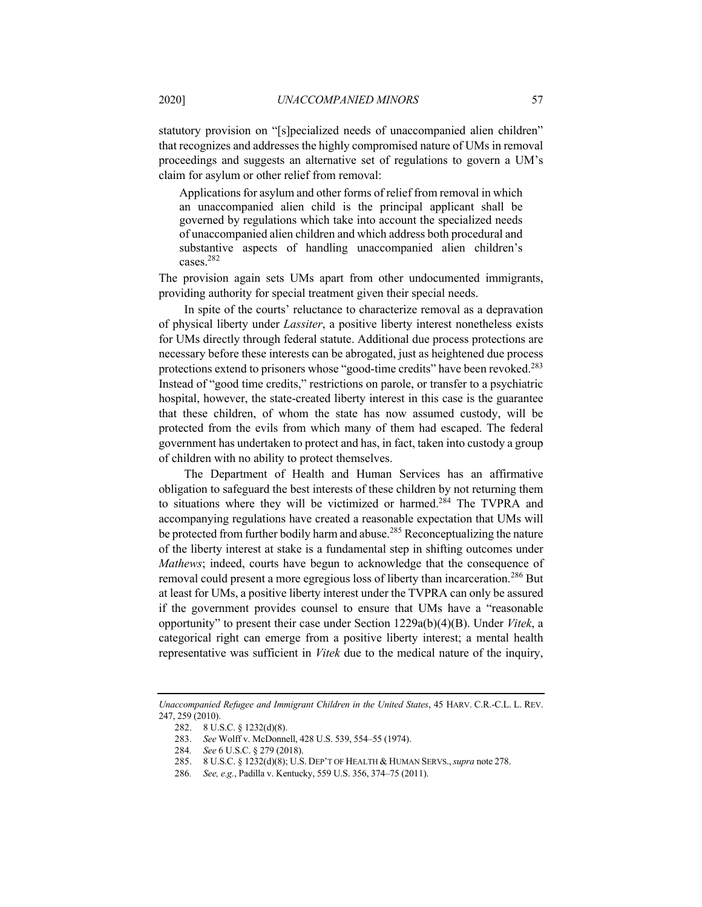statutory provision on "[s]pecialized needs of unaccompanied alien children" that recognizes and addresses the highly compromised nature of UMs in removal proceedings and suggests an alternative set of regulations to govern a UM's claim for asylum or other relief from removal:

Applications for asylum and other forms of relief from removal in which an unaccompanied alien child is the principal applicant shall be governed by regulations which take into account the specialized needs of unaccompanied alien children and which address both procedural and substantive aspects of handling unaccompanied alien children's cases.282

The provision again sets UMs apart from other undocumented immigrants, providing authority for special treatment given their special needs.

In spite of the courts' reluctance to characterize removal as a depravation of physical liberty under *Lassiter*, a positive liberty interest nonetheless exists for UMs directly through federal statute. Additional due process protections are necessary before these interests can be abrogated, just as heightened due process protections extend to prisoners whose "good-time credits" have been revoked.<sup>283</sup> Instead of "good time credits," restrictions on parole, or transfer to a psychiatric hospital, however, the state-created liberty interest in this case is the guarantee that these children, of whom the state has now assumed custody, will be protected from the evils from which many of them had escaped. The federal government has undertaken to protect and has, in fact, taken into custody a group of children with no ability to protect themselves.

The Department of Health and Human Services has an affirmative obligation to safeguard the best interests of these children by not returning them to situations where they will be victimized or harmed.<sup>284</sup> The TVPRA and accompanying regulations have created a reasonable expectation that UMs will be protected from further bodily harm and abuse.<sup>285</sup> Reconceptualizing the nature of the liberty interest at stake is a fundamental step in shifting outcomes under *Mathews*; indeed, courts have begun to acknowledge that the consequence of removal could present a more egregious loss of liberty than incarceration.<sup>286</sup> But at least for UMs, a positive liberty interest under the TVPRA can only be assured if the government provides counsel to ensure that UMs have a "reasonable opportunity" to present their case under Section 1229a(b)(4)(B). Under *Vitek*, a categorical right can emerge from a positive liberty interest; a mental health representative was sufficient in *Vitek* due to the medical nature of the inquiry,

*Unaccompanied Refugee and Immigrant Children in the United States*, 45 HARV. C.R.-C.L. L. REV. 247, 259 (2010).

<sup>282.</sup> 8 U.S.C. § 1232(d)(8).

<sup>283.</sup> *See* Wolff v. McDonnell, 428 U.S. 539, 554–55 (1974).

<sup>284</sup>*. See* 6 U.S.C. § 279 (2018).

<sup>285.</sup> 8 U.S.C. § 1232(d)(8); U.S. DEP'T OF HEALTH & HUMAN SERVS.,*supra* note 278.

<sup>286</sup>*. See, e.g.*, Padilla v. Kentucky, 559 U.S. 356, 374–75 (2011).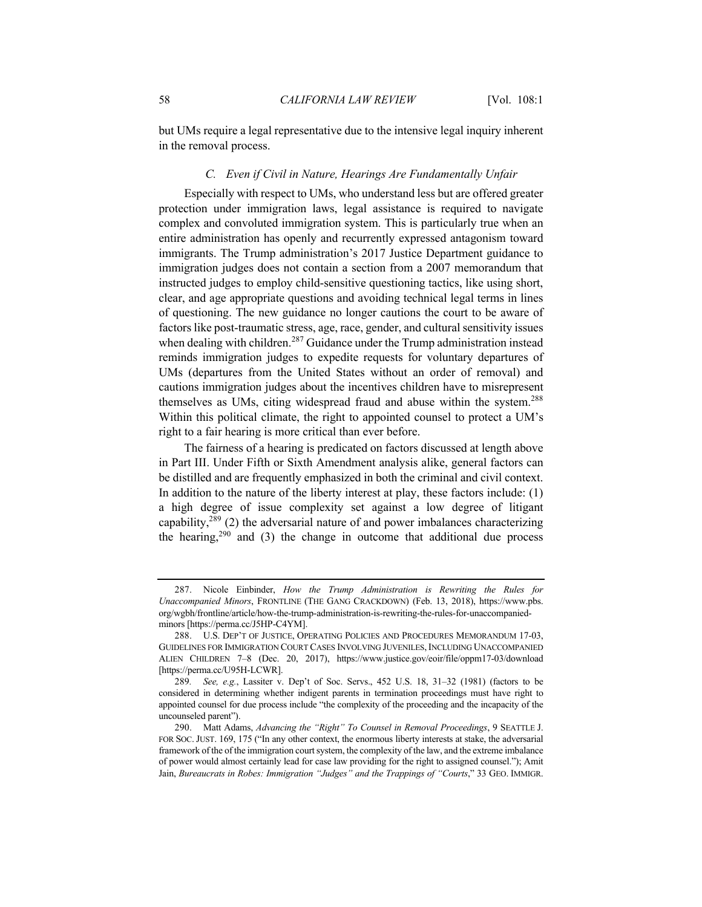but UMs require a legal representative due to the intensive legal inquiry inherent in the removal process.

#### *C. Even if Civil in Nature, Hearings Are Fundamentally Unfair*

Especially with respect to UMs, who understand less but are offered greater protection under immigration laws, legal assistance is required to navigate complex and convoluted immigration system. This is particularly true when an entire administration has openly and recurrently expressed antagonism toward immigrants. The Trump administration's 2017 Justice Department guidance to immigration judges does not contain a section from a 2007 memorandum that instructed judges to employ child-sensitive questioning tactics, like using short, clear, and age appropriate questions and avoiding technical legal terms in lines of questioning. The new guidance no longer cautions the court to be aware of factors like post-traumatic stress, age, race, gender, and cultural sensitivity issues when dealing with children.<sup>287</sup> Guidance under the Trump administration instead reminds immigration judges to expedite requests for voluntary departures of UMs (departures from the United States without an order of removal) and cautions immigration judges about the incentives children have to misrepresent themselves as UMs, citing widespread fraud and abuse within the system.<sup>288</sup> Within this political climate, the right to appointed counsel to protect a UM's right to a fair hearing is more critical than ever before.

The fairness of a hearing is predicated on factors discussed at length above in Part III. Under Fifth or Sixth Amendment analysis alike, general factors can be distilled and are frequently emphasized in both the criminal and civil context. In addition to the nature of the liberty interest at play, these factors include: (1) a high degree of issue complexity set against a low degree of litigant capability, $289$  (2) the adversarial nature of and power imbalances characterizing the hearing,<sup>290</sup> and (3) the change in outcome that additional due process

<sup>287.</sup> Nicole Einbinder, *How the Trump Administration is Rewriting the Rules for Unaccompanied Minors*, FRONTLINE (THE GANG CRACKDOWN) (Feb. 13, 2018), https://www.pbs. org/wgbh/frontline/article/how-the-trump-administration-is-rewriting-the-rules-for-unaccompaniedminors [https://perma.cc/J5HP-C4YM].

<sup>288.</sup> U.S. DEP'T OF JUSTICE, OPERATING POLICIES AND PROCEDURES MEMORANDUM 17-03, GUIDELINES FOR IMMIGRATION COURT CASES INVOLVING JUVENILES, INCLUDING UNACCOMPANIED ALIEN CHILDREN 7–8 (Dec. 20, 2017), https://www.justice.gov/eoir/file/oppm17-03/download [https://perma.cc/U95H-LCWR].

<sup>289</sup>*. See, e.g.*, Lassiter v. Dep't of Soc. Servs., 452 U.S. 18, 31–32 (1981) (factors to be considered in determining whether indigent parents in termination proceedings must have right to appointed counsel for due process include "the complexity of the proceeding and the incapacity of the uncounseled parent").

<sup>290.</sup> Matt Adams, *Advancing the "Right" To Counsel in Removal Proceedings*, 9 SEATTLE J. FOR SOC.JUST. 169, 175 ("In any other context, the enormous liberty interests at stake, the adversarial framework of the of the immigration court system, the complexity of the law, and the extreme imbalance of power would almost certainly lead for case law providing for the right to assigned counsel."); Amit Jain, *Bureaucrats in Robes: Immigration "Judges" and the Trappings of "Courts*," 33 GEO. IMMIGR.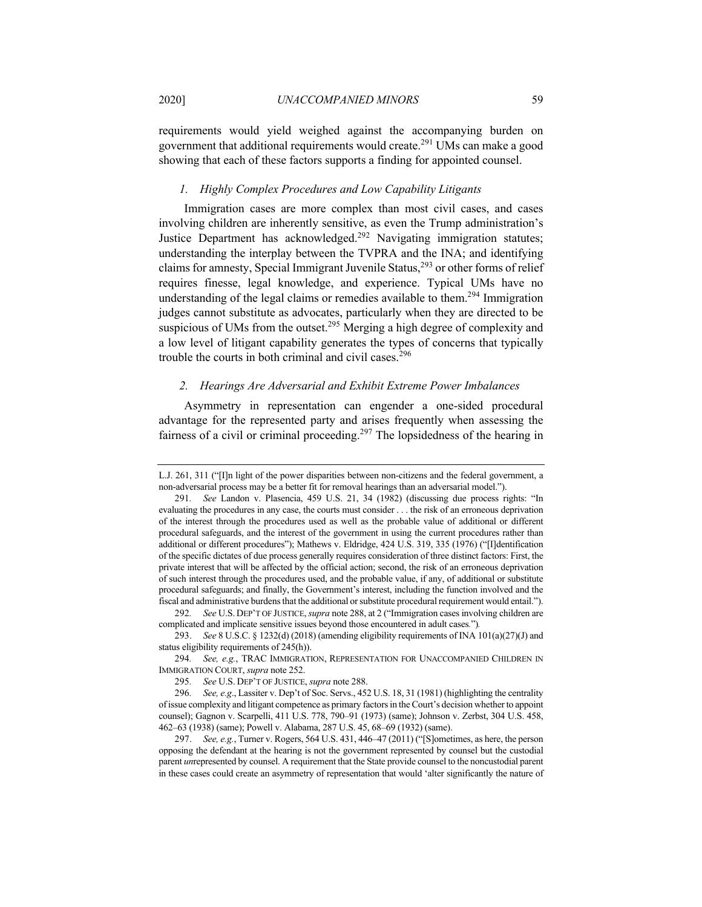requirements would yield weighed against the accompanying burden on government that additional requirements would create.<sup>291</sup> UMs can make a good showing that each of these factors supports a finding for appointed counsel.

#### *1. Highly Complex Procedures and Low Capability Litigants*

Immigration cases are more complex than most civil cases, and cases involving children are inherently sensitive, as even the Trump administration's Justice Department has acknowledged.<sup>292</sup> Navigating immigration statutes; understanding the interplay between the TVPRA and the INA; and identifying claims for amnesty, Special Immigrant Juvenile Status, $293$  or other forms of relief requires finesse, legal knowledge, and experience. Typical UMs have no understanding of the legal claims or remedies available to them.<sup>294</sup> Immigration judges cannot substitute as advocates, particularly when they are directed to be suspicious of UMs from the outset.<sup>295</sup> Merging a high degree of complexity and a low level of litigant capability generates the types of concerns that typically trouble the courts in both criminal and civil cases.<sup>296</sup>

#### *2. Hearings Are Adversarial and Exhibit Extreme Power Imbalances*

Asymmetry in representation can engender a one-sided procedural advantage for the represented party and arises frequently when assessing the fairness of a civil or criminal proceeding.<sup>297</sup> The lopsidedness of the hearing in

292*. See* U.S. DEP'T OF JUSTICE, *supra* note 288, at 2 ("Immigration cases involving children are complicated and implicate sensitive issues beyond those encountered in adult cases*.*")*.*

L.J. 261, 311 ("[I]n light of the power disparities between non-citizens and the federal government, a non-adversarial process may be a better fit for removal hearings than an adversarial model.").

<sup>291</sup>*. See* Landon v. Plasencia, 459 U.S. 21, 34 (1982) (discussing due process rights: "In evaluating the procedures in any case, the courts must consider . . . the risk of an erroneous deprivation of the interest through the procedures used as well as the probable value of additional or different procedural safeguards, and the interest of the government in using the current procedures rather than additional or different procedures"); Mathews v. Eldridge, 424 U.S. 319, 335 (1976) ("[I]dentification of the specific dictates of due process generally requires consideration of three distinct factors: First, the private interest that will be affected by the official action; second, the risk of an erroneous deprivation of such interest through the procedures used, and the probable value, if any, of additional or substitute procedural safeguards; and finally, the Government's interest, including the function involved and the fiscal and administrative burdens that the additional or substitute procedural requirement would entail.").

<sup>293.</sup> *See* 8 U.S.C. § 1232(d) (2018) (amending eligibility requirements of INA 101(a)(27)(J) and status eligibility requirements of 245(h)).

<sup>294</sup>*. See, e.g.*, TRAC IMMIGRATION, REPRESENTATION FOR UNACCOMPANIED CHILDREN IN IMMIGRATION COURT, *supra* note 252.

<sup>295</sup>*. See* U.S. DEP'T OF JUSTICE, *supra* note 288.

<sup>296</sup>*. See, e.g*., Lassiter v. Dep't of Soc. Servs., 452 U.S. 18, 31 (1981) (highlighting the centrality of issue complexity and litigant competence as primary factors in the Court's decision whether to appoint counsel); Gagnon v. Scarpelli, 411 U.S. 778, 790–91 (1973) (same); Johnson v. Zerbst, 304 U.S. 458, 462–63 (1938) (same); Powell v. Alabama, 287 U.S. 45, 68–69 (1932) (same).

<sup>297.</sup> *See, e.g.*, Turner v. Rogers, 564 U.S. 431, 446–47 (2011) ("[S]ometimes, as here, the person opposing the defendant at the hearing is not the government represented by counsel but the custodial parent *un*represented by counsel. A requirement that the State provide counsel to the noncustodial parent in these cases could create an asymmetry of representation that would 'alter significantly the nature of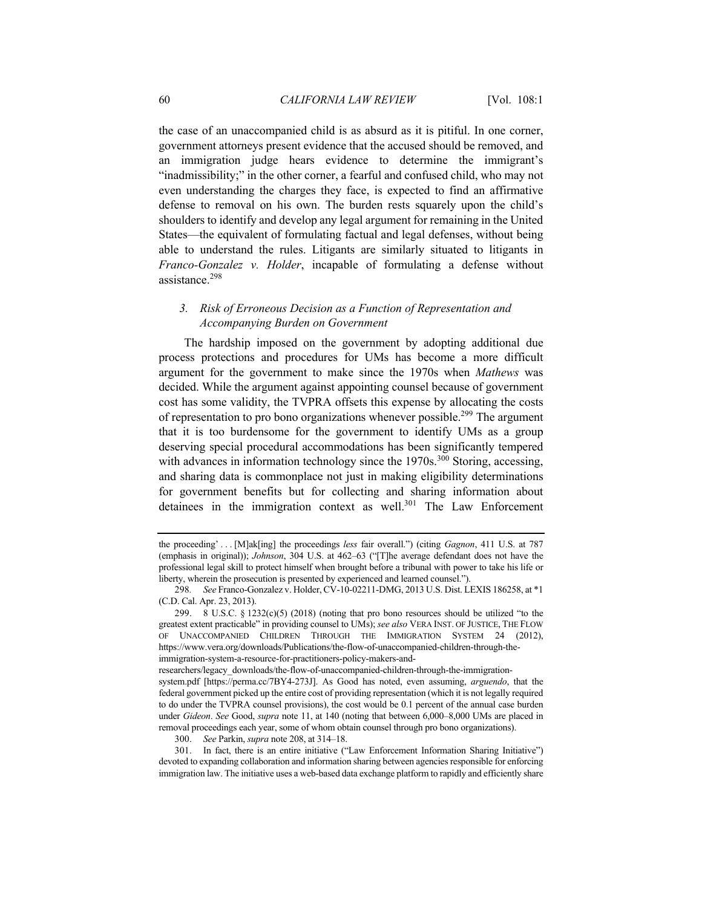the case of an unaccompanied child is as absurd as it is pitiful. In one corner, government attorneys present evidence that the accused should be removed, and an immigration judge hears evidence to determine the immigrant's "inadmissibility;" in the other corner, a fearful and confused child, who may not even understanding the charges they face, is expected to find an affirmative defense to removal on his own. The burden rests squarely upon the child's shoulders to identify and develop any legal argument for remaining in the United States—the equivalent of formulating factual and legal defenses, without being able to understand the rules. Litigants are similarly situated to litigants in *Franco-Gonzalez v. Holder*, incapable of formulating a defense without assistance. 298

# *3. Risk of Erroneous Decision as a Function of Representation and Accompanying Burden on Government*

The hardship imposed on the government by adopting additional due process protections and procedures for UMs has become a more difficult argument for the government to make since the 1970s when *Mathews* was decided. While the argument against appointing counsel because of government cost has some validity, the TVPRA offsets this expense by allocating the costs of representation to pro bono organizations whenever possible.<sup>299</sup> The argument that it is too burdensome for the government to identify UMs as a group deserving special procedural accommodations has been significantly tempered with advances in information technology since the  $1970s$ .<sup>300</sup> Storing, accessing, and sharing data is commonplace not just in making eligibility determinations for government benefits but for collecting and sharing information about detainees in the immigration context as well.<sup>301</sup> The Law Enforcement

the proceeding' . . . [M]ak[ing] the proceedings *less* fair overall.") (citing *Gagnon*, 411 U.S. at 787 (emphasis in original)); *Johnson*, 304 U.S. at 462–63 ("[T]he average defendant does not have the professional legal skill to protect himself when brought before a tribunal with power to take his life or liberty, wherein the prosecution is presented by experienced and learned counsel.").

<sup>298</sup>*. See* Franco-Gonzalez v. Holder, CV-10-02211-DMG, 2013 U.S. Dist. LEXIS 186258, at \*1 (C.D. Cal. Apr. 23, 2013).

<sup>299. 8</sup> U.S.C.  $\S$  1232(c)(5) (2018) (noting that pro bono resources should be utilized "to the greatest extent practicable" in providing counsel to UMs); *see also* VERA INST. OF JUSTICE, THE FLOW OF UNACCOMPANIED CHILDREN THROUGH THE IMMIGRATION SYSTEM 24 (2012), https://www.vera.org/downloads/Publications/the-flow-of-unaccompanied-children-through-theimmigration-system-a-resource-for-practitioners-policy-makers-and-

researchers/legacy\_downloads/the-flow-of-unaccompanied-children-through-the-immigrationsystem.pdf [https://perma.cc/7BY4-273J]. As Good has noted, even assuming, *arguendo*, that the federal government picked up the entire cost of providing representation (which it is not legally required to do under the TVPRA counsel provisions), the cost would be 0.1 percent of the annual case burden under *Gideon*. *See* Good, *supra* note 11, at 140 (noting that between 6,000–8,000 UMs are placed in removal proceedings each year, some of whom obtain counsel through pro bono organizations).

<sup>300.</sup> *See* Parkin, *supra* note 208, at 314–18.

<sup>301.</sup> In fact, there is an entire initiative ("Law Enforcement Information Sharing Initiative") devoted to expanding collaboration and information sharing between agencies responsible for enforcing immigration law. The initiative uses a web-based data exchange platform to rapidly and efficiently share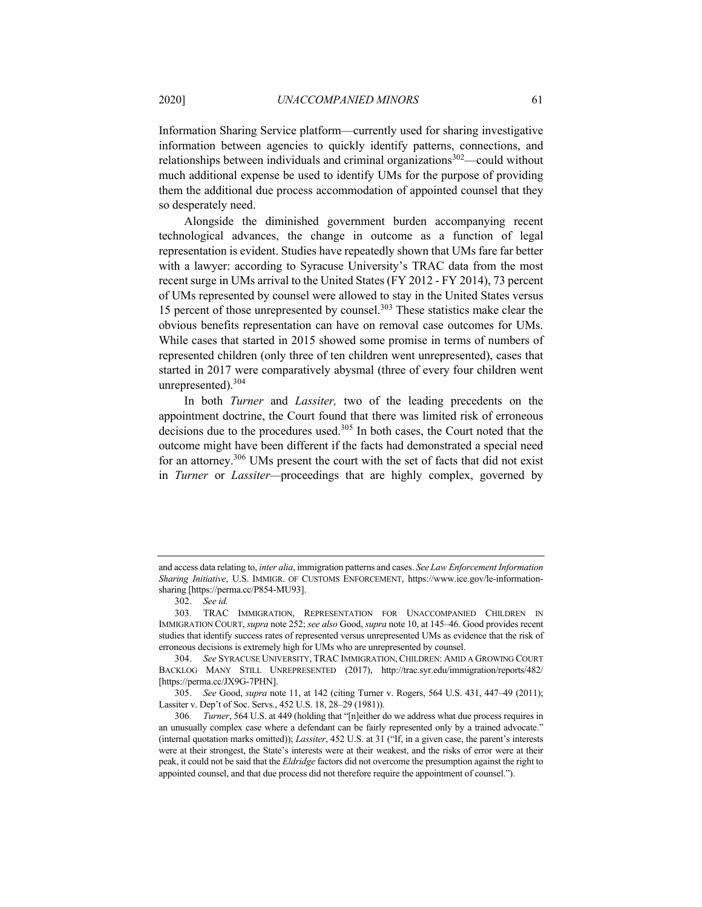Information Sharing Service platform—currently used for sharing investigative information between agencies to quickly identify patterns, connections, and relationships between individuals and criminal organizations<sup>302</sup>—could without much additional expense be used to identify UMs for the purpose of providing them the additional due process accommodation of appointed counsel that they so desperately need.

Alongside the diminished government burden accompanying recent technological advances, the change in outcome as a function of legal representation is evident. Studies have repeatedly shown that UMs fare far better with a lawyer: according to Syracuse University's TRAC data from the most recent surge in UMs arrival to the United States (FY 2012 - FY 2014), 73 percent of UMs represented by counsel were allowed to stay in the United States versus 15 percent of those unrepresented by counsel.<sup>303</sup> These statistics make clear the obvious benefits representation can have on removal case outcomes for UMs. While cases that started in 2015 showed some promise in terms of numbers of represented children (only three of ten children went unrepresented), cases that started in 2017 were comparatively abysmal (three of every four children went unrepresented).<sup>304</sup>

In both *Turner* and *Lassiter,* two of the leading precedents on the appointment doctrine, the Court found that there was limited risk of erroneous decisions due to the procedures used. $305$  In both cases, the Court noted that the outcome might have been different if the facts had demonstrated a special need for an attorney.<sup>306</sup> UMs present the court with the set of facts that did not exist in *Turner* or *Lassiter—*proceedings that are highly complex, governed by

and access data relating to, *inter alia*, immigration patterns and cases. *See Law Enforcement Information Sharing Initiative*, U.S. IMMIGR. OF CUSTOMS ENFORCEMENT, https://www.ice.gov/le-informationsharing [https://perma.cc/P854-MU93].

<sup>302.</sup> *See id.*

<sup>303</sup>*.* TRAC IMMIGRATION, REPRESENTATION FOR UNACCOMPANIED CHILDREN IN IMMIGRATION COURT, *supra* note 252; *see also* Good, *supra* note 10, at 145–46. Good provides recent studies that identify success rates of represented versus unrepresented UMs as evidence that the risk of erroneous decisions is extremely high for UMs who are unrepresented by counsel.

<sup>304.</sup> *See* SYRACUSE UNIVERSITY, TRAC IMMIGRATION, CHILDREN: AMID A GROWING COURT BACKLOG MANY STILL UNREPRESENTED (2017), http://trac.syr.edu/immigration/reports/482/ [https://perma.cc/JX9G-7PHN].

<sup>305.</sup> *See* Good, *supra* note 11, at 142 (citing Turner v. Rogers, 564 U.S. 431, 447–49 (2011); Lassiter v. Dep't of Soc. Servs., 452 U.S. 18, 28–29 (1981)).

<sup>306</sup>*. Turner*, 564 U.S. at 449 (holding that "[n]either do we address what due process requires in an unusually complex case where a defendant can be fairly represented only by a trained advocate." (internal quotation marks omitted)); *Lassiter*, 452 U.S. at 31 ("If, in a given case, the parent's interests were at their strongest, the State's interests were at their weakest, and the risks of error were at their peak, it could not be said that the *Eldridge* factors did not overcome the presumption against the right to appointed counsel, and that due process did not therefore require the appointment of counsel.").